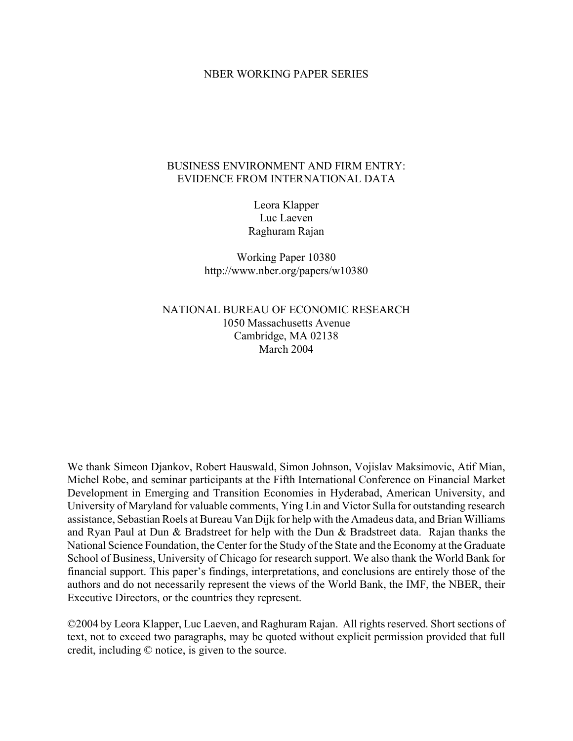# NBER WORKING PAPER SERIES

# BUSINESS ENVIRONMENT AND FIRM ENTRY: EVIDENCE FROM INTERNATIONAL DATA

Leora Klapper Luc Laeven Raghuram Rajan

Working Paper 10380 http://www.nber.org/papers/w10380

NATIONAL BUREAU OF ECONOMIC RESEARCH 1050 Massachusetts Avenue Cambridge, MA 02138 March 2004

We thank Simeon Djankov, Robert Hauswald, Simon Johnson, Vojislav Maksimovic, Atif Mian, Michel Robe, and seminar participants at the Fifth International Conference on Financial Market Development in Emerging and Transition Economies in Hyderabad, American University, and University of Maryland for valuable comments, Ying Lin and Victor Sulla for outstanding research assistance, Sebastian Roels at Bureau Van Dijk for help with the Amadeus data, and Brian Williams and Ryan Paul at Dun & Bradstreet for help with the Dun & Bradstreet data. Rajan thanks the National Science Foundation, the Center for the Study of the State and the Economy at the Graduate School of Business, University of Chicago for research support. We also thank the World Bank for financial support. This paper's findings, interpretations, and conclusions are entirely those of the authors and do not necessarily represent the views of the World Bank, the IMF, the NBER, their Executive Directors, or the countries they represent.

©2004 by Leora Klapper, Luc Laeven, and Raghuram Rajan. All rights reserved. Short sections of text, not to exceed two paragraphs, may be quoted without explicit permission provided that full credit, including © notice, is given to the source.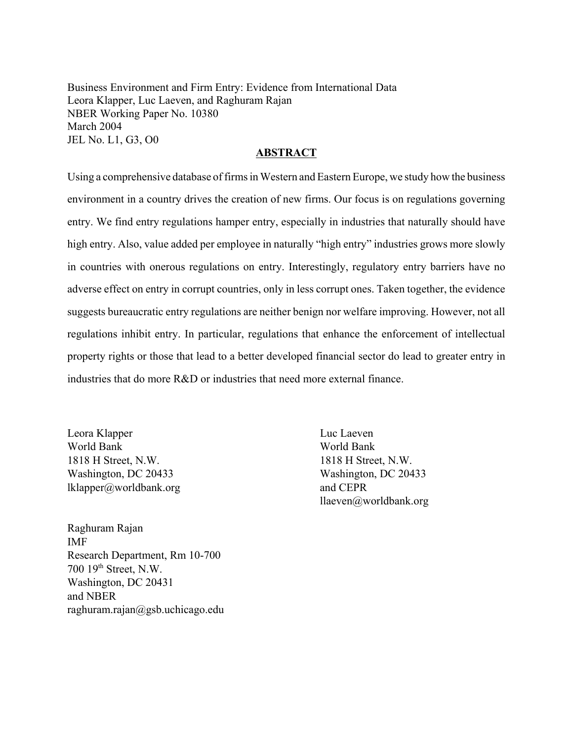Business Environment and Firm Entry: Evidence from International Data Leora Klapper, Luc Laeven, and Raghuram Rajan NBER Working Paper No. 10380 March 2004 JEL No. L1, G3, O0

# **ABSTRACT**

Using a comprehensive database of firms in Western and Eastern Europe, we study how the business environment in a country drives the creation of new firms. Our focus is on regulations governing entry. We find entry regulations hamper entry, especially in industries that naturally should have high entry. Also, value added per employee in naturally "high entry" industries grows more slowly in countries with onerous regulations on entry. Interestingly, regulatory entry barriers have no adverse effect on entry in corrupt countries, only in less corrupt ones. Taken together, the evidence suggests bureaucratic entry regulations are neither benign nor welfare improving. However, not all regulations inhibit entry. In particular, regulations that enhance the enforcement of intellectual property rights or those that lead to a better developed financial sector do lead to greater entry in industries that do more R&D or industries that need more external finance.

Leora Klapper Luc Laeven World Bank World Bank 1818 H Street, N.W. 1818 H Street, N.W. Washington, DC 20433 Washington, DC 20433 lklapper@worldbank.org and CEPR

Raghuram Rajan IMF Research Department, Rm 10-700 700 19th Street, N.W. Washington, DC 20431 and NBER raghuram.rajan@gsb.uchicago.edu llaeven@worldbank.org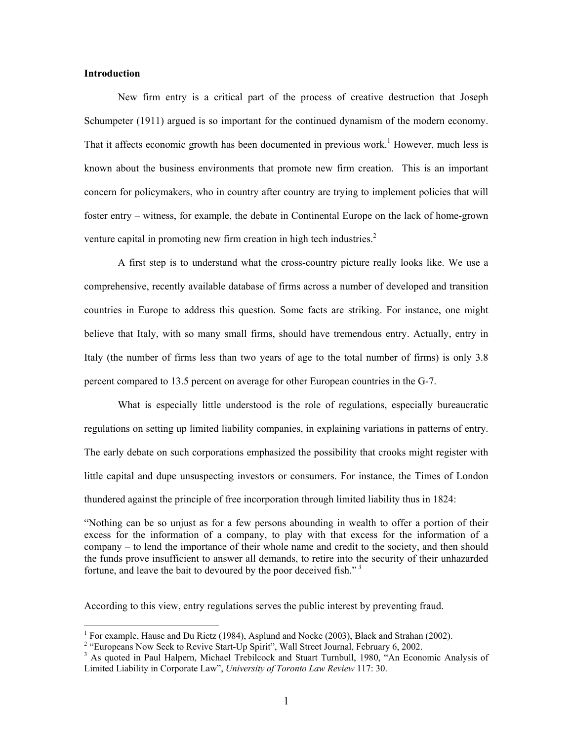### **Introduction**

New firm entry is a critical part of the process of creative destruction that Joseph Schumpeter (1911) argued is so important for the continued dynamism of the modern economy. That it affects economic growth has been documented in previous work.<sup>[1](#page-2-0)</sup> However, much less is known about the business environments that promote new firm creation. This is an important concern for policymakers, who in country after country are trying to implement policies that will foster entry – witness, for example, the debate in Continental Europe on the lack of home-grown venture capital in promoting new firm creation in high tech industries.<sup>[2](#page-2-1)</sup>

A first step is to understand what the cross-country picture really looks like. We use a comprehensive, recently available database of firms across a number of developed and transition countries in Europe to address this question. Some facts are striking. For instance, one might believe that Italy, with so many small firms, should have tremendous entry. Actually, entry in Italy (the number of firms less than two years of age to the total number of firms) is only 3.8 percent compared to 13.5 percent on average for other European countries in the G-7.

What is especially little understood is the role of regulations, especially bureaucratic regulations on setting up limited liability companies, in explaining variations in patterns of entry. The early debate on such corporations emphasized the possibility that crooks might register with little capital and dupe unsuspecting investors or consumers. For instance, the Times of London thundered against the principle of free incorporation through limited liability thus in 1824:

"Nothing can be so unjust as for a few persons abounding in wealth to offer a portion of their excess for the information of a company, to play with that excess for the information of a company – to lend the importance of their whole name and credit to the society, and then should the funds prove insufficient to answer all demands, to retire into the security of their unhazarded fortune, and leave the bait to devoured by the poor deceived fish." *[3](#page-2-2)*

According to this view, entry regulations serves the public interest by preventing fraud.

<span id="page-2-0"></span> 1 For example, Hause and Du Rietz (1984), Asplund and Nocke (2003), Black and Strahan (2002).

<span id="page-2-1"></span><sup>&</sup>lt;sup>2</sup> "Europeans Now Seek to Revive Start-Up Spirit", Wall Street Journal, February 6, 2002.

<span id="page-2-2"></span><sup>&</sup>lt;sup>3</sup> As quoted in Paul Halpern, Michael Trebilcock and Stuart Turnbull, 1980, "An Economic Analysis of Limited Liability in Corporate Law", *University of Toronto Law Review* 117: 30.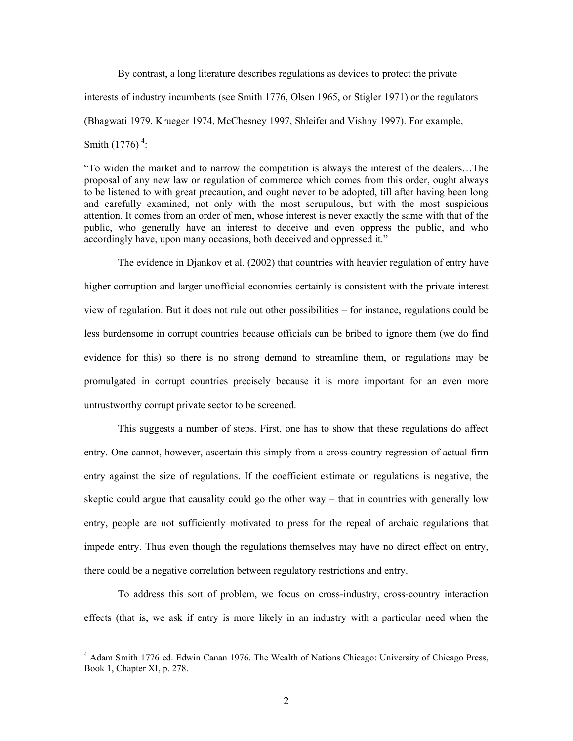By contrast, a long literature describes regulations as devices to protect the private interests of industry incumbents (see Smith 1776, Olsen 1965, or Stigler 1971) or the regulators (Bhagwati 1979, Krueger 1974, McChesney 1997, Shleifer and Vishny 1997). For example, Smith  $(1776)^4$ [:](#page-3-0)

"To widen the market and to narrow the competition is always the interest of the dealers…The proposal of any new law or regulation of commerce which comes from this order, ought always to be listened to with great precaution, and ought never to be adopted, till after having been long and carefully examined, not only with the most scrupulous, but with the most suspicious attention. It comes from an order of men, whose interest is never exactly the same with that of the public, who generally have an interest to deceive and even oppress the public, and who accordingly have, upon many occasions, both deceived and oppressed it."

The evidence in Djankov et al. (2002) that countries with heavier regulation of entry have higher corruption and larger unofficial economies certainly is consistent with the private interest view of regulation. But it does not rule out other possibilities – for instance, regulations could be less burdensome in corrupt countries because officials can be bribed to ignore them (we do find evidence for this) so there is no strong demand to streamline them, or regulations may be promulgated in corrupt countries precisely because it is more important for an even more untrustworthy corrupt private sector to be screened.

This suggests a number of steps. First, one has to show that these regulations do affect entry. One cannot, however, ascertain this simply from a cross-country regression of actual firm entry against the size of regulations. If the coefficient estimate on regulations is negative, the skeptic could argue that causality could go the other way – that in countries with generally low entry, people are not sufficiently motivated to press for the repeal of archaic regulations that impede entry. Thus even though the regulations themselves may have no direct effect on entry, there could be a negative correlation between regulatory restrictions and entry.

To address this sort of problem, we focus on cross-industry, cross-country interaction effects (that is, we ask if entry is more likely in an industry with a particular need when the

<span id="page-3-0"></span><sup>&</sup>lt;sup>4</sup> Adam Smith 1776 ed. Edwin Canan 1976. The Wealth of Nations Chicago: University of Chicago Press, Book 1, Chapter XI, p. 278.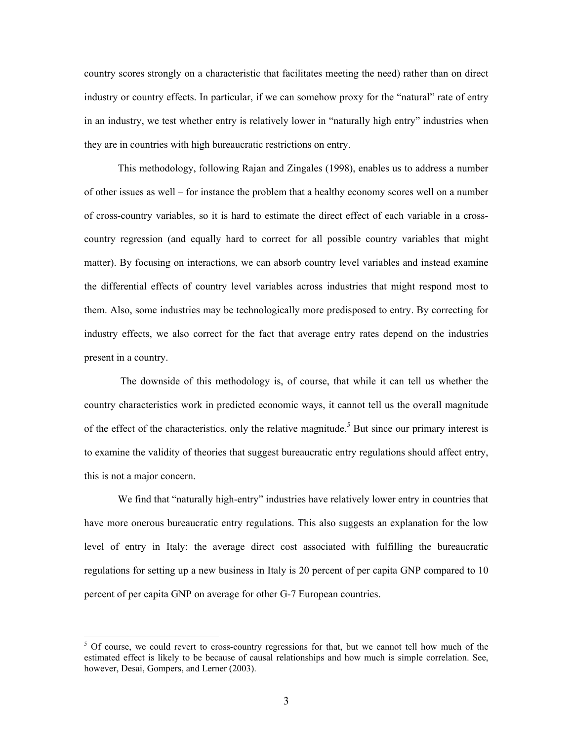country scores strongly on a characteristic that facilitates meeting the need) rather than on direct industry or country effects. In particular, if we can somehow proxy for the "natural" rate of entry in an industry, we test whether entry is relatively lower in "naturally high entry" industries when they are in countries with high bureaucratic restrictions on entry.

This methodology, following Rajan and Zingales (1998), enables us to address a number of other issues as well – for instance the problem that a healthy economy scores well on a number of cross-country variables, so it is hard to estimate the direct effect of each variable in a crosscountry regression (and equally hard to correct for all possible country variables that might matter). By focusing on interactions, we can absorb country level variables and instead examine the differential effects of country level variables across industries that might respond most to them. Also, some industries may be technologically more predisposed to entry. By correcting for industry effects, we also correct for the fact that average entry rates depend on the industries present in a country.

 The downside of this methodology is, of course, that while it can tell us whether the country characteristics work in predicted economic ways, it cannot tell us the overall magnitude ofthe effect of the characteristics, only the relative magnitude.<sup>5</sup> But since our primary interest is to examine the validity of theories that suggest bureaucratic entry regulations should affect entry, this is not a major concern.

We find that "naturally high-entry" industries have relatively lower entry in countries that have more onerous bureaucratic entry regulations. This also suggests an explanation for the low level of entry in Italy: the average direct cost associated with fulfilling the bureaucratic regulations for setting up a new business in Italy is 20 percent of per capita GNP compared to 10 percent of per capita GNP on average for other G-7 European countries.

<span id="page-4-0"></span><sup>&</sup>lt;sup>5</sup> Of course, we could revert to cross-country regressions for that, but we cannot tell how much of the estimated effect is likely to be because of causal relationships and how much is simple correlation. See, however, Desai, Gompers, and Lerner (2003).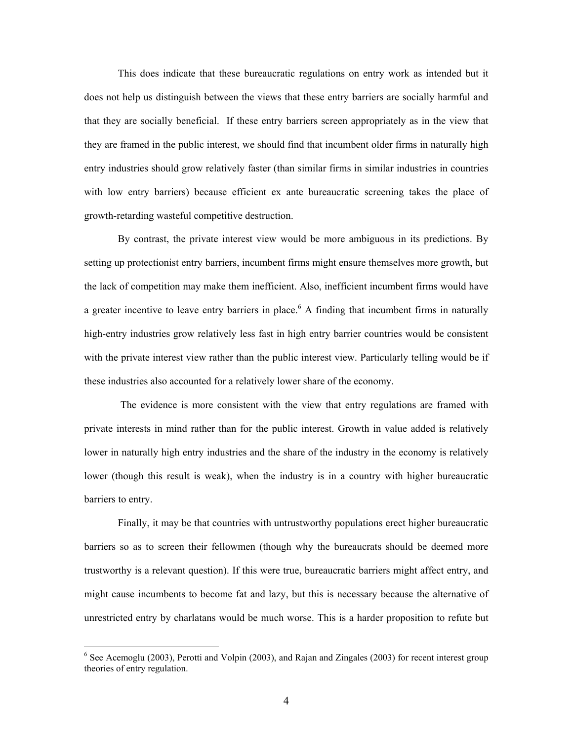This does indicate that these bureaucratic regulations on entry work as intended but it does not help us distinguish between the views that these entry barriers are socially harmful and that they are socially beneficial. If these entry barriers screen appropriately as in the view that they are framed in the public interest, we should find that incumbent older firms in naturally high entry industries should grow relatively faster (than similar firms in similar industries in countries with low entry barriers) because efficient ex ante bureaucratic screening takes the place of growth-retarding wasteful competitive destruction.

By contrast, the private interest view would be more ambiguous in its predictions. By setting up protectionist entry barriers, incumbent firms might ensure themselves more growth, but the lack of competition may make them inefficient. Also, inefficient incumbent firms would have agreater incentive to leave entry barriers in place.<sup>6</sup> A finding that incumbent firms in naturally high-entry industries grow relatively less fast in high entry barrier countries would be consistent with the private interest view rather than the public interest view. Particularly telling would be if these industries also accounted for a relatively lower share of the economy.

 The evidence is more consistent with the view that entry regulations are framed with private interests in mind rather than for the public interest. Growth in value added is relatively lower in naturally high entry industries and the share of the industry in the economy is relatively lower (though this result is weak), when the industry is in a country with higher bureaucratic barriers to entry.

Finally, it may be that countries with untrustworthy populations erect higher bureaucratic barriers so as to screen their fellowmen (though why the bureaucrats should be deemed more trustworthy is a relevant question). If this were true, bureaucratic barriers might affect entry, and might cause incumbents to become fat and lazy, but this is necessary because the alternative of unrestricted entry by charlatans would be much worse. This is a harder proposition to refute but

<span id="page-5-0"></span><sup>&</sup>lt;sup>6</sup> See Acemoglu (2003), Perotti and Volpin (2003), and Rajan and Zingales (2003) for recent interest group theories of entry regulation.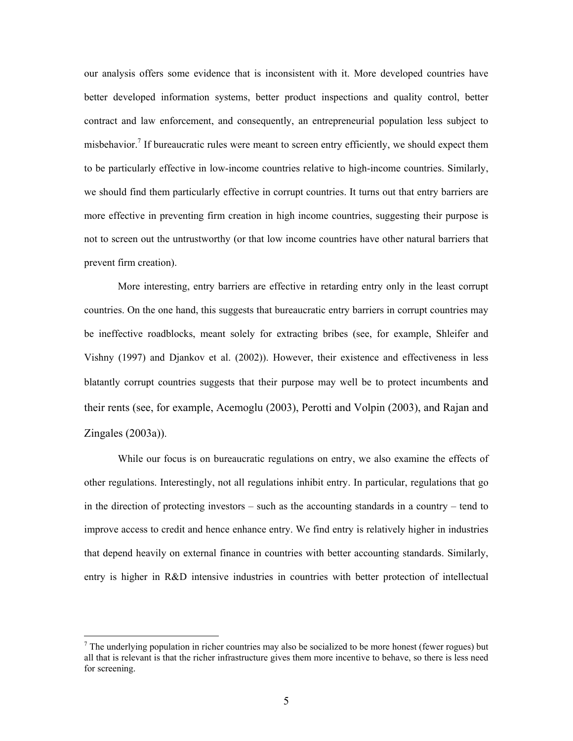our analysis offers some evidence that is inconsistent with it. More developed countries have better developed information systems, better product inspections and quality control, better contract and law enforcement, and consequently, an entrepreneurial population less subject to misbehavior.<sup>[7](#page-6-0)</sup> If bureaucratic rules were meant to screen entry efficiently, we should expect them to be particularly effective in low-income countries relative to high-income countries. Similarly, we should find them particularly effective in corrupt countries. It turns out that entry barriers are more effective in preventing firm creation in high income countries, suggesting their purpose is not to screen out the untrustworthy (or that low income countries have other natural barriers that prevent firm creation).

More interesting, entry barriers are effective in retarding entry only in the least corrupt countries. On the one hand, this suggests that bureaucratic entry barriers in corrupt countries may be ineffective roadblocks, meant solely for extracting bribes (see, for example, Shleifer and Vishny (1997) and Djankov et al. (2002)). However, their existence and effectiveness in less blatantly corrupt countries suggests that their purpose may well be to protect incumbents and their rents (see, for example, Acemoglu (2003), Perotti and Volpin (2003), and Rajan and Zingales (2003a)).

While our focus is on bureaucratic regulations on entry, we also examine the effects of other regulations. Interestingly, not all regulations inhibit entry. In particular, regulations that go in the direction of protecting investors – such as the accounting standards in a country – tend to improve access to credit and hence enhance entry. We find entry is relatively higher in industries that depend heavily on external finance in countries with better accounting standards. Similarly, entry is higher in R&D intensive industries in countries with better protection of intellectual

<span id="page-6-0"></span> $<sup>7</sup>$  The underlying population in richer countries may also be socialized to be more honest (fewer rogues) but</sup> all that is relevant is that the richer infrastructure gives them more incentive to behave, so there is less need for screening.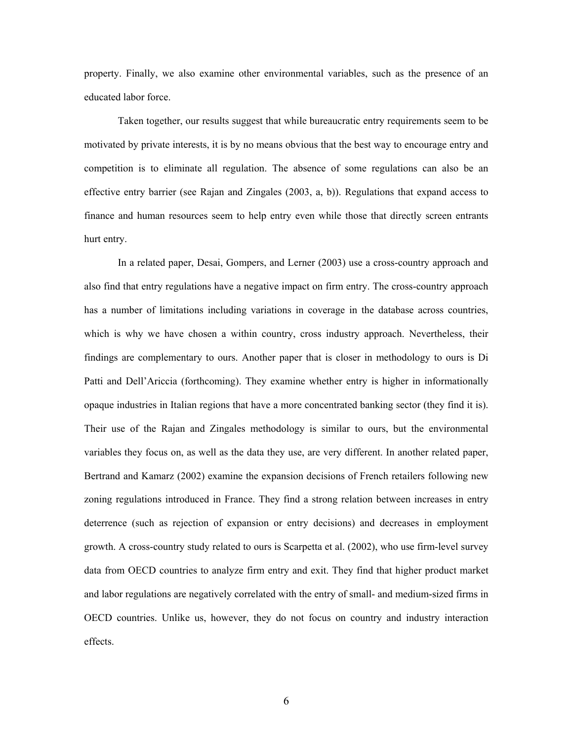property. Finally, we also examine other environmental variables, such as the presence of an educated labor force.

Taken together, our results suggest that while bureaucratic entry requirements seem to be motivated by private interests, it is by no means obvious that the best way to encourage entry and competition is to eliminate all regulation. The absence of some regulations can also be an effective entry barrier (see Rajan and Zingales (2003, a, b)). Regulations that expand access to finance and human resources seem to help entry even while those that directly screen entrants hurt entry.

In a related paper, Desai, Gompers, and Lerner (2003) use a cross-country approach and also find that entry regulations have a negative impact on firm entry. The cross-country approach has a number of limitations including variations in coverage in the database across countries, which is why we have chosen a within country, cross industry approach. Nevertheless, their findings are complementary to ours. Another paper that is closer in methodology to ours is Di Patti and Dell'Ariccia (forthcoming). They examine whether entry is higher in informationally opaque industries in Italian regions that have a more concentrated banking sector (they find it is). Their use of the Rajan and Zingales methodology is similar to ours, but the environmental variables they focus on, as well as the data they use, are very different. In another related paper, Bertrand and Kamarz (2002) examine the expansion decisions of French retailers following new zoning regulations introduced in France. They find a strong relation between increases in entry deterrence (such as rejection of expansion or entry decisions) and decreases in employment growth. A cross-country study related to ours is Scarpetta et al. (2002), who use firm-level survey data from OECD countries to analyze firm entry and exit. They find that higher product market and labor regulations are negatively correlated with the entry of small- and medium-sized firms in OECD countries. Unlike us, however, they do not focus on country and industry interaction effects.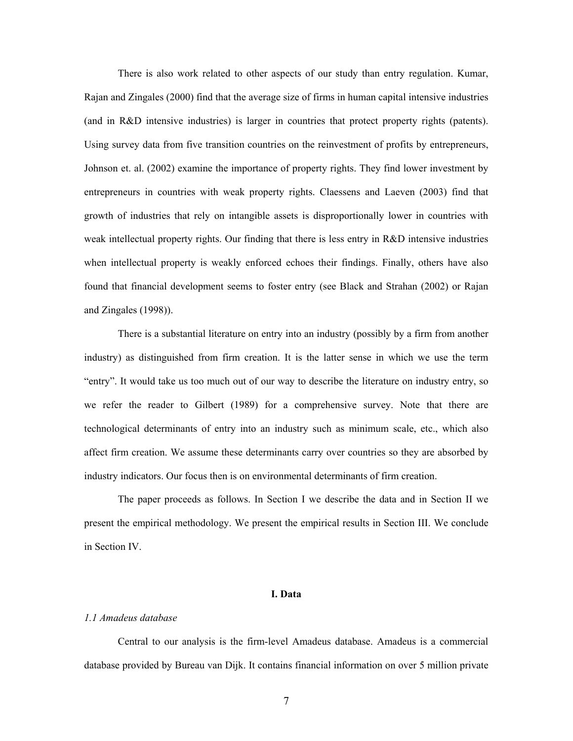There is also work related to other aspects of our study than entry regulation. Kumar, Rajan and Zingales (2000) find that the average size of firms in human capital intensive industries (and in R&D intensive industries) is larger in countries that protect property rights (patents). Using survey data from five transition countries on the reinvestment of profits by entrepreneurs, Johnson et. al. (2002) examine the importance of property rights. They find lower investment by entrepreneurs in countries with weak property rights. Claessens and Laeven (2003) find that growth of industries that rely on intangible assets is disproportionally lower in countries with weak intellectual property rights. Our finding that there is less entry in R&D intensive industries when intellectual property is weakly enforced echoes their findings. Finally, others have also found that financial development seems to foster entry (see Black and Strahan (2002) or Rajan and Zingales (1998)).

There is a substantial literature on entry into an industry (possibly by a firm from another industry) as distinguished from firm creation. It is the latter sense in which we use the term "entry". It would take us too much out of our way to describe the literature on industry entry, so we refer the reader to Gilbert (1989) for a comprehensive survey. Note that there are technological determinants of entry into an industry such as minimum scale, etc., which also affect firm creation. We assume these determinants carry over countries so they are absorbed by industry indicators. Our focus then is on environmental determinants of firm creation.

The paper proceeds as follows. In Section I we describe the data and in Section II we present the empirical methodology. We present the empirical results in Section III. We conclude in Section IV.

### **I. Data**

## *1.1 Amadeus database*

Central to our analysis is the firm-level Amadeus database. Amadeus is a commercial database provided by Bureau van Dijk. It contains financial information on over 5 million private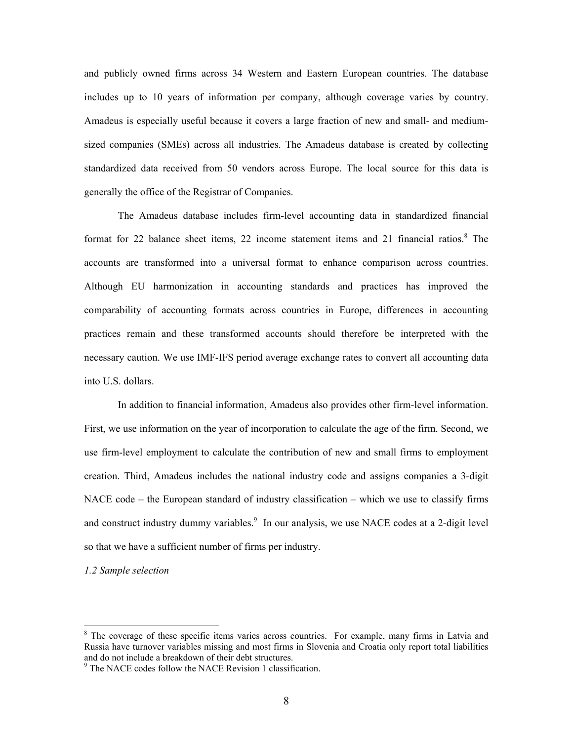and publicly owned firms across 34 Western and Eastern European countries. The database includes up to 10 years of information per company, although coverage varies by country. Amadeus is especially useful because it covers a large fraction of new and small- and mediumsized companies (SMEs) across all industries. The Amadeus database is created by collecting standardized data received from 50 vendors across Europe. The local source for this data is generally the office of the Registrar of Companies.

The Amadeus database includes firm-level accounting data in standardized financial format for 22 balance sheet items, 22 income statement items and 21 financial ratios.<sup>[8](#page-9-0)</sup> The accounts are transformed into a universal format to enhance comparison across countries. Although EU harmonization in accounting standards and practices has improved the comparability of accounting formats across countries in Europe, differences in accounting practices remain and these transformed accounts should therefore be interpreted with the necessary caution. We use IMF-IFS period average exchange rates to convert all accounting data into U.S. dollars.

In addition to financial information, Amadeus also provides other firm-level information. First, we use information on the year of incorporation to calculate the age of the firm. Second, we use firm-level employment to calculate the contribution of new and small firms to employment creation. Third, Amadeus includes the national industry code and assigns companies a 3-digit NACE code – the European standard of industry classification – which we use to classify firms andconstruct industry dummy variables.<sup>9</sup> In our analysis, we use NACE codes at a 2-digit level so that we have a sufficient number of firms per industry.

*1.2 Sample selection* 

<span id="page-9-0"></span><sup>&</sup>lt;sup>8</sup> The coverage of these specific items varies across countries. For example, many firms in Latvia and Russia have turnover variables missing and most firms in Slovenia and Croatia only report total liabilities and do not include a breakdown of their debt structures.

<span id="page-9-1"></span><sup>&</sup>lt;sup>9</sup> The NACE codes follow the NACE Revision 1 classification.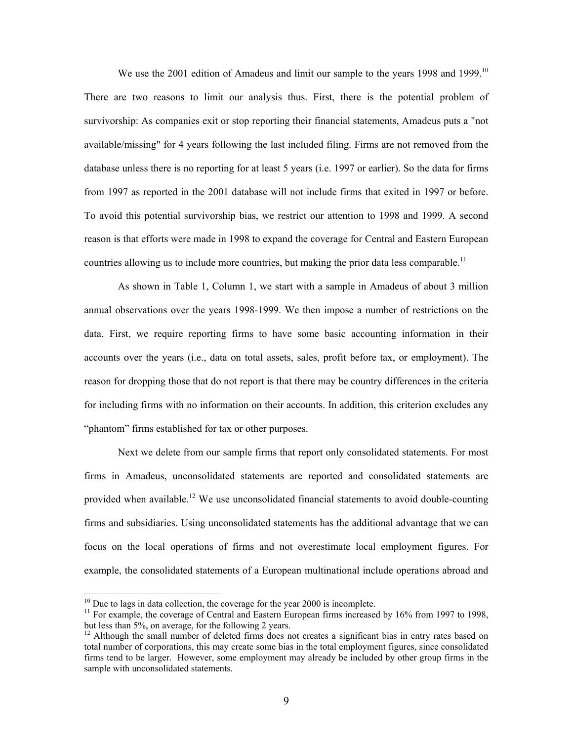We use the 2001 edition of Amadeus and limit our sample to the years 1998 and 1999.<sup>10</sup> There are two reasons to limit our analysis thus. First, there is the potential problem of survivorship: As companies exit or stop reporting their financial statements, Amadeus puts a "not available/missing" for 4 years following the last included filing. Firms are not removed from the database unless there is no reporting for at least 5 years (i.e. 1997 or earlier). So the data for firms from 1997 as reported in the 2001 database will not include firms that exited in 1997 or before. To avoid this potential survivorship bias, we restrict our attention to 1998 and 1999. A second reason is that efforts were made in 1998 to expand the coverage for Central and Eastern European countries allowing us to include more countries, but making the prior data less comparable.<sup>11</sup>

As shown in Table 1, Column 1, we start with a sample in Amadeus of about 3 million annual observations over the years 1998-1999. We then impose a number of restrictions on the data. First, we require reporting firms to have some basic accounting information in their accounts over the years (i.e., data on total assets, sales, profit before tax, or employment). The reason for dropping those that do not report is that there may be country differences in the criteria for including firms with no information on their accounts. In addition, this criterion excludes any "phantom" firms established for tax or other purposes.

Next we delete from our sample firms that report only consolidated statements. For most firms in Amadeus, unconsolidated statements are reported and consolidated statements are provided when available.<sup>12</sup> We use unconsolidated financial statements to avoid double-counting firms and subsidiaries. Using unconsolidated statements has the additional advantage that we can focus on the local operations of firms and not overestimate local employment figures. For example, the consolidated statements of a European multinational include operations abroad and

<span id="page-10-0"></span> $10$  Due to lags in data collection, the coverage for the year 2000 is incomplete.

<span id="page-10-1"></span><sup>&</sup>lt;sup>11</sup> For example, the coverage of Central and Eastern European firms increased by 16% from 1997 to 1998, but less than 5%, on average, for the following 2 years.

<span id="page-10-2"></span> $12$  Although the small number of deleted firms does not creates a significant bias in entry rates based on total number of corporations, this may create some bias in the total employment figures, since consolidated firms tend to be larger. However, some employment may already be included by other group firms in the sample with unconsolidated statements.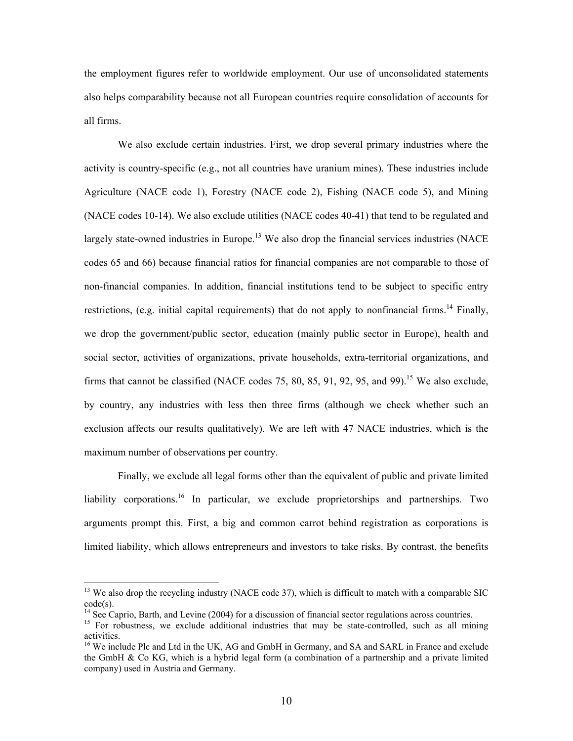the employment figures refer to worldwide employment. Our use of unconsolidated statements also helps comparability because not all European countries require consolidation of accounts for all firms.

We also exclude certain industries. First, we drop several primary industries where the activity is country-specific (e.g., not all countries have uranium mines). These industries include Agriculture (NACE code 1), Forestry (NACE code 2), Fishing (NACE code 5), and Mining (NACE codes 10-14). We also exclude utilities (NACE codes 40-41) that tend to be regulated and largely state-owned industries in Europe.<sup>13</sup> We also drop the financial services industries (NACE) codes 65 and 66) because financial ratios for financial companies are not comparable to those of non-financial companies. In addition, financial institutions tend to be subject to specific entry restrictions, (e.g. initial capital requirements) that do not apply to nonfinancial firms.<sup>14</sup> Finally, we drop the government/public sector, education (mainly public sector in Europe), health and social sector, activities of organizations, private households, extra-territorial organizations, and firms that cannot be classified (NACE codes 75, 80, 85, 91, 92, 95, and 99).<sup>15</sup> We also exclude, by country, any industries with less then three firms (although we check whether such an exclusion affects our results qualitatively). We are left with 47 NACE industries, which is the maximum number of observations per country.

Finally, we exclude all legal forms other than the equivalent of public and private limited liability corporations.<sup>16</sup> In particular, we exclude proprietorships and partnerships. Two arguments prompt this. First, a big and common carrot behind registration as corporations is limited liability, which allows entrepreneurs and investors to take risks. By contrast, the benefits

<span id="page-11-0"></span> $13$  We also drop the recycling industry (NACE code 37), which is difficult to match with a comparable SIC code(s).

<span id="page-11-1"></span> $14$  See Caprio, Barth, and Levine (2004) for a discussion of financial sector regulations across countries.

<span id="page-11-2"></span><sup>&</sup>lt;sup>15</sup> For robustness, we exclude additional industries that may be state-controlled, such as all mining activities.

<span id="page-11-3"></span><sup>&</sup>lt;sup>16</sup> We include Plc and Ltd in the UK, AG and GmbH in Germany, and SA and SARL in France and exclude the GmbH & Co KG, which is a hybrid legal form (a combination of a partnership and a private limited company) used in Austria and Germany.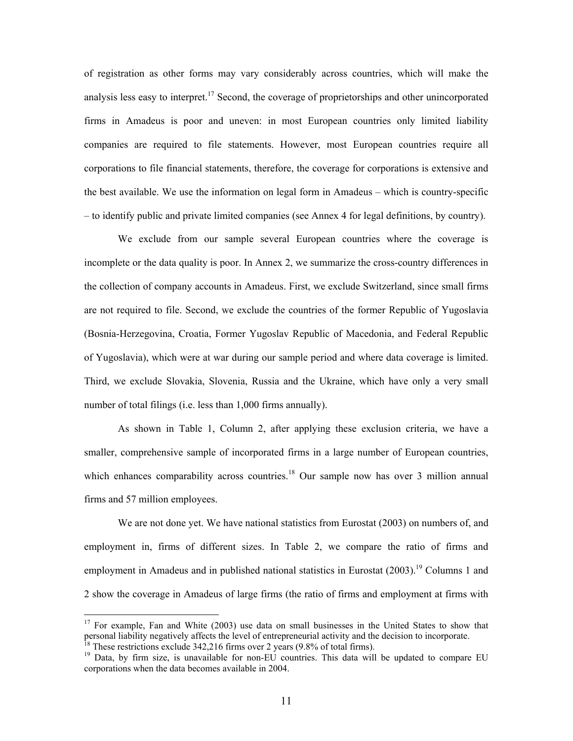of registration as other forms may vary considerably across countries, which will make the analysis less easy to interpret.<sup>17</sup> Second, the coverage of proprietorships and other unincorporated firms in Amadeus is poor and uneven: in most European countries only limited liability companies are required to file statements. However, most European countries require all corporations to file financial statements, therefore, the coverage for corporations is extensive and the best available. We use the information on legal form in Amadeus – which is country-specific – to identify public and private limited companies (see Annex 4 for legal definitions, by country).

We exclude from our sample several European countries where the coverage is incomplete or the data quality is poor. In Annex 2, we summarize the cross-country differences in the collection of company accounts in Amadeus. First, we exclude Switzerland, since small firms are not required to file. Second, we exclude the countries of the former Republic of Yugoslavia (Bosnia-Herzegovina, Croatia, Former Yugoslav Republic of Macedonia, and Federal Republic of Yugoslavia), which were at war during our sample period and where data coverage is limited. Third, we exclude Slovakia, Slovenia, Russia and the Ukraine, which have only a very small number of total filings (i.e. less than 1,000 firms annually).

As shown in Table 1, Column 2, after applying these exclusion criteria, we have a smaller, comprehensive sample of incorporated firms in a large number of European countries, which enhances comparability across countries.<sup>18</sup> Our sample now has over 3 million annual firms and 57 million employees.

We are not done yet. We have national statistics from Eurostat (2003) on numbers of, and employment in, firms of different sizes. In Table 2, we compare the ratio of firms and employment in Amadeus and in published national statistics in Eurostat  $(2003)$ .<sup>19</sup> Columns 1 and 2 show the coverage in Amadeus of large firms (the ratio of firms and employment at firms with

<span id="page-12-0"></span><sup>&</sup>lt;sup>17</sup> For example, Fan and White (2003) use data on small businesses in the United States to show that personal liability negatively affects the level of entrepreneurial activity and the decision to incorporate.<br><sup>18</sup> These restrictions exclude 342,216 firms over 2 years (9.8% of total firms).

<span id="page-12-2"></span><span id="page-12-1"></span><sup>&</sup>lt;sup>19</sup> Data, by firm size, is unavailable for non-EU countries. This data will be updated to compare EU corporations when the data becomes available in 2004.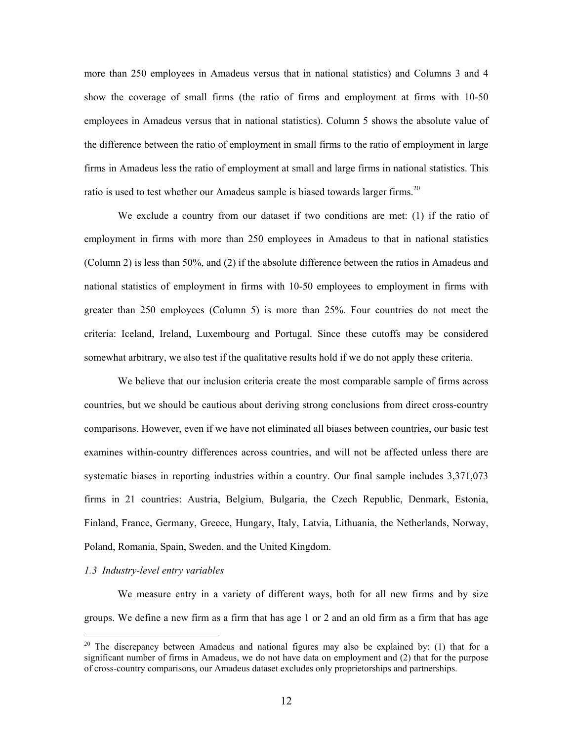more than 250 employees in Amadeus versus that in national statistics) and Columns 3 and 4 show the coverage of small firms (the ratio of firms and employment at firms with 10-50 employees in Amadeus versus that in national statistics). Column 5 shows the absolute value of the difference between the ratio of employment in small firms to the ratio of employment in large firms in Amadeus less the ratio of employment at small and large firms in national statistics. This ratio is used to test whether our Amadeus sample is biased towards larger firms.<sup>[20](#page-13-0)</sup>

We exclude a country from our dataset if two conditions are met: (1) if the ratio of employment in firms with more than 250 employees in Amadeus to that in national statistics (Column 2) is less than 50%, and (2) if the absolute difference between the ratios in Amadeus and national statistics of employment in firms with 10-50 employees to employment in firms with greater than 250 employees (Column 5) is more than 25%. Four countries do not meet the criteria: Iceland, Ireland, Luxembourg and Portugal. Since these cutoffs may be considered somewhat arbitrary, we also test if the qualitative results hold if we do not apply these criteria.

We believe that our inclusion criteria create the most comparable sample of firms across countries, but we should be cautious about deriving strong conclusions from direct cross-country comparisons. However, even if we have not eliminated all biases between countries, our basic test examines within-country differences across countries, and will not be affected unless there are systematic biases in reporting industries within a country. Our final sample includes 3,371,073 firms in 21 countries: Austria, Belgium, Bulgaria, the Czech Republic, Denmark, Estonia, Finland, France, Germany, Greece, Hungary, Italy, Latvia, Lithuania, the Netherlands, Norway, Poland, Romania, Spain, Sweden, and the United Kingdom.

# *1.3 Industry-level entry variables*

 $\overline{a}$ 

We measure entry in a variety of different ways, both for all new firms and by size groups. We define a new firm as a firm that has age 1 or 2 and an old firm as a firm that has age

<span id="page-13-0"></span> $20$  The discrepancy between Amadeus and national figures may also be explained by: (1) that for a significant number of firms in Amadeus, we do not have data on employment and (2) that for the purpose of cross-country comparisons, our Amadeus dataset excludes only proprietorships and partnerships.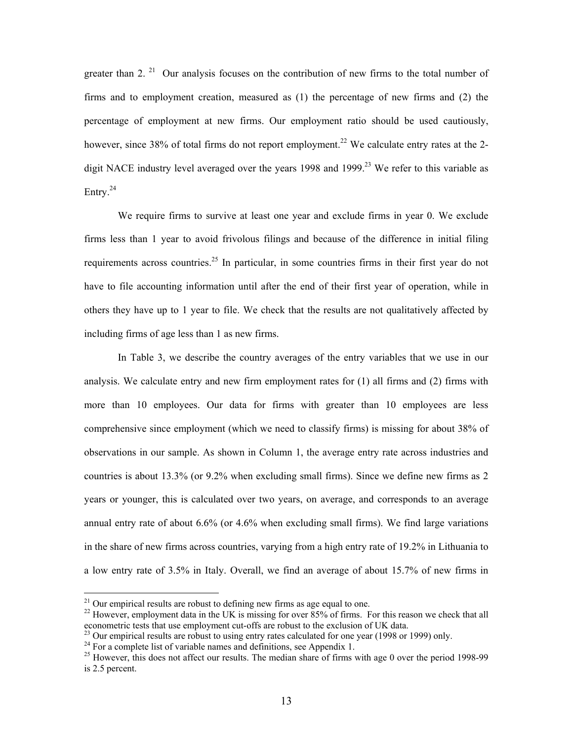greater than 2.<sup>21</sup> Our analysis focuses on the contribution of new firms to the total number of firms and to employment creation, measured as (1) the percentage of new firms and (2) the percentage of employment at new firms. Our employment ratio should be used cautiously, however, since 38% of total firms do not report employment.<sup>22</sup> We calculate entry rates at the 2digit NACE industry level averaged over the years 1998 and 1999.<sup>23</sup> We refer to this variable as Entry. $^{24}$ 

We require firms to survive at least one year and exclude firms in year 0. We exclude firms less than 1 year to avoid frivolous filings and because of the difference in initial filing requirements across countries.<sup>25</sup> In particular, in some countries firms in their first year do not have to file accounting information until after the end of their first year of operation, while in others they have up to 1 year to file. We check that the results are not qualitatively affected by including firms of age less than 1 as new firms.

In Table 3, we describe the country averages of the entry variables that we use in our analysis. We calculate entry and new firm employment rates for (1) all firms and (2) firms with more than 10 employees. Our data for firms with greater than 10 employees are less comprehensive since employment (which we need to classify firms) is missing for about 38% of observations in our sample. As shown in Column 1, the average entry rate across industries and countries is about 13.3% (or 9.2% when excluding small firms). Since we define new firms as 2 years or younger, this is calculated over two years, on average, and corresponds to an average annual entry rate of about 6.6% (or 4.6% when excluding small firms). We find large variations in the share of new firms across countries, varying from a high entry rate of 19.2% in Lithuania to a low entry rate of 3.5% in Italy. Overall, we find an average of about 15.7% of new firms in

<span id="page-14-0"></span> $21$  Our empirical results are robust to defining new firms as age equal to one.

<span id="page-14-1"></span><sup>&</sup>lt;sup>22</sup> However, employment data in the UK is missing for over  $85%$  of firms. For this reason we check that all econometric tests that use employment cut-offs are robust to the exclusion of UK data.<br><sup>23</sup> Our empirical results are robust to using entry rates calculated for one year (1998 or 1999) only.

<span id="page-14-2"></span>

<span id="page-14-3"></span> $24$  For a complete list of variable names and definitions, see Appendix 1.

<span id="page-14-4"></span><sup>&</sup>lt;sup>25</sup> However, this does not affect our results. The median share of firms with age 0 over the period 1998-99 is 2.5 percent.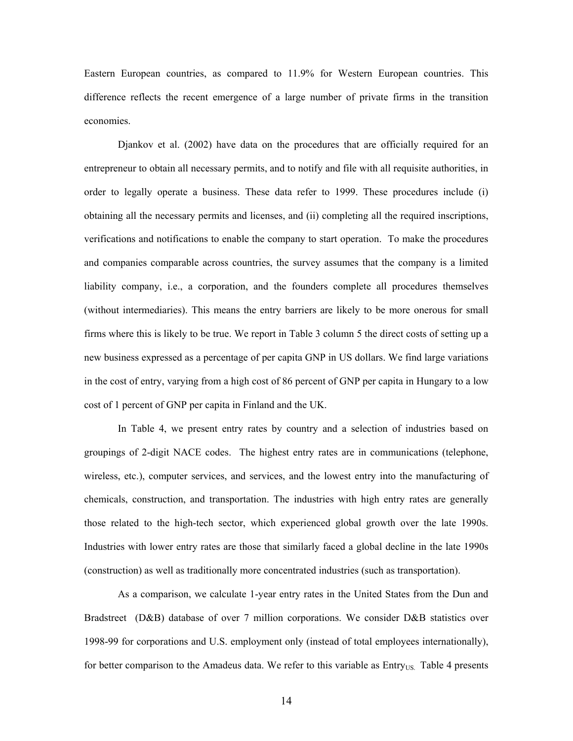Eastern European countries, as compared to 11.9% for Western European countries. This difference reflects the recent emergence of a large number of private firms in the transition economies.

Djankov et al. (2002) have data on the procedures that are officially required for an entrepreneur to obtain all necessary permits, and to notify and file with all requisite authorities, in order to legally operate a business. These data refer to 1999. These procedures include (i) obtaining all the necessary permits and licenses, and (ii) completing all the required inscriptions, verifications and notifications to enable the company to start operation. To make the procedures and companies comparable across countries, the survey assumes that the company is a limited liability company, i.e., a corporation, and the founders complete all procedures themselves (without intermediaries). This means the entry barriers are likely to be more onerous for small firms where this is likely to be true. We report in Table 3 column 5 the direct costs of setting up a new business expressed as a percentage of per capita GNP in US dollars. We find large variations in the cost of entry, varying from a high cost of 86 percent of GNP per capita in Hungary to a low cost of 1 percent of GNP per capita in Finland and the UK.

In Table 4, we present entry rates by country and a selection of industries based on groupings of 2-digit NACE codes. The highest entry rates are in communications (telephone, wireless, etc.), computer services, and services, and the lowest entry into the manufacturing of chemicals, construction, and transportation. The industries with high entry rates are generally those related to the high-tech sector, which experienced global growth over the late 1990s. Industries with lower entry rates are those that similarly faced a global decline in the late 1990s (construction) as well as traditionally more concentrated industries (such as transportation).

As a comparison, we calculate 1-year entry rates in the United States from the Dun and Bradstreet (D&B) database of over 7 million corporations. We consider D&B statistics over 1998-99 for corporations and U.S. employment only (instead of total employees internationally), for better comparison to the Amadeus data. We refer to this variable as  $Entropy_{\text{US}}$  Table 4 presents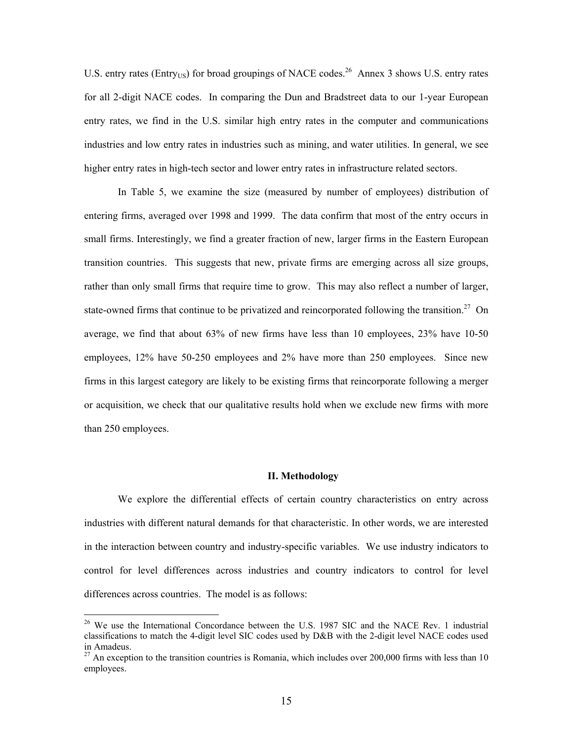U.S. entry rates (Entry<sub>US</sub>) for broad groupings of NACE codes.<sup>26</sup> Annex 3 shows U.S. entry rates for all 2-digit NACE codes. In comparing the Dun and Bradstreet data to our 1-year European entry rates, we find in the U.S. similar high entry rates in the computer and communications industries and low entry rates in industries such as mining, and water utilities. In general, we see higher entry rates in high-tech sector and lower entry rates in infrastructure related sectors.

In Table 5, we examine the size (measured by number of employees) distribution of entering firms, averaged over 1998 and 1999. The data confirm that most of the entry occurs in small firms. Interestingly, we find a greater fraction of new, larger firms in the Eastern European transition countries. This suggests that new, private firms are emerging across all size groups, rather than only small firms that require time to grow. This may also reflect a number of larger, state-owned firms that continue to be privatized and reincorporated following the transition.<sup>27</sup> On average, we find that about 63% of new firms have less than 10 employees, 23% have 10-50 employees, 12% have 50-250 employees and 2% have more than 250 employees. Since new firms in this largest category are likely to be existing firms that reincorporate following a merger or acquisition, we check that our qualitative results hold when we exclude new firms with more than 250 employees.

### **II. Methodology**

We explore the differential effects of certain country characteristics on entry across industries with different natural demands for that characteristic. In other words, we are interested in the interaction between country and industry-specific variables. We use industry indicators to control for level differences across industries and country indicators to control for level differences across countries. The model is as follows:

<span id="page-16-0"></span><sup>&</sup>lt;sup>26</sup> We use the International Concordance between the U.S. 1987 SIC and the NACE Rev. 1 industrial classifications to match the 4-digit level SIC codes used by D&B with the 2-digit level NACE codes used in Amadeus.

<span id="page-16-1"></span> $27$  An exception to the transition countries is Romania, which includes over 200,000 firms with less than 10 employees.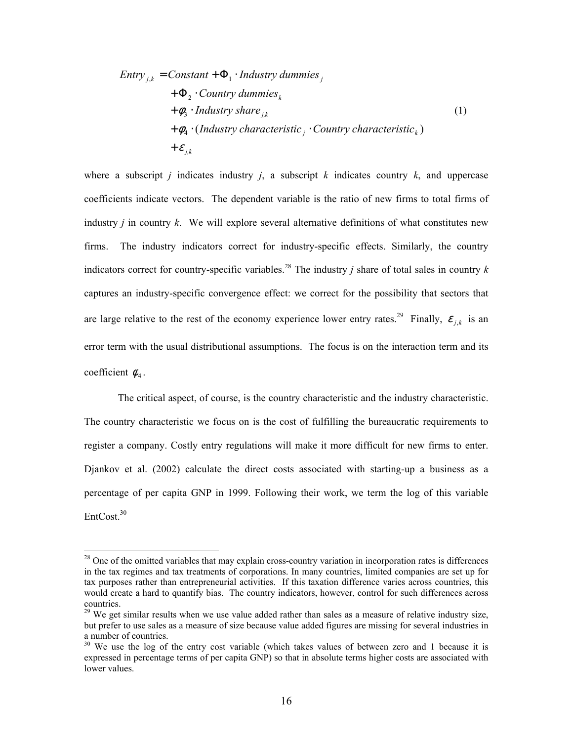$$
Entry_{j,k} = Constant + \Phi_1 \cdot Industry \, dummies_j
$$
  
+  $\Phi_2 \cdot Country \, dummies_k$   
+  $\phi_3 \cdot Industry \, share_{j,k}$   
+  $\phi_4 \cdot (Industry \, characteristic_j \cdot Country \, characteristic_k)$   
+  $\varepsilon_{j,k}$  (1)

where a subscript *j* indicates industry *j*, a subscript *k* indicates country *k*, and uppercase coefficients indicate vectors. The dependent variable is the ratio of new firms to total firms of industry *j* in country *k*. We will explore several alternative definitions of what constitutes new firms. The industry indicators correct for industry-specific effects. Similarly, the country indicators correct for country-specific variables.<sup>28</sup> The industry *j* share of total sales in country  $k$ captures an industry-specific convergence effect: we correct for the possibility that sectors that are large relative to the rest of the economy experience lower entry rates.<sup>29</sup> Finally,  $\mathcal{E}_{i,k}$  is an error term with the usual distributional assumptions. The focus is on the interaction term and its coefficient  $\phi_4$ .

 The critical aspect, of course, is the country characteristic and the industry characteristic. The country characteristic we focus on is the cost of fulfilling the bureaucratic requirements to register a company. Costly entry regulations will make it more difficult for new firms to enter. Djankov et al. (2002) calculate the direct costs associated with starting-up a business as a percentage of per capita GNP in 1999. Following their work, we term the log of this variable  $EntCost<sup>30</sup>$ 

<span id="page-17-0"></span><sup>&</sup>lt;sup>28</sup> One of the omitted variables that may explain cross-country variation in incorporation rates is differences in the tax regimes and tax treatments of corporations. In many countries, limited companies are set up for tax purposes rather than entrepreneurial activities. If this taxation difference varies across countries, this would create a hard to quantify bias. The country indicators, however, control for such differences across countries.

<span id="page-17-1"></span><sup>&</sup>lt;sup>29</sup> We get similar results when we use value added rather than sales as a measure of relative industry size, but prefer to use sales as a measure of size because value added figures are missing for several industries in a number of countries.

<span id="page-17-2"></span><sup>&</sup>lt;sup>30</sup> We use the log of the entry cost variable (which takes values of between zero and 1 because it is expressed in percentage terms of per capita GNP) so that in absolute terms higher costs are associated with lower values.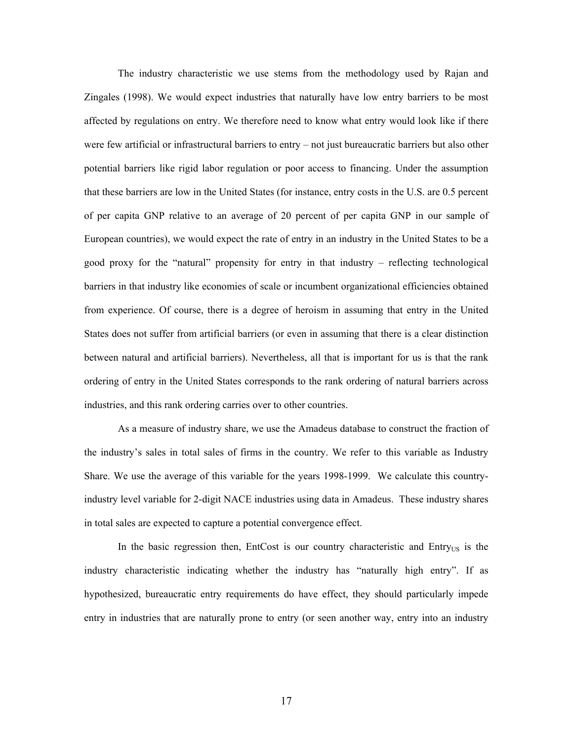The industry characteristic we use stems from the methodology used by Rajan and Zingales (1998). We would expect industries that naturally have low entry barriers to be most affected by regulations on entry. We therefore need to know what entry would look like if there were few artificial or infrastructural barriers to entry – not just bureaucratic barriers but also other potential barriers like rigid labor regulation or poor access to financing. Under the assumption that these barriers are low in the United States (for instance, entry costs in the U.S. are 0.5 percent of per capita GNP relative to an average of 20 percent of per capita GNP in our sample of European countries), we would expect the rate of entry in an industry in the United States to be a good proxy for the "natural" propensity for entry in that industry – reflecting technological barriers in that industry like economies of scale or incumbent organizational efficiencies obtained from experience. Of course, there is a degree of heroism in assuming that entry in the United States does not suffer from artificial barriers (or even in assuming that there is a clear distinction between natural and artificial barriers). Nevertheless, all that is important for us is that the rank ordering of entry in the United States corresponds to the rank ordering of natural barriers across industries, and this rank ordering carries over to other countries.

As a measure of industry share, we use the Amadeus database to construct the fraction of the industry's sales in total sales of firms in the country. We refer to this variable as Industry Share. We use the average of this variable for the years 1998-1999. We calculate this countryindustry level variable for 2-digit NACE industries using data in Amadeus. These industry shares in total sales are expected to capture a potential convergence effect.

In the basic regression then, EntCost is our country characteristic and Entry<sub>US</sub> is the industry characteristic indicating whether the industry has "naturally high entry". If as hypothesized, bureaucratic entry requirements do have effect, they should particularly impede entry in industries that are naturally prone to entry (or seen another way, entry into an industry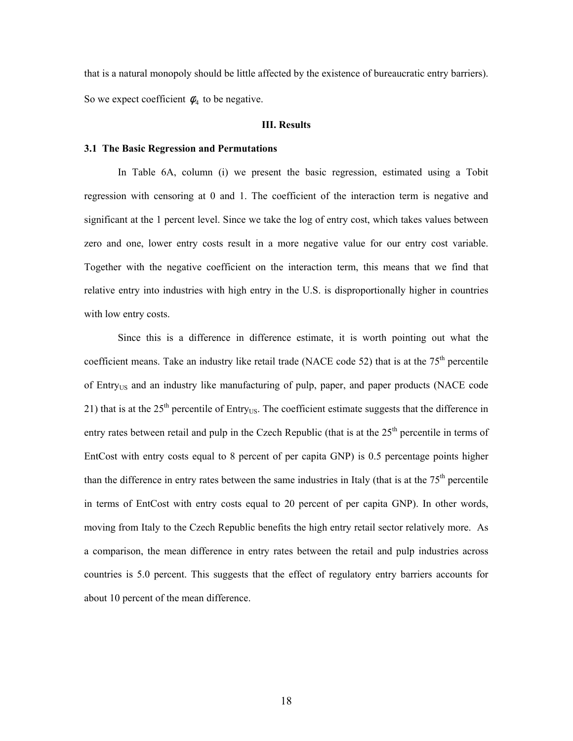that is a natural monopoly should be little affected by the existence of bureaucratic entry barriers). So we expect coefficient  $\phi_4$  to be negative.

### **III. Results**

# **3.1 The Basic Regression and Permutations**

In Table 6A, column (i) we present the basic regression, estimated using a Tobit regression with censoring at 0 and 1. The coefficient of the interaction term is negative and significant at the 1 percent level. Since we take the log of entry cost, which takes values between zero and one, lower entry costs result in a more negative value for our entry cost variable. Together with the negative coefficient on the interaction term, this means that we find that relative entry into industries with high entry in the U.S. is disproportionally higher in countries with low entry costs.

Since this is a difference in difference estimate, it is worth pointing out what the coefficient means. Take an industry like retail trade (NACE code 52) that is at the  $75<sup>th</sup>$  percentile of Entry<sub>US</sub> and an industry like manufacturing of pulp, paper, and paper products (NACE code 21) that is at the  $25<sup>th</sup>$  percentile of Entry<sub>US</sub>. The coefficient estimate suggests that the difference in entry rates between retail and pulp in the Czech Republic (that is at the  $25<sup>th</sup>$  percentile in terms of EntCost with entry costs equal to 8 percent of per capita GNP) is 0.5 percentage points higher than the difference in entry rates between the same industries in Italy (that is at the  $75<sup>th</sup>$  percentile in terms of EntCost with entry costs equal to 20 percent of per capita GNP). In other words, moving from Italy to the Czech Republic benefits the high entry retail sector relatively more. As a comparison, the mean difference in entry rates between the retail and pulp industries across countries is 5.0 percent. This suggests that the effect of regulatory entry barriers accounts for about 10 percent of the mean difference.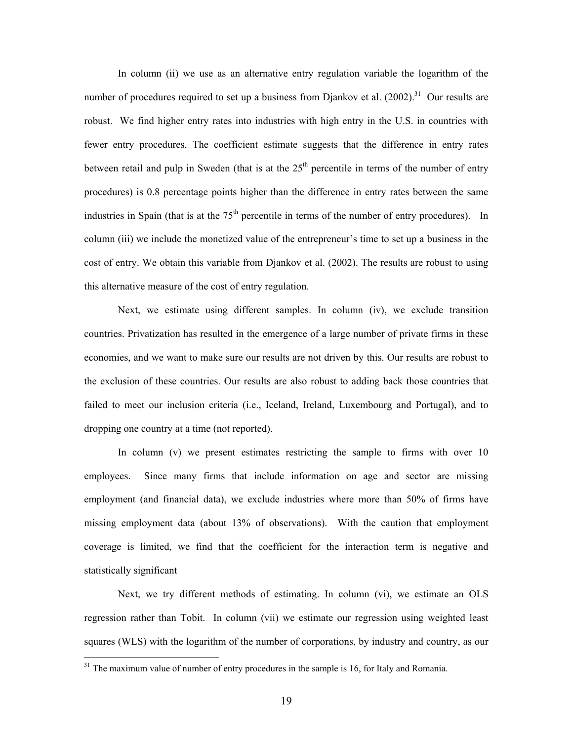In column (ii) we use as an alternative entry regulation variable the logarithm of the number of procedures required to set up a business from Djankov et al.  $(2002)$ <sup>31</sup> Our results are robust. We find higher entry rates into industries with high entry in the U.S. in countries with fewer entry procedures. The coefficient estimate suggests that the difference in entry rates between retail and pulp in Sweden (that is at the  $25<sup>th</sup>$  percentile in terms of the number of entry procedures) is 0.8 percentage points higher than the difference in entry rates between the same industries in Spain (that is at the  $75<sup>th</sup>$  percentile in terms of the number of entry procedures). In column (iii) we include the monetized value of the entrepreneur's time to set up a business in the cost of entry. We obtain this variable from Djankov et al. (2002). The results are robust to using this alternative measure of the cost of entry regulation.

Next, we estimate using different samples. In column (iv), we exclude transition countries. Privatization has resulted in the emergence of a large number of private firms in these economies, and we want to make sure our results are not driven by this. Our results are robust to the exclusion of these countries. Our results are also robust to adding back those countries that failed to meet our inclusion criteria (i.e., Iceland, Ireland, Luxembourg and Portugal), and to dropping one country at a time (not reported).

In column (v) we present estimates restricting the sample to firms with over 10 employees. Since many firms that include information on age and sector are missing employment (and financial data), we exclude industries where more than 50% of firms have missing employment data (about 13% of observations). With the caution that employment coverage is limited, we find that the coefficient for the interaction term is negative and statistically significant

Next, we try different methods of estimating. In column (vi), we estimate an OLS regression rather than Tobit. In column (vii) we estimate our regression using weighted least squares (WLS) with the logarithm of the number of corporations, by industry and country, as our

<span id="page-20-0"></span> $31$  The maximum value of number of entry procedures in the sample is 16, for Italy and Romania.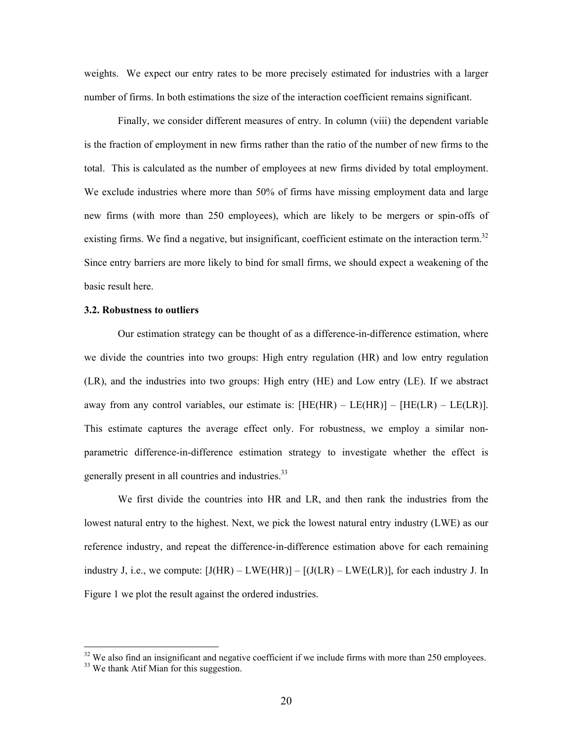weights. We expect our entry rates to be more precisely estimated for industries with a larger number of firms. In both estimations the size of the interaction coefficient remains significant.

Finally, we consider different measures of entry. In column (viii) the dependent variable is the fraction of employment in new firms rather than the ratio of the number of new firms to the total. This is calculated as the number of employees at new firms divided by total employment. We exclude industries where more than 50% of firms have missing employment data and large new firms (with more than 250 employees), which are likely to be mergers or spin-offs of existing firms. We find a negative, but insignificant, coefficient estimate on the interaction term.<sup>32</sup> Since entry barriers are more likely to bind for small firms, we should expect a weakening of the basic result here.

# **3.2. Robustness to outliers**

Our estimation strategy can be thought of as a difference-in-difference estimation, where we divide the countries into two groups: High entry regulation (HR) and low entry regulation (LR), and the industries into two groups: High entry (HE) and Low entry (LE). If we abstract away from any control variables, our estimate is:  $[HE(HR) - LE(HR)] - [HE(LR) - LE(LR)]$ . This estimate captures the average effect only. For robustness, we employ a similar nonparametric difference-in-difference estimation strategy to investigate whether the effect is generally present in all countries and industries.<sup>[33](#page-21-1)</sup>

We first divide the countries into HR and LR, and then rank the industries from the lowest natural entry to the highest. Next, we pick the lowest natural entry industry (LWE) as our reference industry, and repeat the difference-in-difference estimation above for each remaining industry J, i.e., we compute:  $[J(HR) - LWE(HR)] - [(J(LR) - LWE(LR)]$ , for each industry J. In Figure 1 we plot the result against the ordered industries.

<span id="page-21-0"></span> $32$  We also find an insignificant and negative coefficient if we include firms with more than 250 employees.  $33$  We thank Atif Mian for this suggestion.

<span id="page-21-1"></span>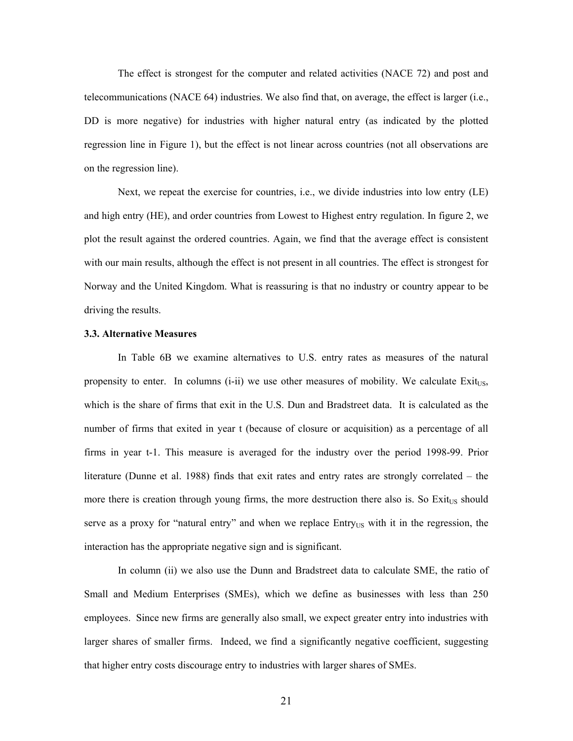The effect is strongest for the computer and related activities (NACE 72) and post and telecommunications (NACE 64) industries. We also find that, on average, the effect is larger (i.e., DD is more negative) for industries with higher natural entry (as indicated by the plotted regression line in Figure 1), but the effect is not linear across countries (not all observations are on the regression line).

Next, we repeat the exercise for countries, i.e., we divide industries into low entry (LE) and high entry (HE), and order countries from Lowest to Highest entry regulation. In figure 2, we plot the result against the ordered countries. Again, we find that the average effect is consistent with our main results, although the effect is not present in all countries. The effect is strongest for Norway and the United Kingdom. What is reassuring is that no industry or country appear to be driving the results.

# **3.3. Alternative Measures**

In Table 6B we examine alternatives to U.S. entry rates as measures of the natural propensity to enter. In columns  $(i-i)$  we use other measures of mobility. We calculate Exit<sub>US</sub>, which is the share of firms that exit in the U.S. Dun and Bradstreet data. It is calculated as the number of firms that exited in year t (because of closure or acquisition) as a percentage of all firms in year t-1. This measure is averaged for the industry over the period 1998-99. Prior literature (Dunne et al. 1988) finds that exit rates and entry rates are strongly correlated – the more there is creation through young firms, the more destruction there also is. So Exit $_{US}$  should serve as a proxy for "natural entry" and when we replace  $Entry_{US}$  with it in the regression, the interaction has the appropriate negative sign and is significant.

In column (ii) we also use the Dunn and Bradstreet data to calculate SME, the ratio of Small and Medium Enterprises (SMEs), which we define as businesses with less than 250 employees. Since new firms are generally also small, we expect greater entry into industries with larger shares of smaller firms. Indeed, we find a significantly negative coefficient, suggesting that higher entry costs discourage entry to industries with larger shares of SMEs.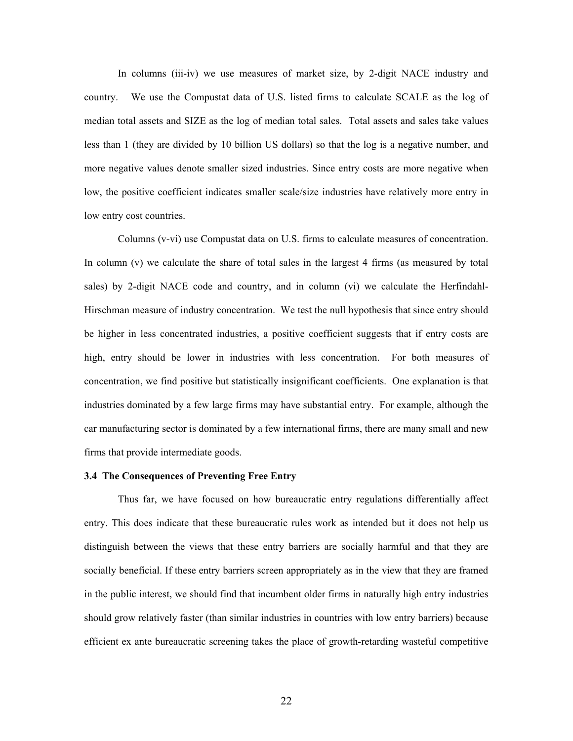In columns (iii-iv) we use measures of market size, by 2-digit NACE industry and country. We use the Compustat data of U.S. listed firms to calculate SCALE as the log of median total assets and SIZE as the log of median total sales. Total assets and sales take values less than 1 (they are divided by 10 billion US dollars) so that the log is a negative number, and more negative values denote smaller sized industries. Since entry costs are more negative when low, the positive coefficient indicates smaller scale/size industries have relatively more entry in low entry cost countries.

Columns (v-vi) use Compustat data on U.S. firms to calculate measures of concentration. In column (v) we calculate the share of total sales in the largest 4 firms (as measured by total sales) by 2-digit NACE code and country, and in column (vi) we calculate the Herfindahl-Hirschman measure of industry concentration. We test the null hypothesis that since entry should be higher in less concentrated industries, a positive coefficient suggests that if entry costs are high, entry should be lower in industries with less concentration. For both measures of concentration, we find positive but statistically insignificant coefficients. One explanation is that industries dominated by a few large firms may have substantial entry. For example, although the car manufacturing sector is dominated by a few international firms, there are many small and new firms that provide intermediate goods.

### **3.4 The Consequences of Preventing Free Entry**

Thus far, we have focused on how bureaucratic entry regulations differentially affect entry. This does indicate that these bureaucratic rules work as intended but it does not help us distinguish between the views that these entry barriers are socially harmful and that they are socially beneficial. If these entry barriers screen appropriately as in the view that they are framed in the public interest, we should find that incumbent older firms in naturally high entry industries should grow relatively faster (than similar industries in countries with low entry barriers) because efficient ex ante bureaucratic screening takes the place of growth-retarding wasteful competitive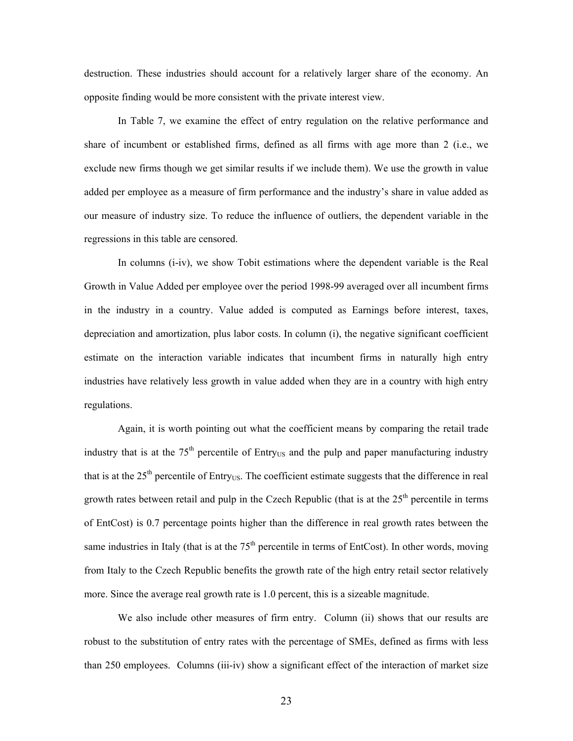destruction. These industries should account for a relatively larger share of the economy. An opposite finding would be more consistent with the private interest view.

In Table 7, we examine the effect of entry regulation on the relative performance and share of incumbent or established firms, defined as all firms with age more than 2 (i.e., we exclude new firms though we get similar results if we include them). We use the growth in value added per employee as a measure of firm performance and the industry's share in value added as our measure of industry size. To reduce the influence of outliers, the dependent variable in the regressions in this table are censored.

In columns (i-iv), we show Tobit estimations where the dependent variable is the Real Growth in Value Added per employee over the period 1998-99 averaged over all incumbent firms in the industry in a country. Value added is computed as Earnings before interest, taxes, depreciation and amortization, plus labor costs. In column (i), the negative significant coefficient estimate on the interaction variable indicates that incumbent firms in naturally high entry industries have relatively less growth in value added when they are in a country with high entry regulations.

Again, it is worth pointing out what the coefficient means by comparing the retail trade industry that is at the  $75<sup>th</sup>$  percentile of Entry<sub>US</sub> and the pulp and paper manufacturing industry that is at the  $25<sup>th</sup>$  percentile of Entry<sub>US</sub>. The coefficient estimate suggests that the difference in real growth rates between retail and pulp in the Czech Republic (that is at the  $25<sup>th</sup>$  percentile in terms of EntCost) is 0.7 percentage points higher than the difference in real growth rates between the same industries in Italy (that is at the  $75<sup>th</sup>$  percentile in terms of EntCost). In other words, moving from Italy to the Czech Republic benefits the growth rate of the high entry retail sector relatively more. Since the average real growth rate is 1.0 percent, this is a sizeable magnitude.

We also include other measures of firm entry. Column (ii) shows that our results are robust to the substitution of entry rates with the percentage of SMEs, defined as firms with less than 250 employees. Columns (iii-iv) show a significant effect of the interaction of market size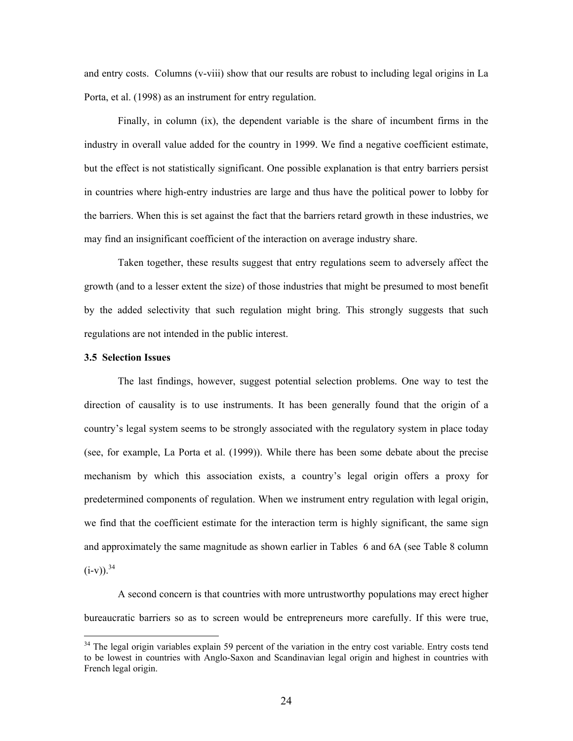and entry costs. Columns (v-viii) show that our results are robust to including legal origins in La Porta, et al. (1998) as an instrument for entry regulation.

Finally, in column (ix), the dependent variable is the share of incumbent firms in the industry in overall value added for the country in 1999. We find a negative coefficient estimate, but the effect is not statistically significant. One possible explanation is that entry barriers persist in countries where high-entry industries are large and thus have the political power to lobby for the barriers. When this is set against the fact that the barriers retard growth in these industries, we may find an insignificant coefficient of the interaction on average industry share.

Taken together, these results suggest that entry regulations seem to adversely affect the growth (and to a lesser extent the size) of those industries that might be presumed to most benefit by the added selectivity that such regulation might bring. This strongly suggests that such regulations are not intended in the public interest.

## **3.5 Selection Issues**

 $\overline{a}$ 

The last findings, however, suggest potential selection problems. One way to test the direction of causality is to use instruments. It has been generally found that the origin of a country's legal system seems to be strongly associated with the regulatory system in place today (see, for example, La Porta et al. (1999)). While there has been some debate about the precise mechanism by which this association exists, a country's legal origin offers a proxy for predetermined components of regulation. When we instrument entry regulation with legal origin, we find that the coefficient estimate for the interaction term is highly significant, the same sign and approximately the same magnitude as shown earlier in Tables 6 and 6A (see Table 8 column  $(i-v)$ .  $34$ 

A second concern is that countries with more untrustworthy populations may erect higher bureaucratic barriers so as to screen would be entrepreneurs more carefully. If this were true,

<span id="page-25-0"></span><sup>&</sup>lt;sup>34</sup> The legal origin variables explain 59 percent of the variation in the entry cost variable. Entry costs tend to be lowest in countries with Anglo-Saxon and Scandinavian legal origin and highest in countries with French legal origin.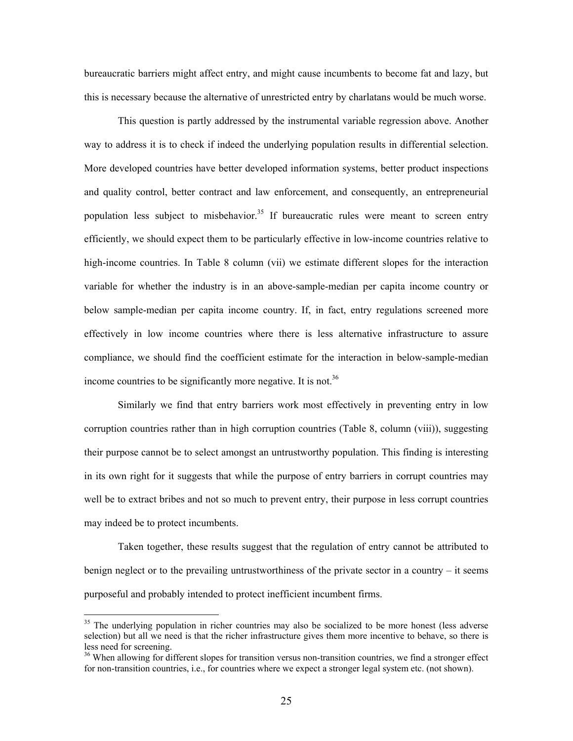bureaucratic barriers might affect entry, and might cause incumbents to become fat and lazy, but this is necessary because the alternative of unrestricted entry by charlatans would be much worse.

This question is partly addressed by the instrumental variable regression above. Another way to address it is to check if indeed the underlying population results in differential selection. More developed countries have better developed information systems, better product inspections and quality control, better contract and law enforcement, and consequently, an entrepreneurial population less subject to misbehavior.<sup>35</sup> If bureaucratic rules were meant to screen entry efficiently, we should expect them to be particularly effective in low-income countries relative to high-income countries. In Table 8 column (vii) we estimate different slopes for the interaction variable for whether the industry is in an above-sample-median per capita income country or below sample-median per capita income country. If, in fact, entry regulations screened more effectively in low income countries where there is less alternative infrastructure to assure compliance, we should find the coefficient estimate for the interaction in below-sample-median income countries to be significantly more negative. It is not.<sup>36</sup>

Similarly we find that entry barriers work most effectively in preventing entry in low corruption countries rather than in high corruption countries (Table 8, column (viii)), suggesting their purpose cannot be to select amongst an untrustworthy population. This finding is interesting in its own right for it suggests that while the purpose of entry barriers in corrupt countries may well be to extract bribes and not so much to prevent entry, their purpose in less corrupt countries may indeed be to protect incumbents.

Taken together, these results suggest that the regulation of entry cannot be attributed to benign neglect or to the prevailing untrustworthiness of the private sector in a country – it seems purposeful and probably intended to protect inefficient incumbent firms.

<span id="page-26-0"></span><sup>&</sup>lt;sup>35</sup> The underlying population in richer countries may also be socialized to be more honest (less adverse selection) but all we need is that the richer infrastructure gives them more incentive to behave, so there is less need for screening.

<span id="page-26-1"></span><sup>&</sup>lt;sup>36</sup> When allowing for different slopes for transition versus non-transition countries, we find a stronger effect for non-transition countries, i.e., for countries where we expect a stronger legal system etc. (not shown).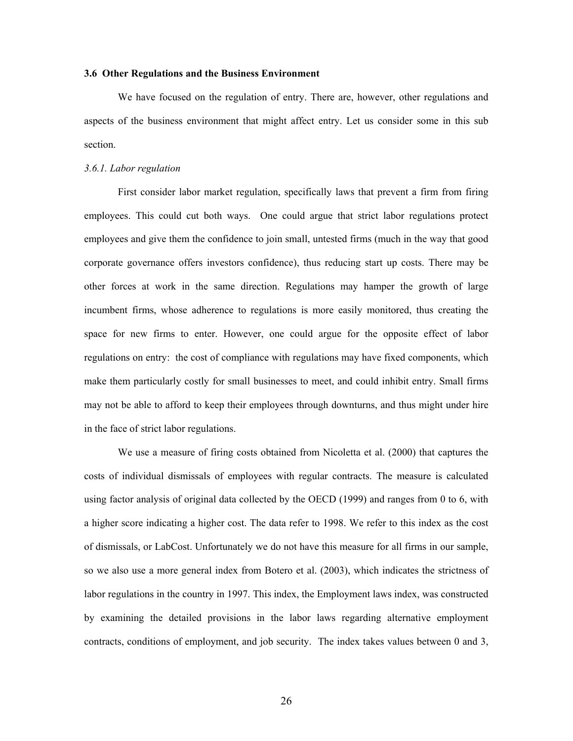### **3.6 Other Regulations and the Business Environment**

We have focused on the regulation of entry. There are, however, other regulations and aspects of the business environment that might affect entry. Let us consider some in this sub section.

#### *3.6.1. Labor regulation*

First consider labor market regulation, specifically laws that prevent a firm from firing employees. This could cut both ways. One could argue that strict labor regulations protect employees and give them the confidence to join small, untested firms (much in the way that good corporate governance offers investors confidence), thus reducing start up costs. There may be other forces at work in the same direction. Regulations may hamper the growth of large incumbent firms, whose adherence to regulations is more easily monitored, thus creating the space for new firms to enter. However, one could argue for the opposite effect of labor regulations on entry: the cost of compliance with regulations may have fixed components, which make them particularly costly for small businesses to meet, and could inhibit entry. Small firms may not be able to afford to keep their employees through downturns, and thus might under hire in the face of strict labor regulations.

We use a measure of firing costs obtained from Nicoletta et al. (2000) that captures the costs of individual dismissals of employees with regular contracts. The measure is calculated using factor analysis of original data collected by the OECD (1999) and ranges from 0 to 6, with a higher score indicating a higher cost. The data refer to 1998. We refer to this index as the cost of dismissals, or LabCost. Unfortunately we do not have this measure for all firms in our sample, so we also use a more general index from Botero et al. (2003), which indicates the strictness of labor regulations in the country in 1997. This index, the Employment laws index, was constructed by examining the detailed provisions in the labor laws regarding alternative employment contracts, conditions of employment, and job security. The index takes values between 0 and 3,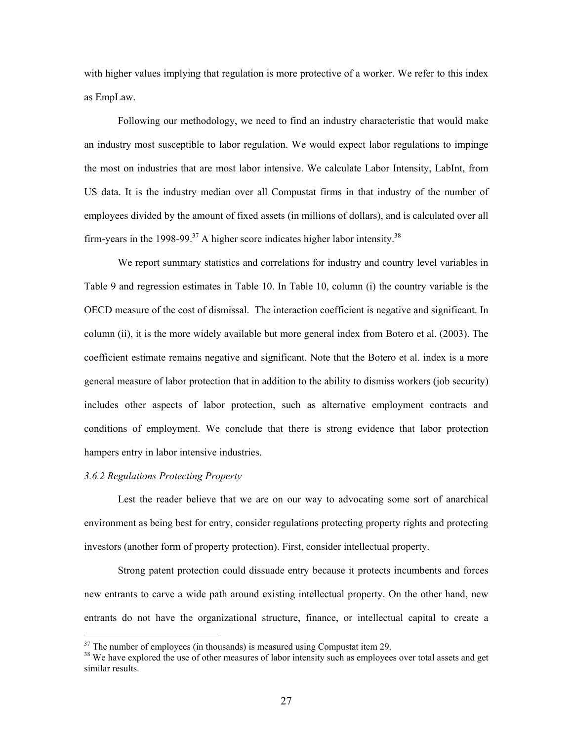with higher values implying that regulation is more protective of a worker. We refer to this index as EmpLaw.

Following our methodology, we need to find an industry characteristic that would make an industry most susceptible to labor regulation. We would expect labor regulations to impinge the most on industries that are most labor intensive. We calculate Labor Intensity, LabInt, from US data. It is the industry median over all Compustat firms in that industry of the number of employees divided by the amount of fixed assets (in millions of dollars), and is calculated over all firm-years in the 1998-99.<sup>37</sup> A higher score indicates higher labor intensity.<sup>38</sup>

We report summary statistics and correlations for industry and country level variables in Table 9 and regression estimates in Table 10. In Table 10, column (i) the country variable is the OECD measure of the cost of dismissal. The interaction coefficient is negative and significant. In column (ii), it is the more widely available but more general index from Botero et al. (2003). The coefficient estimate remains negative and significant. Note that the Botero et al. index is a more general measure of labor protection that in addition to the ability to dismiss workers (job security) includes other aspects of labor protection, such as alternative employment contracts and conditions of employment. We conclude that there is strong evidence that labor protection hampers entry in labor intensive industries.

### *3.6.2 Regulations Protecting Property*

 $\overline{a}$ 

Lest the reader believe that we are on our way to advocating some sort of anarchical environment as being best for entry, consider regulations protecting property rights and protecting investors (another form of property protection). First, consider intellectual property.

Strong patent protection could dissuade entry because it protects incumbents and forces new entrants to carve a wide path around existing intellectual property. On the other hand, new entrants do not have the organizational structure, finance, or intellectual capital to create a

<span id="page-28-0"></span> $37$  The number of employees (in thousands) is measured using Compustat item 29.

<span id="page-28-1"></span><sup>&</sup>lt;sup>38</sup> We have explored the use of other measures of labor intensity such as employees over total assets and get similar results.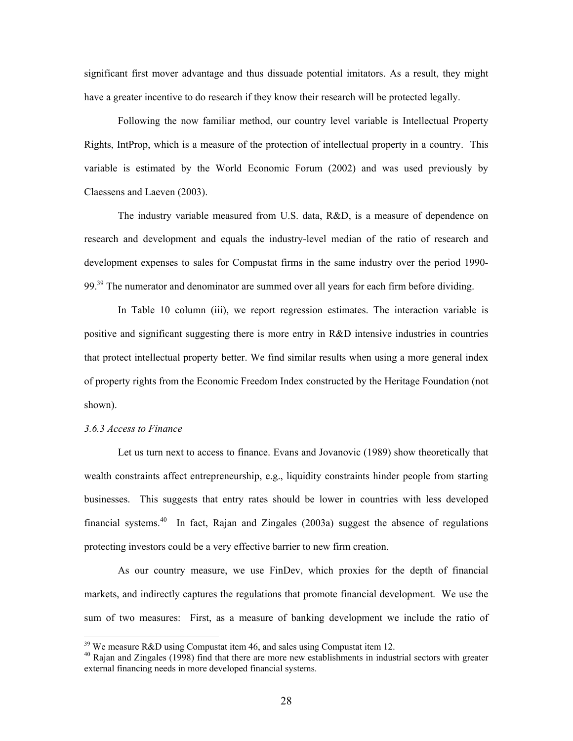significant first mover advantage and thus dissuade potential imitators. As a result, they might have a greater incentive to do research if they know their research will be protected legally.

Following the now familiar method, our country level variable is Intellectual Property Rights, IntProp, which is a measure of the protection of intellectual property in a country. This variable is estimated by the World Economic Forum (2002) and was used previously by Claessens and Laeven (2003).

The industry variable measured from U.S. data, R&D, is a measure of dependence on research and development and equals the industry-level median of the ratio of research and development expenses to sales for Compustat firms in the same industry over the period 1990- 99.<sup>39</sup> The numerator and denominator are summed over all years for each firm before dividing.

In Table 10 column (iii), we report regression estimates. The interaction variable is positive and significant suggesting there is more entry in R&D intensive industries in countries that protect intellectual property better. We find similar results when using a more general index of property rights from the Economic Freedom Index constructed by the Heritage Foundation (not shown).

### *3.6.3 Access to Finance*

 $\overline{a}$ 

Let us turn next to access to finance. Evans and Jovanovic (1989) show theoretically that wealth constraints affect entrepreneurship, e.g., liquidity constraints hinder people from starting businesses. This suggests that entry rates should be lower in countries with less developed financial systems.<sup>40</sup> In fact, Rajan and Zingales  $(2003a)$  suggest the absence of regulations protecting investors could be a very effective barrier to new firm creation.

As our country measure, we use FinDev, which proxies for the depth of financial markets, and indirectly captures the regulations that promote financial development. We use the sum of two measures: First, as a measure of banking development we include the ratio of

<span id="page-29-0"></span> $39$  We measure R&D using Compustat item 46, and sales using Compustat item 12.

<span id="page-29-1"></span><sup>&</sup>lt;sup>40</sup> Rajan and Zingales (1998) find that there are more new establishments in industrial sectors with greater external financing needs in more developed financial systems.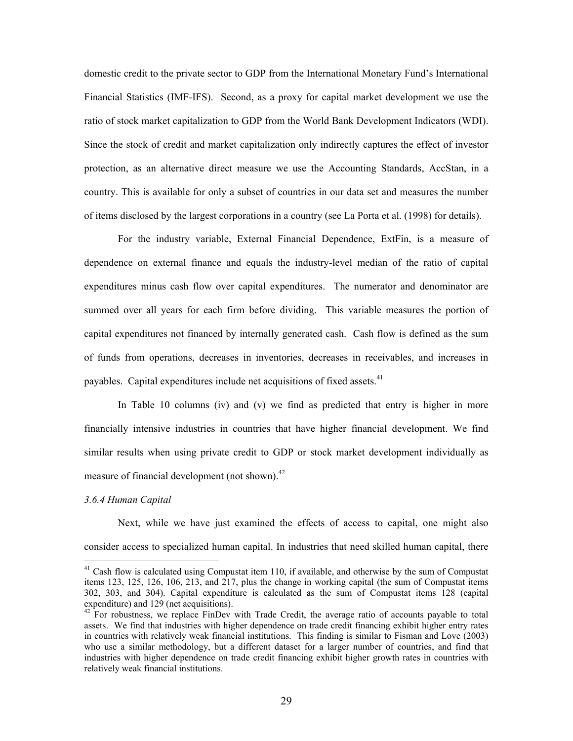domestic credit to the private sector to GDP from the International Monetary Fund's International Financial Statistics (IMF-IFS). Second, as a proxy for capital market development we use the ratio of stock market capitalization to GDP from the World Bank Development Indicators (WDI). Since the stock of credit and market capitalization only indirectly captures the effect of investor protection, as an alternative direct measure we use the Accounting Standards, AccStan, in a country. This is available for only a subset of countries in our data set and measures the number of items disclosed by the largest corporations in a country (see La Porta et al. (1998) for details).

For the industry variable, External Financial Dependence, ExtFin, is a measure of dependence on external finance and equals the industry-level median of the ratio of capital expenditures minus cash flow over capital expenditures. The numerator and denominator are summed over all years for each firm before dividing. This variable measures the portion of capital expenditures not financed by internally generated cash. Cash flow is defined as the sum of funds from operations, decreases in inventories, decreases in receivables, and increases in payables. Capital expenditures include net acquisitions of fixed assets. $41$ 

In Table 10 columns (iv) and (v) we find as predicted that entry is higher in more financially intensive industries in countries that have higher financial development. We find similar results when using private credit to GDP or stock market development individually as measure of financial development (not shown). $42$ 

# *3.6.4 Human Capital*

 $\overline{a}$ 

Next, while we have just examined the effects of access to capital, one might also consider access to specialized human capital. In industries that need skilled human capital, there

<span id="page-30-0"></span> $41$  Cash flow is calculated using Compustat item 110, if available, and otherwise by the sum of Compustat items 123, 125, 126, 106, 213, and 217, plus the change in working capital (the sum of Compustat items 302, 303, and 304). Capital expenditure is calculated as the sum of Compustat items 128 (capital expenditure) and 129 (net acquisitions).

<span id="page-30-1"></span> $42$  For robustness, we replace FinDev with Trade Credit, the average ratio of accounts payable to total assets. We find that industries with higher dependence on trade credit financing exhibit higher entry rates in countries with relatively weak financial institutions. This finding is similar to Fisman and Love (2003) who use a similar methodology, but a different dataset for a larger number of countries, and find that industries with higher dependence on trade credit financing exhibit higher growth rates in countries with relatively weak financial institutions.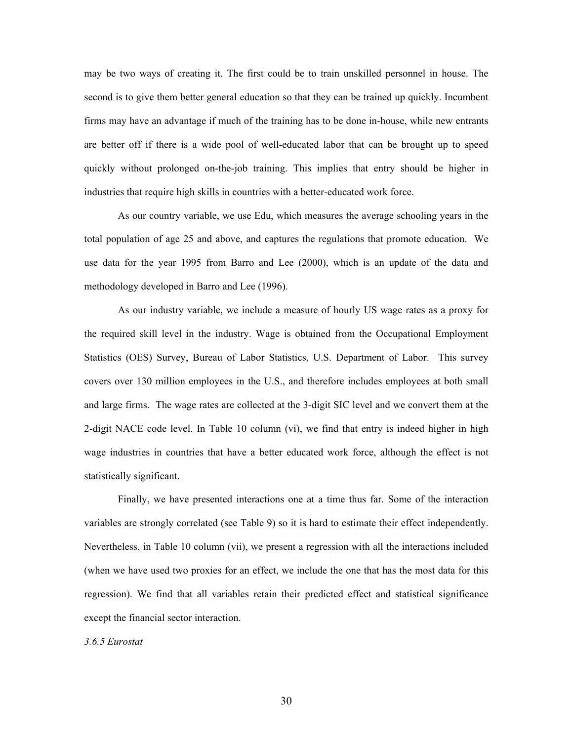may be two ways of creating it. The first could be to train unskilled personnel in house. The second is to give them better general education so that they can be trained up quickly. Incumbent firms may have an advantage if much of the training has to be done in-house, while new entrants are better off if there is a wide pool of well-educated labor that can be brought up to speed quickly without prolonged on-the-job training. This implies that entry should be higher in industries that require high skills in countries with a better-educated work force.

As our country variable, we use Edu, which measures the average schooling years in the total population of age 25 and above, and captures the regulations that promote education. We use data for the year 1995 from Barro and Lee (2000), which is an update of the data and methodology developed in Barro and Lee (1996).

As our industry variable, we include a measure of hourly US wage rates as a proxy for the required skill level in the industry. Wage is obtained from the Occupational Employment Statistics (OES) Survey, Bureau of Labor Statistics, U.S. Department of Labor. This survey covers over 130 million employees in the U.S., and therefore includes employees at both small and large firms. The wage rates are collected at the 3-digit SIC level and we convert them at the 2-digit NACE code level. In Table 10 column (vi), we find that entry is indeed higher in high wage industries in countries that have a better educated work force, although the effect is not statistically significant.

Finally, we have presented interactions one at a time thus far. Some of the interaction variables are strongly correlated (see Table 9) so it is hard to estimate their effect independently. Nevertheless, in Table 10 column (vii), we present a regression with all the interactions included (when we have used two proxies for an effect, we include the one that has the most data for this regression). We find that all variables retain their predicted effect and statistical significance except the financial sector interaction.

## *3.6.5 Eurostat*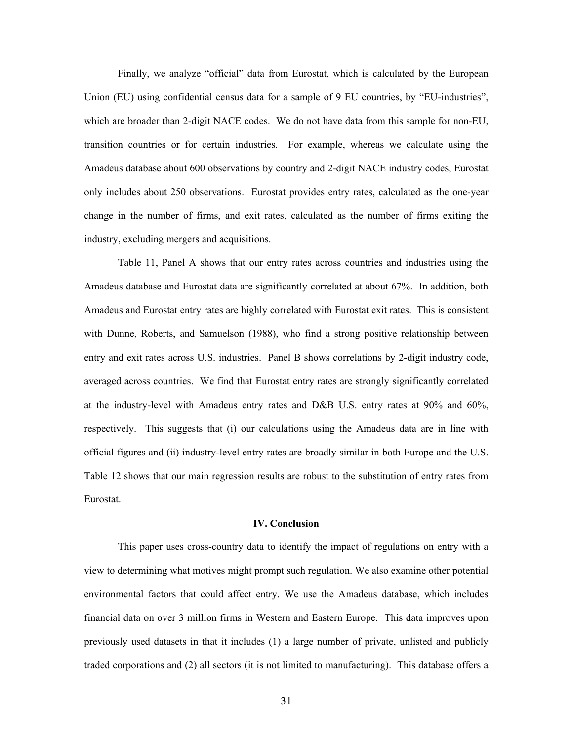Finally, we analyze "official" data from Eurostat, which is calculated by the European Union (EU) using confidential census data for a sample of 9 EU countries, by "EU-industries", which are broader than 2-digit NACE codes. We do not have data from this sample for non-EU, transition countries or for certain industries. For example, whereas we calculate using the Amadeus database about 600 observations by country and 2-digit NACE industry codes, Eurostat only includes about 250 observations. Eurostat provides entry rates, calculated as the one-year change in the number of firms, and exit rates, calculated as the number of firms exiting the industry, excluding mergers and acquisitions.

Table 11, Panel A shows that our entry rates across countries and industries using the Amadeus database and Eurostat data are significantly correlated at about 67%. In addition, both Amadeus and Eurostat entry rates are highly correlated with Eurostat exit rates. This is consistent with Dunne, Roberts, and Samuelson (1988), who find a strong positive relationship between entry and exit rates across U.S. industries. Panel B shows correlations by 2-digit industry code, averaged across countries. We find that Eurostat entry rates are strongly significantly correlated at the industry-level with Amadeus entry rates and D&B U.S. entry rates at 90% and 60%, respectively. This suggests that (i) our calculations using the Amadeus data are in line with official figures and (ii) industry-level entry rates are broadly similar in both Europe and the U.S. Table 12 shows that our main regression results are robust to the substitution of entry rates from Eurostat.

## **IV. Conclusion**

 This paper uses cross-country data to identify the impact of regulations on entry with a view to determining what motives might prompt such regulation. We also examine other potential environmental factors that could affect entry. We use the Amadeus database, which includes financial data on over 3 million firms in Western and Eastern Europe. This data improves upon previously used datasets in that it includes (1) a large number of private, unlisted and publicly traded corporations and (2) all sectors (it is not limited to manufacturing). This database offers a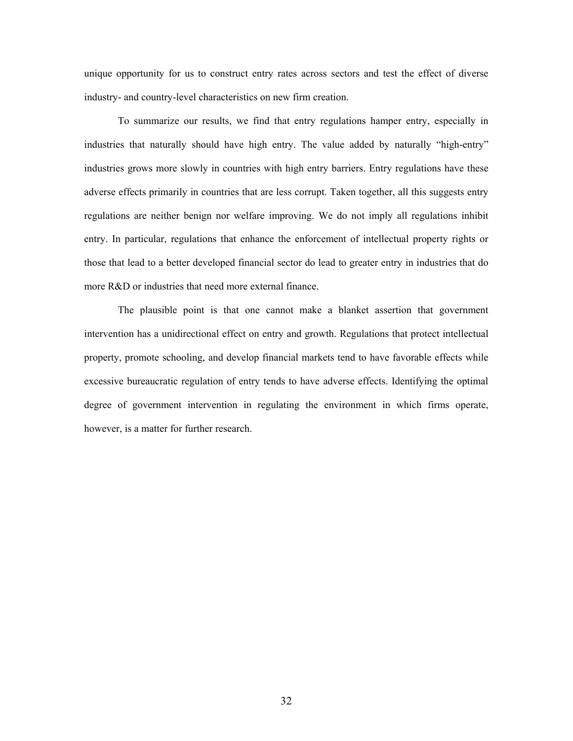unique opportunity for us to construct entry rates across sectors and test the effect of diverse industry- and country-level characteristics on new firm creation.

To summarize our results, we find that entry regulations hamper entry, especially in industries that naturally should have high entry. The value added by naturally "high-entry" industries grows more slowly in countries with high entry barriers. Entry regulations have these adverse effects primarily in countries that are less corrupt. Taken together, all this suggests entry regulations are neither benign nor welfare improving. We do not imply all regulations inhibit entry. In particular, regulations that enhance the enforcement of intellectual property rights or those that lead to a better developed financial sector do lead to greater entry in industries that do more R&D or industries that need more external finance.

The plausible point is that one cannot make a blanket assertion that government intervention has a unidirectional effect on entry and growth. Regulations that protect intellectual property, promote schooling, and develop financial markets tend to have favorable effects while excessive bureaucratic regulation of entry tends to have adverse effects. Identifying the optimal degree of government intervention in regulating the environment in which firms operate, however, is a matter for further research.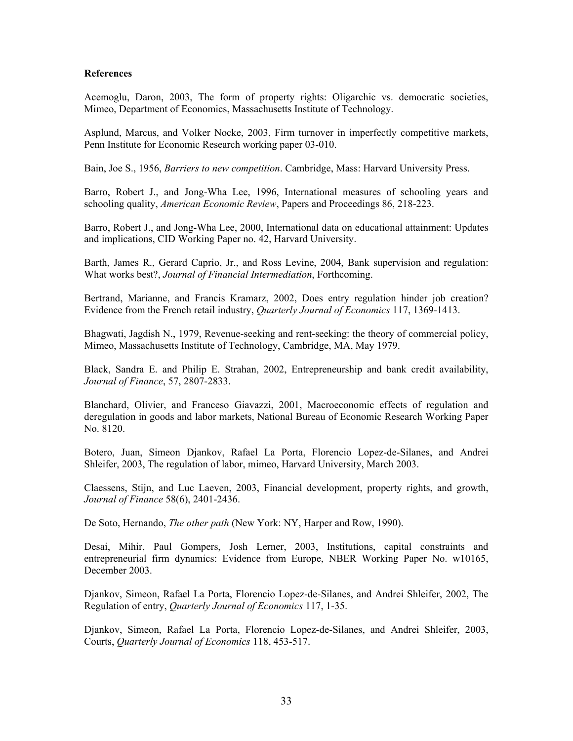## **References**

Acemoglu, Daron, 2003, The form of property rights: Oligarchic vs. democratic societies, Mimeo, Department of Economics, Massachusetts Institute of Technology.

Asplund, Marcus, and Volker Nocke, 2003, Firm turnover in imperfectly competitive markets, Penn Institute for Economic Research working paper 03-010.

Bain, Joe S., 1956, *Barriers to new competition*. Cambridge, Mass: Harvard University Press.

Barro, Robert J., and Jong-Wha Lee, 1996, International measures of schooling years and schooling quality, *American Economic Review*, Papers and Proceedings 86, 218-223.

Barro, Robert J., and Jong-Wha Lee, 2000, International data on educational attainment: Updates and implications, CID Working Paper no. 42, Harvard University.

Barth, James R., Gerard Caprio, Jr., and Ross Levine, 2004, Bank supervision and regulation: What works best?, *Journal of Financial Intermediation*, Forthcoming.

Bertrand, Marianne, and Francis Kramarz, 2002, Does entry regulation hinder job creation? Evidence from the French retail industry, *Quarterly Journal of Economics* 117, 1369-1413.

Bhagwati, Jagdish N., 1979, Revenue-seeking and rent-seeking: the theory of commercial policy, Mimeo, Massachusetts Institute of Technology, Cambridge, MA, May 1979.

Black, Sandra E. and Philip E. Strahan, 2002, Entrepreneurship and bank credit availability, *Journal of Finance*, 57, 2807-2833.

Blanchard, Olivier, and Franceso Giavazzi, 2001, Macroeconomic effects of regulation and deregulation in goods and labor markets, National Bureau of Economic Research Working Paper No. 8120.

Botero, Juan, Simeon Djankov, Rafael La Porta, Florencio Lopez-de-Silanes, and Andrei Shleifer, 2003, The regulation of labor, mimeo, Harvard University, March 2003.

Claessens, Stijn, and Luc Laeven, 2003, Financial development, property rights, and growth, *Journal of Finance* 58(6), 2401-2436.

De Soto, Hernando, *The other path* (New York: NY, Harper and Row, 1990).

Desai, Mihir, Paul Gompers, Josh Lerner, 2003, Institutions, capital constraints and entrepreneurial firm dynamics: Evidence from Europe, NBER Working Paper No. w10165, December 2003.

Djankov, Simeon, Rafael La Porta, Florencio Lopez-de-Silanes, and Andrei Shleifer, 2002, The Regulation of entry, *Quarterly Journal of Economics* 117, 1-35.

Djankov, Simeon, Rafael La Porta, Florencio Lopez-de-Silanes, and Andrei Shleifer, 2003, Courts, *Quarterly Journal of Economics* 118, 453-517.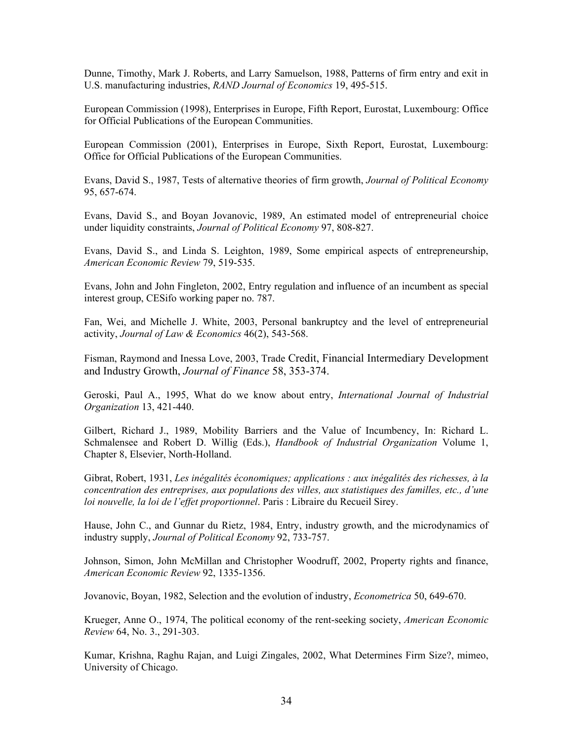Dunne, Timothy, Mark J. Roberts, and Larry Samuelson, 1988, Patterns of firm entry and exit in U.S. manufacturing industries, *RAND Journal of Economics* 19, 495-515.

European Commission (1998), Enterprises in Europe, Fifth Report, Eurostat, Luxembourg: Office for Official Publications of the European Communities.

European Commission (2001), Enterprises in Europe, Sixth Report, Eurostat, Luxembourg: Office for Official Publications of the European Communities.

Evans, David S., 1987, Tests of alternative theories of firm growth, *Journal of Political Economy* 95, 657-674.

Evans, David S., and Boyan Jovanovic, 1989, An estimated model of entrepreneurial choice under liquidity constraints, *Journal of Political Economy* 97, 808-827.

Evans, David S., and Linda S. Leighton, 1989, Some empirical aspects of entrepreneurship, *American Economic Review* 79, 519-535.

Evans, John and John Fingleton, 2002, Entry regulation and influence of an incumbent as special interest group, CESifo working paper no. 787.

Fan, Wei, and Michelle J. White, 2003, Personal bankruptcy and the level of entrepreneurial activity, *Journal of Law & Economics* 46(2), 543-568.

Fisman, Raymond and Inessa Love, 2003, Trade Credit, Financial Intermediary Development and Industry Growth, *Journal of Finance* 58, 353-374.

Geroski, Paul A., 1995, What do we know about entry, *International Journal of Industrial Organization* 13, 421-440.

Gilbert, Richard J., 1989, Mobility Barriers and the Value of Incumbency, In: Richard L. Schmalensee and Robert D. Willig (Eds.), *Handbook of Industrial Organization* Volume 1, Chapter 8, Elsevier, North-Holland.

Gibrat, Robert, 1931, *Les inégalités économiques; applications : aux inégalités des richesses, à la concentration des entreprises, aux populations des villes, aux statistiques des familles, etc., d'une loi nouvelle, la loi de l'effet proportionnel*. Paris : Libraire du Recueil Sirey.

Hause, John C., and Gunnar du Rietz, 1984, Entry, industry growth, and the microdynamics of industry supply, *Journal of Political Economy* 92, 733-757.

Johnson, Simon, John McMillan and Christopher Woodruff, 2002, Property rights and finance, *American Economic Review* 92, 1335-1356.

Jovanovic, Boyan, 1982, Selection and the evolution of industry, *Econometrica* 50, 649-670.

Krueger, Anne O., 1974, The political economy of the rent-seeking society, *American Economic Review* 64, No. 3., 291-303.

Kumar, Krishna, Raghu Rajan, and Luigi Zingales, 2002, What Determines Firm Size?, mimeo, University of Chicago.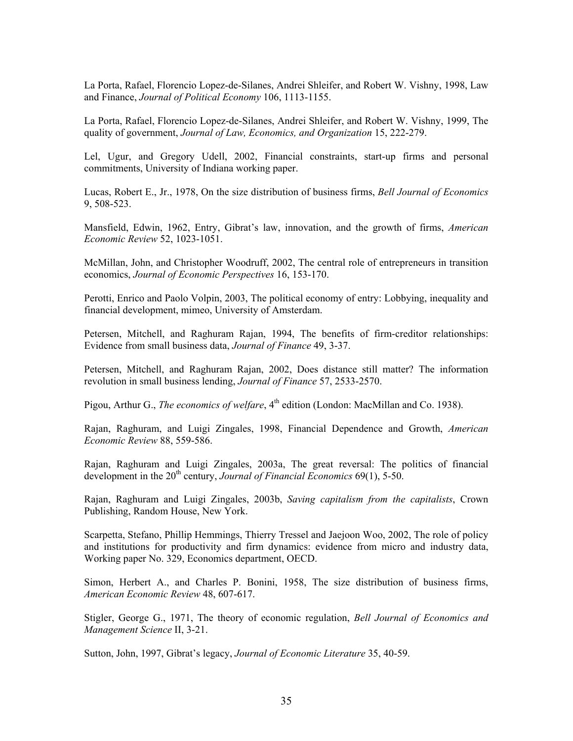La Porta, Rafael, Florencio Lopez-de-Silanes, Andrei Shleifer, and Robert W. Vishny, 1998, Law and Finance, *Journal of Political Economy* 106, 1113-1155.

La Porta, Rafael, Florencio Lopez-de-Silanes, Andrei Shleifer, and Robert W. Vishny, 1999, The quality of government, *Journal of Law, Economics, and Organization* 15, 222-279.

Lel, Ugur, and Gregory Udell, 2002, Financial constraints, start-up firms and personal commitments, University of Indiana working paper.

Lucas, Robert E., Jr., 1978, On the size distribution of business firms, *Bell Journal of Economics*  9, 508-523.

Mansfield, Edwin, 1962, Entry, Gibrat's law, innovation, and the growth of firms, *American Economic Review* 52, 1023-1051.

McMillan, John, and Christopher Woodruff, 2002, The central role of entrepreneurs in transition economics, *Journal of Economic Perspectives* 16, 153-170.

Perotti, Enrico and Paolo Volpin, 2003, The political economy of entry: Lobbying, inequality and financial development, mimeo, University of Amsterdam.

Petersen, Mitchell, and Raghuram Rajan, 1994, The benefits of firm-creditor relationships: Evidence from small business data, *Journal of Finance* 49, 3-37.

Petersen, Mitchell, and Raghuram Rajan, 2002, Does distance still matter? The information revolution in small business lending, *Journal of Finance* 57, 2533-2570.

Pigou, Arthur G., *The economics of welfare*, 4<sup>th</sup> edition (London: MacMillan and Co. 1938).

Rajan, Raghuram, and Luigi Zingales, 1998, Financial Dependence and Growth, *American Economic Review* 88, 559-586.

Rajan, Raghuram and Luigi Zingales, 2003a, The great reversal: The politics of financial development in the 20<sup>th</sup> century, *Journal of Financial Economics* 69(1), 5-50.

Rajan, Raghuram and Luigi Zingales, 2003b, *Saving capitalism from the capitalists*, Crown Publishing, Random House, New York.

Scarpetta, Stefano, Phillip Hemmings, Thierry Tressel and Jaejoon Woo, 2002, The role of policy and institutions for productivity and firm dynamics: evidence from micro and industry data, Working paper No. 329, Economics department, OECD.

Simon, Herbert A., and Charles P. Bonini, 1958, The size distribution of business firms, *American Economic Review* 48, 607-617.

Stigler, George G., 1971, The theory of economic regulation, *Bell Journal of Economics and Management Science* II, 3-21.

Sutton, John, 1997, Gibrat's legacy, *Journal of Economic Literature* 35, 40-59.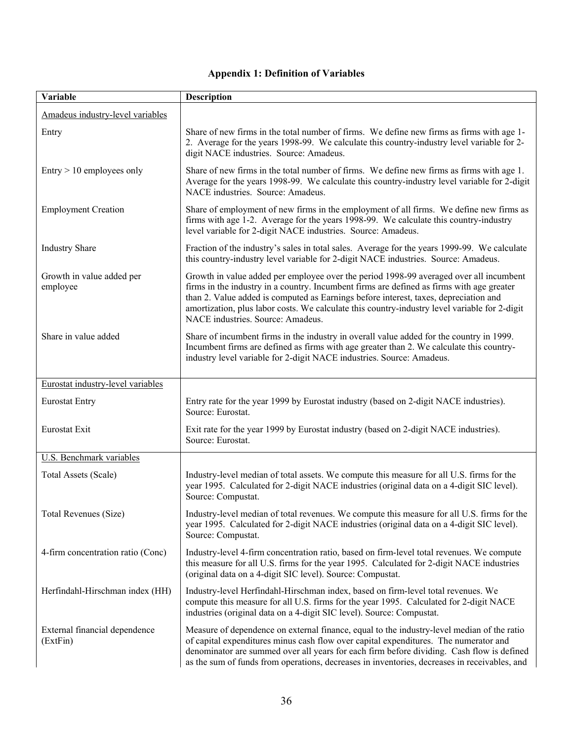# **Variable Description**  Amadeus industry-level variables Entry Share of new firms in the total number of firms. We define new firms as firms with age 1-2. Average for the years 1998-99. We calculate this country-industry level variable for 2 digit NACE industries. Source: Amadeus. Entry > 10 employees only Share of new firms in the total number of firms. We define new firms as firms with age 1. Average for the years 1998-99. We calculate this country-industry level variable for 2-digit NACE industries. Source: Amadeus. Employment Creation Share of employment of new firms in the employment of all firms. We define new firms as firms with age 1-2. Average for the years 1998-99. We calculate this country-industry level variable for 2-digit NACE industries. Source: Amadeus. Industry Share Fraction of the industry's sales in total sales. Average for the years 1999-99. We calculate this country-industry level variable for 2-digit NACE industries. Source: Amadeus. Growth in value added per employee Growth in value added per employee over the period 1998-99 averaged over all incumbent firms in the industry in a country. Incumbent firms are defined as firms with age greater than 2. Value added is computed as Earnings before interest, taxes, depreciation and amortization, plus labor costs. We calculate this country-industry level variable for 2-digit NACE industries. Source: Amadeus. Share in value added Share of incumbent firms in the industry in overall value added for the country in 1999. Incumbent firms are defined as firms with age greater than 2. We calculate this countryindustry level variable for 2-digit NACE industries. Source: Amadeus. Eurostat industry-level variables Eurostat Entry Entry rate for the year 1999 by Eurostat industry (based on 2-digit NACE industries). Source: Eurostat. Eurostat Exit Exit rate for the year 1999 by Eurostat industry (based on 2-digit NACE industries). Source: Eurostat. U.S. Benchmark variables Total Assets (Scale) Industry-level median of total assets. We compute this measure for all U.S. firms for the year 1995. Calculated for 2-digit NACE industries (original data on a 4-digit SIC level). Source: Compustat. Total Revenues (Size) Industry-level median of total revenues. We compute this measure for all U.S. firms for the year 1995. Calculated for 2-digit NACE industries (original data on a 4-digit SIC level). Source: Compustat. 4-firm concentration ratio (Conc) Industry-level 4-firm concentration ratio, based on firm-level total revenues. We compute this measure for all U.S. firms for the year 1995. Calculated for 2-digit NACE industries (original data on a 4-digit SIC level). Source: Compustat. Herfindahl-Hirschman index (HH) | Industry-level Herfindahl-Hirschman index, based on firm-level total revenues. We compute this measure for all U.S. firms for the year 1995. Calculated for 2-digit NACE industries (original data on a 4-digit SIC level). Source: Compustat. External financial dependence (ExtFin) Measure of dependence on external finance, equal to the industry-level median of the ratio of capital expenditures minus cash flow over capital expenditures. The numerator and denominator are summed over all years for each firm before dividing. Cash flow is defined

# **Appendix 1: Definition of Variables**

as the sum of funds from operations, decreases in inventories, decreases in receivables, and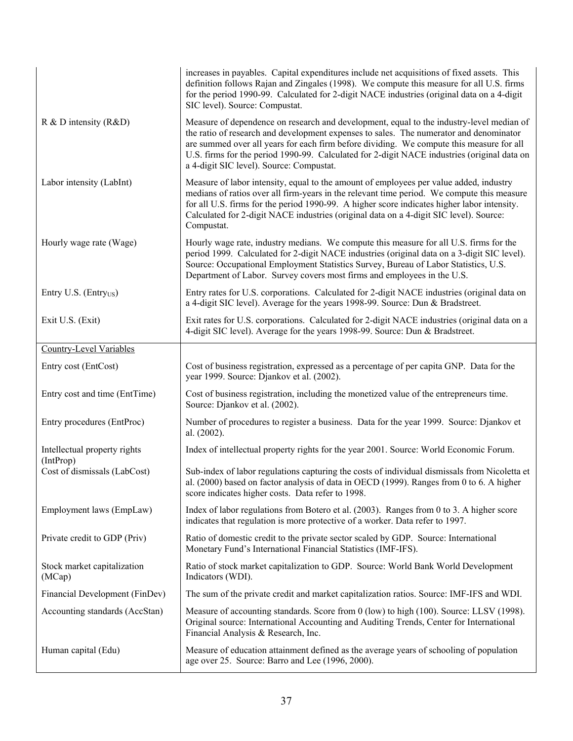|                                           | increases in payables. Capital expenditures include net acquisitions of fixed assets. This<br>definition follows Rajan and Zingales (1998). We compute this measure for all U.S. firms<br>for the period 1990-99. Calculated for 2-digit NACE industries (original data on a 4-digit<br>SIC level). Source: Compustat.                                                                                                    |
|-------------------------------------------|---------------------------------------------------------------------------------------------------------------------------------------------------------------------------------------------------------------------------------------------------------------------------------------------------------------------------------------------------------------------------------------------------------------------------|
| R & D intensity (R&D)                     | Measure of dependence on research and development, equal to the industry-level median of<br>the ratio of research and development expenses to sales. The numerator and denominator<br>are summed over all years for each firm before dividing. We compute this measure for all<br>U.S. firms for the period 1990-99. Calculated for 2-digit NACE industries (original data on<br>a 4-digit SIC level). Source: Compustat. |
| Labor intensity (LabInt)                  | Measure of labor intensity, equal to the amount of employees per value added, industry<br>medians of ratios over all firm-years in the relevant time period. We compute this measure<br>for all U.S. firms for the period 1990-99. A higher score indicates higher labor intensity.<br>Calculated for 2-digit NACE industries (original data on a 4-digit SIC level). Source:<br>Compustat.                               |
| Hourly wage rate (Wage)                   | Hourly wage rate, industry medians. We compute this measure for all U.S. firms for the<br>period 1999. Calculated for 2-digit NACE industries (original data on a 3-digit SIC level).<br>Source: Occupational Employment Statistics Survey, Bureau of Labor Statistics, U.S.<br>Department of Labor. Survey covers most firms and employees in the U.S.                                                                   |
| Entry U.S. (Entry <sub>US</sub> )         | Entry rates for U.S. corporations. Calculated for 2-digit NACE industries (original data on<br>a 4-digit SIC level). Average for the years 1998-99. Source: Dun & Bradstreet.                                                                                                                                                                                                                                             |
| Exit U.S. (Exit)                          | Exit rates for U.S. corporations. Calculated for 2-digit NACE industries (original data on a<br>4-digit SIC level). Average for the years 1998-99. Source: Dun & Bradstreet.                                                                                                                                                                                                                                              |
| <b>Country-Level Variables</b>            |                                                                                                                                                                                                                                                                                                                                                                                                                           |
| Entry cost (EntCost)                      | Cost of business registration, expressed as a percentage of per capita GNP. Data for the<br>year 1999. Source: Djankov et al. (2002).                                                                                                                                                                                                                                                                                     |
| Entry cost and time (EntTime)             | Cost of business registration, including the monetized value of the entrepreneurs time.<br>Source: Djankov et al. (2002).                                                                                                                                                                                                                                                                                                 |
| Entry procedures (EntProc)                | Number of procedures to register a business. Data for the year 1999. Source: Djankov et<br>al. (2002).                                                                                                                                                                                                                                                                                                                    |
| Intellectual property rights              | Index of intellectual property rights for the year 2001. Source: World Economic Forum.                                                                                                                                                                                                                                                                                                                                    |
| (IntProp)<br>Cost of dismissals (LabCost) | Sub-index of labor regulations capturing the costs of individual dismissals from Nicoletta et<br>al. (2000) based on factor analysis of data in OECD (1999). Ranges from 0 to 6. A higher<br>score indicates higher costs. Data refer to 1998.                                                                                                                                                                            |
| Employment laws (EmpLaw)                  | Index of labor regulations from Botero et al. (2003). Ranges from 0 to 3. A higher score<br>indicates that regulation is more protective of a worker. Data refer to 1997.                                                                                                                                                                                                                                                 |
| Private credit to GDP (Priv)              | Ratio of domestic credit to the private sector scaled by GDP. Source: International<br>Monetary Fund's International Financial Statistics (IMF-IFS).                                                                                                                                                                                                                                                                      |
| Stock market capitalization<br>(MCap)     | Ratio of stock market capitalization to GDP. Source: World Bank World Development<br>Indicators (WDI).                                                                                                                                                                                                                                                                                                                    |
| Financial Development (FinDev)            | The sum of the private credit and market capitalization ratios. Source: IMF-IFS and WDI.                                                                                                                                                                                                                                                                                                                                  |
| Accounting standards (AccStan)            | Measure of accounting standards. Score from 0 (low) to high (100). Source: LLSV (1998).<br>Original source: International Accounting and Auditing Trends, Center for International<br>Financial Analysis & Research, Inc.                                                                                                                                                                                                 |
| Human capital (Edu)                       | Measure of education attainment defined as the average years of schooling of population<br>age over 25. Source: Barro and Lee (1996, 2000).                                                                                                                                                                                                                                                                               |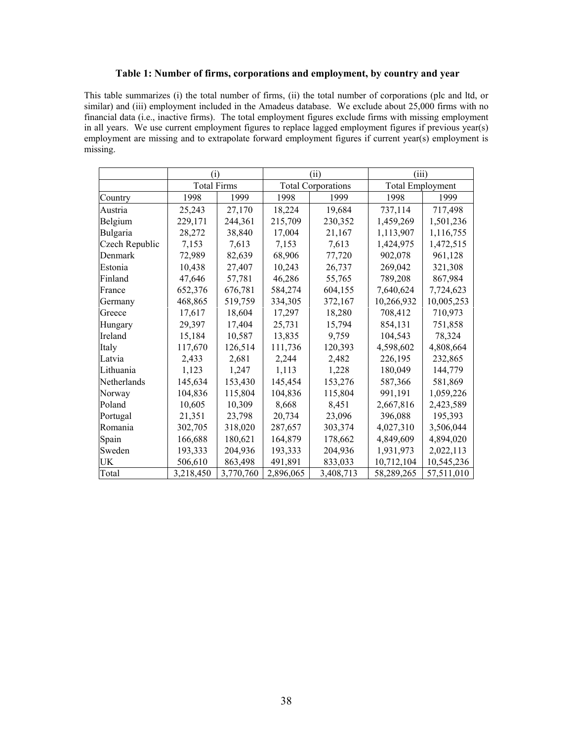# **Table 1: Number of firms, corporations and employment, by country and year**

This table summarizes (i) the total number of firms, (ii) the total number of corporations (plc and ltd, or similar) and (iii) employment included in the Amadeus database. We exclude about 25,000 firms with no financial data (i.e., inactive firms). The total employment figures exclude firms with missing employment in all years. We use current employment figures to replace lagged employment figures if previous year(s) employment are missing and to extrapolate forward employment figures if current year(s) employment is missing.

|                | (i)                |           |           | (ii)                      | (iii)                   |            |  |
|----------------|--------------------|-----------|-----------|---------------------------|-------------------------|------------|--|
|                | <b>Total Firms</b> |           |           | <b>Total Corporations</b> | <b>Total Employment</b> |            |  |
| Country        | 1998               | 1999      | 1998      | 1999                      | 1998                    | 1999       |  |
| Austria        | 25,243             | 27,170    | 18,224    | 19,684                    | 737,114                 | 717,498    |  |
| Belgium        | 229,171            | 244,361   | 215,709   | 230,352                   | 1,459,269               | 1,501,236  |  |
| Bulgaria       | 28,272             | 38,840    | 17,004    | 21,167                    | 1,113,907               | 1,116,755  |  |
| Czech Republic | 7,153              | 7,613     | 7,153     | 7,613                     | 1,424,975               | 1,472,515  |  |
| Denmark        | 72,989             | 82,639    | 68,906    | 77,720                    | 902,078                 | 961,128    |  |
| Estonia        | 10,438             | 27,407    | 10,243    | 26,737                    | 269,042                 | 321,308    |  |
| Finland        | 47,646             | 57,781    | 46,286    | 55,765                    | 789,208                 | 867,984    |  |
| France         | 652,376            | 676,781   | 584,274   | 604,155                   | 7,640,624               | 7,724,623  |  |
| Germany        | 468,865            | 519,759   | 334,305   | 372,167                   | 10,266,932              | 10,005,253 |  |
| Greece         | 17,617             | 18,604    | 17,297    | 18,280                    | 708,412                 | 710,973    |  |
| Hungary        | 29,397             | 17,404    | 25,731    | 15,794                    | 854,131                 | 751,858    |  |
| Ireland        | 15,184             | 10,587    | 13,835    | 9,759                     | 104,543                 | 78,324     |  |
| Italy          | 117,670            | 126,514   | 111,736   | 120,393                   | 4,598,602               | 4,808,664  |  |
| Latvia         | 2,433              | 2,681     | 2,244     | 2,482                     | 226,195                 | 232,865    |  |
| Lithuania      | 1,123              | 1,247     | 1,113     | 1,228                     | 180,049                 | 144,779    |  |
| Netherlands    | 145,634            | 153,430   | 145,454   | 153,276                   | 587,366                 | 581,869    |  |
| Norway         | 104,836            | 115,804   | 104,836   | 115,804                   | 991,191                 | 1,059,226  |  |
| Poland         | 10,605             | 10,309    | 8,668     | 8,451                     | 2,667,816               | 2,423,589  |  |
| Portugal       | 21,351             | 23,798    | 20,734    | 23,096                    | 396,088                 | 195,393    |  |
| Romania        | 302,705            | 318,020   | 287,657   | 303,374                   | 4,027,310               | 3,506,044  |  |
| Spain          | 166,688            | 180,621   | 164,879   | 178,662                   | 4,849,609               | 4,894,020  |  |
| Sweden         | 193,333            | 204,936   | 193,333   | 204,936                   | 1,931,973               | 2,022,113  |  |
| UK             | 506,610            | 863,498   | 491,891   | 833,033                   | 10,712,104              | 10,545,236 |  |
| Total          | 3,218,450          | 3,770,760 | 2,896,065 | 3,408,713                 | 58,289,265              | 57,511,010 |  |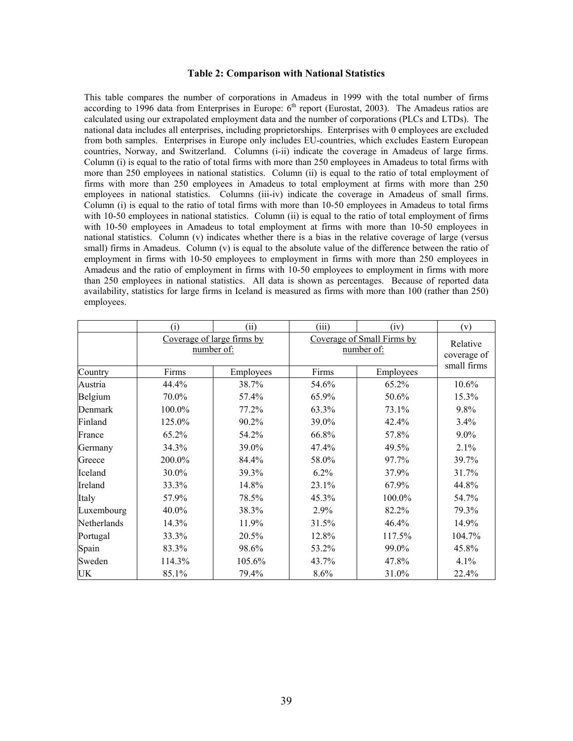#### **Table 2: Comparison with National Statistics**

This table compares the number of corporations in Amadeus in 1999 with the total number of firms according to 1996 data from Enterprises in Europe: 6<sup>th</sup> report (Eurostat, 2003). The Amadeus ratios are calculated using our extrapolated employment data and the number of corporations (PLCs and LTDs). The national data includes all enterprises, including proprietorships. Enterprises with 0 employees are excluded from both samples. Enterprises in Europe only includes EU-countries, which excludes Eastern European countries, Norway, and Switzerland. Columns (i-ii) indicate the coverage in Amadeus of large firms. Column (i) is equal to the ratio of total firms with more than 250 employees in Amadeus to total firms with more than 250 employees in national statistics. Column (ii) is equal to the ratio of total employment of firms with more than 250 employees in Amadeus to total employment at firms with more than 250 employees in national statistics. Columns (iii-iv) indicate the coverage in Amadeus of small firms. Column (i) is equal to the ratio of total firms with more than 10-50 employees in Amadeus to total firms with 10-50 employees in national statistics. Column (ii) is equal to the ratio of total employment of firms with 10-50 employees in Amadeus to total employment at firms with more than 10-50 employees in national statistics. Column (v) indicates whether there is a bias in the relative coverage of large (versus small) firms in Amadeus. Column  $(v)$  is equal to the absolute value of the difference between the ratio of employment in firms with 10-50 employees to employment in firms with more than 250 employees in Amadeus and the ratio of employment in firms with 10-50 employees to employment in firms with more than 250 employees in national statistics. All data is shown as percentages. Because of reported data availability, statistics for large firms in Iceland is measured as firms with more than 100 (rather than 250) employees.

|             | (i)    | (ii)                                     | (iii) | (iv)                                     | (v)                     |
|-------------|--------|------------------------------------------|-------|------------------------------------------|-------------------------|
|             |        | Coverage of large firms by<br>number of: |       | Coverage of Small Firms by<br>number of: | Relative<br>coverage of |
| Country     | Firms  | Employees                                | Firms | Employees                                | small firms             |
| Austria     | 44.4%  | 38.7%                                    | 54.6% | 65.2%                                    | 10.6%                   |
| Belgium     | 70.0%  | 57.4%                                    | 65.9% | 50.6%                                    | 15.3%                   |
| Denmark     | 100.0% | 77.2%                                    | 63.3% | 73.1%                                    | 9.8%                    |
| Finland     | 125.0% | 90.2%                                    | 39.0% | 42.4%                                    | 3.4%                    |
| France      | 65.2%  | 54.2%                                    | 66.8% | 57.8%                                    | 9.0%                    |
| Germany     | 34.3%  | 39.0%                                    | 47.4% | 49.5%                                    | 2.1%                    |
| Greece      | 200.0% | 84.4%                                    | 58.0% | 97.7%                                    | 39.7%                   |
| Iceland     | 30.0%  | 39.3%                                    | 6.2%  | 37.9%                                    | 31.7%                   |
| Ireland     | 33.3%  | 14.8%                                    | 23.1% | 67.9%                                    | 44.8%                   |
| Italy       | 57.9%  | 78.5%                                    | 45.3% | 100.0%                                   | 54.7%                   |
| Luxembourg  | 40.0%  | 38.3%                                    | 2.9%  | 82.2%                                    | 79.3%                   |
| Netherlands | 14.3%  | 11.9%                                    | 31.5% | 46.4%                                    | 14.9%                   |
| Portugal    | 33.3%  | 20.5%                                    | 12.8% | 117.5%                                   | 104.7%                  |
| Spain       | 83.3%  | 98.6%                                    | 53.2% | 99.0%                                    | 45.8%                   |
| Sweden      | 114.3% | 105.6%                                   | 43.7% | 47.8%                                    | 4.1%                    |
| UK          | 85.1%  | 79.4%                                    | 8.6%  | 31.0%                                    | 22.4%                   |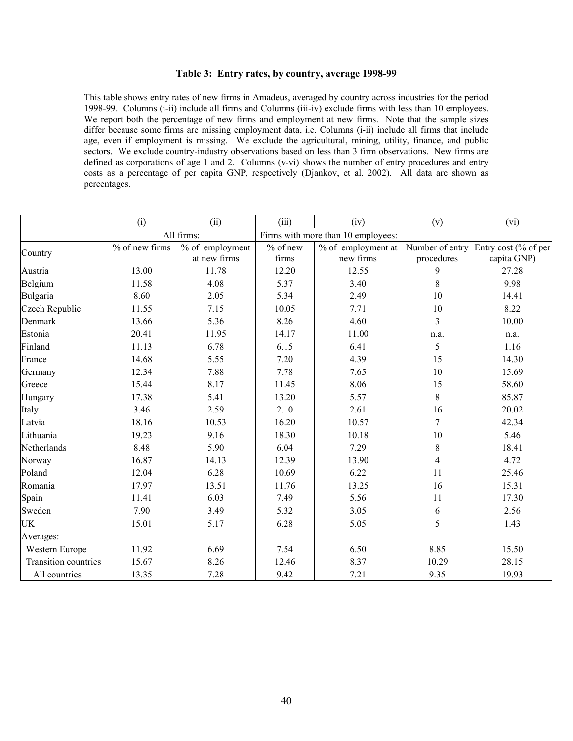# **Table 3: Entry rates, by country, average 1998-99**

This table shows entry rates of new firms in Amadeus, averaged by country across industries for the period 1998-99. Columns (i-ii) include all firms and Columns (iii-iv) exclude firms with less than 10 employees. We report both the percentage of new firms and employment at new firms. Note that the sample sizes differ because some firms are missing employment data, i.e. Columns (i-ii) include all firms that include age, even if employment is missing. We exclude the agricultural, mining, utility, finance, and public sectors. We exclude country-industry observations based on less than 3 firm observations. New firms are defined as corporations of age 1 and 2. Columns (v-vi) shows the number of entry procedures and entry costs as a percentage of per capita GNP, respectively (Djankov, et al. 2002). All data are shown as percentages.

|                             | (i)            | (ii)                            | (iii)               | (iv)                               | (v)                      | (vi)                                                |
|-----------------------------|----------------|---------------------------------|---------------------|------------------------------------|--------------------------|-----------------------------------------------------|
|                             |                | All firms:                      |                     | Firms with more than 10 employees: |                          |                                                     |
| Country                     | % of new firms | % of employment<br>at new firms | $%$ of new<br>firms | % of employment at<br>new firms    | procedures               | Number of entry Entry cost (% of per<br>capita GNP) |
| Austria                     | 13.00          | 11.78                           | 12.20               | 12.55                              | 9                        | 27.28                                               |
| Belgium                     | 11.58          | 4.08                            | 5.37                | 3.40                               | $8\,$                    | 9.98                                                |
| Bulgaria                    | 8.60           | 2.05                            | 5.34                | 2.49                               | 10                       | 14.41                                               |
| Czech Republic              | 11.55          | 7.15                            | 10.05               | 7.71                               | 10                       | 8.22                                                |
| Denmark                     | 13.66          | 5.36                            | 8.26                | 4.60                               | $\overline{\mathbf{3}}$  | 10.00                                               |
| Estonia                     | 20.41          | 11.95                           | 14.17               | 11.00                              | n.a.                     | n.a.                                                |
| Finland                     | 11.13          | 6.78                            | 6.15                | 6.41                               | 5                        | 1.16                                                |
| France                      | 14.68          | 5.55                            | 7.20                | 4.39                               | 15                       | 14.30                                               |
| Germany                     | 12.34          | 7.88                            | 7.78                | 7.65                               | 10                       | 15.69                                               |
| Greece                      | 15.44          | 8.17                            | 11.45               | 8.06                               | 15                       | 58.60                                               |
| Hungary                     | 17.38          | 5.41                            | 13.20               | 5.57                               | 8                        | 85.87                                               |
| Italy                       | 3.46           | 2.59                            | 2.10                | 2.61                               | 16                       | 20.02                                               |
| Latvia                      | 18.16          | 10.53                           | 16.20               | 10.57                              | 7                        | 42.34                                               |
| Lithuania                   | 19.23          | 9.16                            | 18.30               | 10.18                              | 10                       | 5.46                                                |
| Netherlands                 | 8.48           | 5.90                            | 6.04                | 7.29                               | $8\,$                    | 18.41                                               |
| Norway                      | 16.87          | 14.13                           | 12.39               | 13.90                              | $\overline{\mathcal{L}}$ | 4.72                                                |
| Poland                      | 12.04          | 6.28                            | 10.69               | 6.22                               | 11                       | 25.46                                               |
| Romania                     | 17.97          | 13.51                           | 11.76               | 13.25                              | 16                       | 15.31                                               |
| Spain                       | 11.41          | 6.03                            | 7.49                | 5.56                               | 11                       | 17.30                                               |
| Sweden                      | 7.90           | 3.49                            | 5.32                | 3.05                               | 6                        | 2.56                                                |
| UK                          | 15.01          | 5.17                            | 6.28                | 5.05                               | 5                        | 1.43                                                |
| Averages:                   |                |                                 |                     |                                    |                          |                                                     |
| Western Europe              | 11.92          | 6.69                            | 7.54                | 6.50                               | 8.85                     | 15.50                                               |
| <b>Transition countries</b> | 15.67          | 8.26                            | 12.46               | 8.37                               | 10.29                    | 28.15                                               |
| All countries               | 13.35          | 7.28                            | 9.42                | 7.21                               | 9.35                     | 19.93                                               |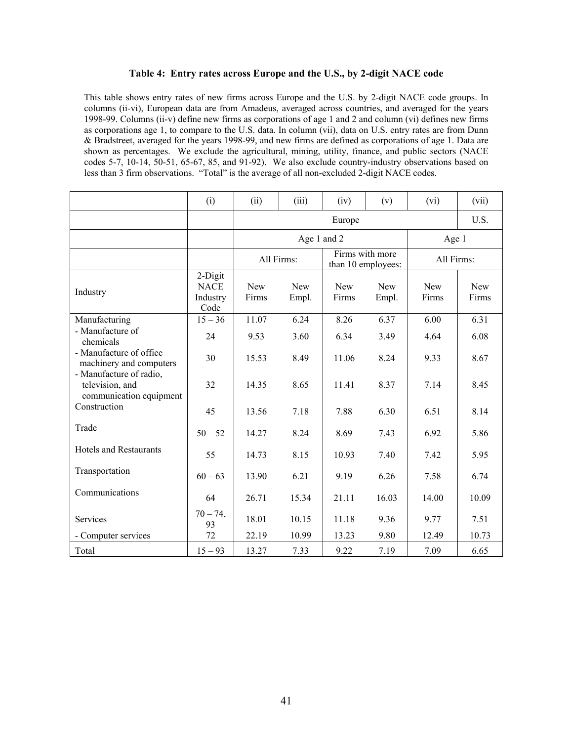# **Table 4: Entry rates across Europe and the U.S., by 2-digit NACE code**

This table shows entry rates of new firms across Europe and the U.S. by 2-digit NACE code groups. In columns (ii-vi), European data are from Amadeus, averaged across countries, and averaged for the years 1998-99. Columns (ii-v) define new firms as corporations of age 1 and 2 and column (vi) defines new firms as corporations age 1, to compare to the U.S. data. In column (vii), data on U.S. entry rates are from Dunn & Bradstreet, averaged for the years 1998-99, and new firms are defined as corporations of age 1. Data are shown as percentages. We exclude the agricultural, mining, utility, finance, and public sectors (NACE codes 5-7, 10-14, 50-51, 65-67, 85, and 91-92). We also exclude country-industry observations based on less than 3 firm observations. "Total" is the average of all non-excluded 2-digit NACE codes.

|                                                                       | (i)                                        | (ii)                | (iii)               | (iv)                                  | (v)                 | (vi)                | (vii)               |
|-----------------------------------------------------------------------|--------------------------------------------|---------------------|---------------------|---------------------------------------|---------------------|---------------------|---------------------|
|                                                                       |                                            |                     |                     | Europe                                |                     |                     | U.S.                |
|                                                                       |                                            |                     | Age 1 and 2         |                                       |                     | Age 1               |                     |
|                                                                       |                                            | All Firms:          |                     | Firms with more<br>than 10 employees: |                     | All Firms:          |                     |
| Industry                                                              | 2-Digit<br><b>NACE</b><br>Industry<br>Code | <b>New</b><br>Firms | <b>New</b><br>Empl. | <b>New</b><br>Firms                   | <b>New</b><br>Empl. | <b>New</b><br>Firms | <b>New</b><br>Firms |
| Manufacturing                                                         | $15 - 36$                                  | 11.07               | 6.24                | 8.26                                  | 6.37                | 6.00                | 6.31                |
| - Manufacture of<br>chemicals                                         | 24                                         | 9.53                | 3.60                | 6.34                                  | 3.49                | 4.64                | 6.08                |
| - Manufacture of office<br>machinery and computers                    | 30                                         | 15.53               | 8.49                | 11.06                                 | 8.24                | 9.33                | 8.67                |
| - Manufacture of radio,<br>television, and<br>communication equipment | 32                                         | 14.35               | 8.65                | 11.41                                 | 8.37                | 7.14                | 8.45                |
| Construction                                                          | 45                                         | 13.56               | 7.18                | 7.88                                  | 6.30                | 6.51                | 8.14                |
| Trade                                                                 | $50 - 52$                                  | 14.27               | 8.24                | 8.69                                  | 7.43                | 6.92                | 5.86                |
| <b>Hotels and Restaurants</b>                                         | 55                                         | 14.73               | 8.15                | 10.93                                 | 7.40                | 7.42                | 5.95                |
| Transportation                                                        | $60 - 63$                                  | 13.90               | 6.21                | 9.19                                  | 6.26                | 7.58                | 6.74                |
| Communications                                                        | 64                                         | 26.71               | 15.34               | 21.11                                 | 16.03               | 14.00               | 10.09               |
| Services                                                              | $70 - 74,$<br>93                           | 18.01               | 10.15               | 11.18                                 | 9.36                | 9.77                | 7.51                |
| - Computer services                                                   | 72                                         | 22.19               | 10.99               | 13.23                                 | 9.80                | 12.49               | 10.73               |
| Total                                                                 | $15 - 93$                                  | 13.27               | 7.33                | 9.22                                  | 7.19                | 7.09                | 6.65                |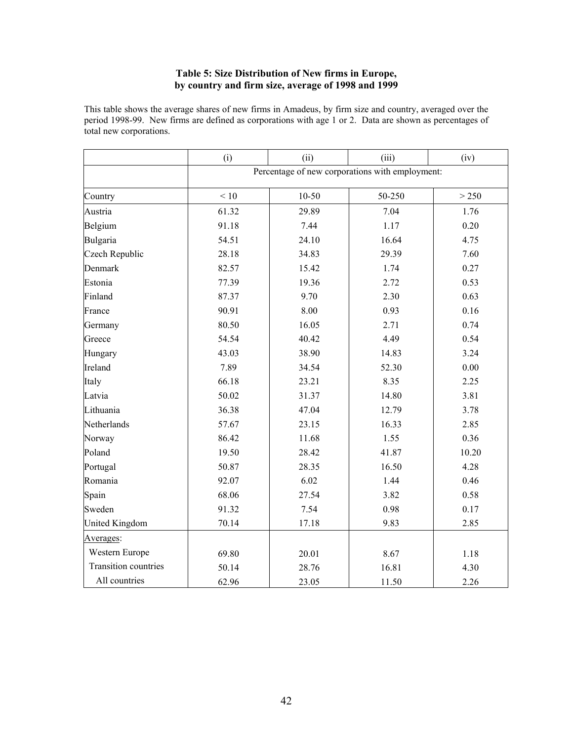# **Table 5: Size Distribution of New firms in Europe, by country and firm size, average of 1998 and 1999**

This table shows the average shares of new firms in Amadeus, by firm size and country, averaged over the period 1998-99. New firms are defined as corporations with age 1 or 2. Data are shown as percentages of total new corporations.

|                             | (i)   | (ii)      | (iii)                                           | (iv)  |
|-----------------------------|-------|-----------|-------------------------------------------------|-------|
|                             |       |           | Percentage of new corporations with employment: |       |
| Country                     | < 10  | $10 - 50$ | 50-250                                          | > 250 |
| Austria                     | 61.32 | 29.89     | 7.04                                            | 1.76  |
| Belgium                     | 91.18 | 7.44      | 1.17                                            | 0.20  |
| Bulgaria                    | 54.51 | 24.10     | 16.64                                           | 4.75  |
| Czech Republic              | 28.18 | 34.83     | 29.39                                           | 7.60  |
| Denmark                     | 82.57 | 15.42     | 1.74                                            | 0.27  |
| Estonia                     | 77.39 | 19.36     | 2.72                                            | 0.53  |
| Finland                     | 87.37 | 9.70      | 2.30                                            | 0.63  |
| France                      | 90.91 | 8.00      | 0.93                                            | 0.16  |
| Germany                     | 80.50 | 16.05     | 2.71                                            | 0.74  |
| Greece                      | 54.54 | 40.42     | 4.49                                            | 0.54  |
| Hungary                     | 43.03 | 38.90     | 14.83                                           | 3.24  |
| Ireland                     | 7.89  | 34.54     | 52.30                                           | 0.00  |
| Italy                       | 66.18 | 23.21     | 8.35                                            | 2.25  |
| Latvia                      | 50.02 | 31.37     | 14.80                                           | 3.81  |
| Lithuania                   | 36.38 | 47.04     | 12.79                                           | 3.78  |
| Netherlands                 | 57.67 | 23.15     | 16.33                                           | 2.85  |
| Norway                      | 86.42 | 11.68     | 1.55                                            | 0.36  |
| Poland                      | 19.50 | 28.42     | 41.87                                           | 10.20 |
| Portugal                    | 50.87 | 28.35     | 16.50                                           | 4.28  |
| Romania                     | 92.07 | 6.02      | 1.44                                            | 0.46  |
| Spain                       | 68.06 | 27.54     | 3.82                                            | 0.58  |
| Sweden                      | 91.32 | 7.54      | 0.98                                            | 0.17  |
| <b>United Kingdom</b>       | 70.14 | 17.18     | 9.83                                            | 2.85  |
| Averages:                   |       |           |                                                 |       |
| Western Europe              | 69.80 | 20.01     | 8.67                                            | 1.18  |
| <b>Transition countries</b> | 50.14 | 28.76     | 16.81                                           | 4.30  |
| All countries               | 62.96 | 23.05     | 11.50                                           | 2.26  |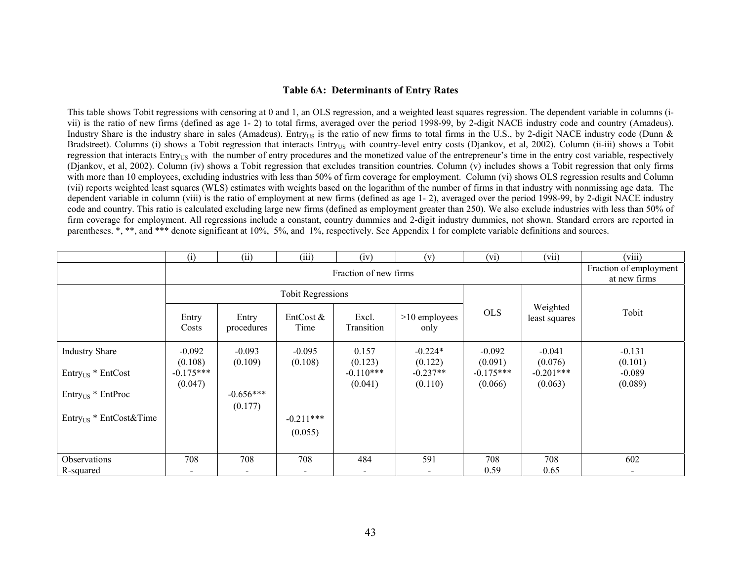## **Table 6A: Determinants of Entry Rates**

This table shows Tobit regressions with censoring at 0 and 1, an OLS regression, and a weighted least squares regression. The dependent variable in columns (ivii) is the ratio of new firms (defined as age 1- 2) to total firms, averaged over the period 1998-99, by 2-digit NACE industry code and country (Amadeus). Industry Share is the industry share in sales (Amadeus). Entry<sub>US</sub> is the ratio of new firms to total firms in the U.S., by 2-digit NACE industry code (Dunn & Bradstreet). Columns (i) shows a Tobit regression that interacts Entry<sub>US</sub> with country-level entry costs (Djankov, et al, 2002). Column (ii-iii) shows a Tobit regression that interacts Entry<sub>US</sub> with the number of entry procedures and the monetized value of the entrepreneur's time in the entry cost variable, respectively (Djankov, et al, 2002). Column (iv) shows a Tobit regression that excludes transition countries. Column (v) includes shows a Tobit regression that only firms with more than 10 employees, excluding industries with less than 50% of firm coverage for employment. Column (vi) shows OLS regression results and Column (vii) reports weighted least squares (WLS) estimates with weights based on the logarithm of the number of firms in that industry with nonmissing age data. The dependent variable in column (viii) is the ratio of employment at new firms (defined as age 1- 2), averaged over the period 1998-99, by 2-digit NACE industry code and country. This ratio is calculated excluding large new firms (defined as employment greater than 250). We also exclude industries with less than 50% of firm coverage for employment. All regressions include a constant, country dummies and 2-digit industry dummies, not shown. Standard errors are reported in parentheses. \*, \*\*, and \*\*\* denote significant at 10%, 5%, and 1%, respectively. See Appendix 1 for complete variable definitions and sources.

|                             | (i)                    | (ii)                   | (iii)                    | (iv)                   | (v)                     | (vi)                   | (vii)                     | (viii)                                 |
|-----------------------------|------------------------|------------------------|--------------------------|------------------------|-------------------------|------------------------|---------------------------|----------------------------------------|
|                             |                        |                        |                          | Fraction of new firms  |                         |                        |                           | Fraction of employment<br>at new firms |
|                             |                        |                        | <b>Tobit Regressions</b> |                        |                         |                        |                           |                                        |
|                             | Entry<br>Costs         | Entry<br>procedures    | EntCost $\&$<br>Time     | Excl.<br>Transition    | $>10$ employees<br>only | <b>OLS</b>             | Weighted<br>least squares | Tobit                                  |
| <b>Industry Share</b>       | $-0.092$<br>(0.108)    | $-0.093$<br>(0.109)    | $-0.095$<br>(0.108)      | 0.157<br>(0.123)       | $-0.224*$<br>(0.122)    | $-0.092$<br>(0.091)    | $-0.041$<br>(0.076)       | $-0.131$<br>(0.101)                    |
| $Entry_{US} * EntCost$      | $-0.175***$<br>(0.047) |                        |                          | $-0.110***$<br>(0.041) | $-0.237**$<br>(0.110)   | $-0.175***$<br>(0.066) | $-0.201***$<br>(0.063)    | $-0.089$<br>(0.089)                    |
| $Entry_{US} * EntProc$      |                        | $-0.656***$<br>(0.177) |                          |                        |                         |                        |                           |                                        |
| $Entry_{US} * EntCost&Time$ |                        |                        | $-0.211***$<br>(0.055)   |                        |                         |                        |                           |                                        |
| Observations<br>R-squared   | 708                    | 708                    | 708                      | 484                    | 591                     | 708<br>0.59            | 708<br>0.65               | 602                                    |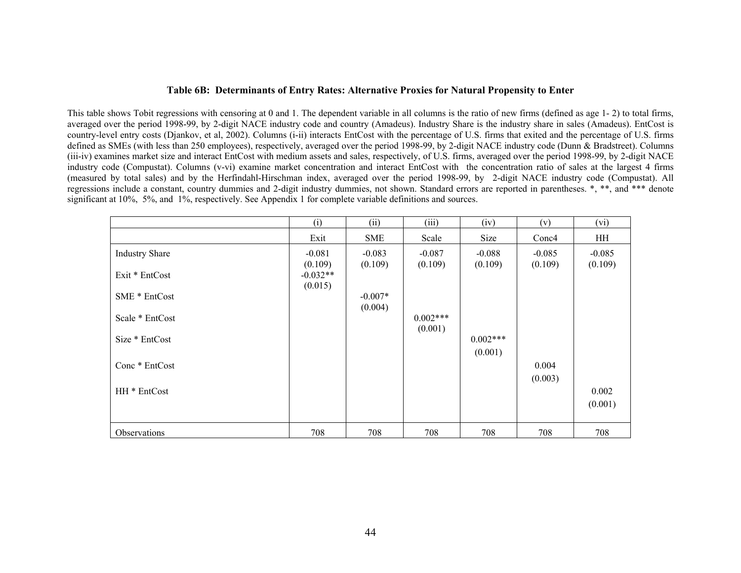### **Table 6B: Determinants of Entry Rates: Alternative Proxies for Natural Propensity to Enter**

This table shows Tobit regressions with censoring at 0 and 1. The dependent variable in all columns is the ratio of new firms (defined as age 1- 2) to total firms, averaged over the period 1998-99, by 2-digit NACE industry code and country (Amadeus). Industry Share is the industry share in sales (Amadeus). EntCost is country-level entry costs (Djankov, et al, 2002). Columns (i-ii) interacts EntCost with the percentage of U.S. firms that exited and the percentage of U.S. firms defined as SMEs (with less than 250 employees), respectively, averaged over the period 1998-99, by 2-digit NACE industry code (Dunn & Bradstreet). Columns (iii-iv) examines market size and interact EntCost with medium assets and sales, respectively, of U.S. firms, averaged over the period 1998-99, by 2-digit NACE industry code (Compustat). Columns (v-vi) examine market concentration and interact EntCost with the concentration ratio of sales at the largest 4 firms (measured by total sales) and by the Herfindahl-Hirschman index, averaged over the period 1998-99, by 2-digit NACE industry code (Compustat). All regressions include a constant, country dummies and 2-digit industry dummies, not shown. Standard errors are reported in parentheses. \*, \*\*, and \*\*\* denote significant at 10%, 5%, and 1%, respectively. See Appendix 1 for complete variable definitions and sources.

|                       | (i)                   | (ii)                 | (iii)                 | (iv)                  | (v)                 | (vi)                |
|-----------------------|-----------------------|----------------------|-----------------------|-----------------------|---------------------|---------------------|
|                       | Exit                  | <b>SME</b>           | Scale                 | Size                  | Conc4               | HH                  |
| <b>Industry Share</b> | $-0.081$<br>(0.109)   | $-0.083$<br>(0.109)  | $-0.087$<br>(0.109)   | $-0.088$<br>(0.109)   | $-0.085$<br>(0.109) | $-0.085$<br>(0.109) |
| Exit * EntCost        | $-0.032**$<br>(0.015) |                      |                       |                       |                     |                     |
| SME * EntCost         |                       | $-0.007*$<br>(0.004) |                       |                       |                     |                     |
| Scale * EntCost       |                       |                      | $0.002***$<br>(0.001) |                       |                     |                     |
| Size * EntCost        |                       |                      |                       | $0.002***$<br>(0.001) |                     |                     |
| Conc * EntCost        |                       |                      |                       |                       | 0.004               |                     |
| HH * EntCost          |                       |                      |                       |                       | (0.003)             | 0.002<br>(0.001)    |
| Observations          | 708                   | 708                  | 708                   | 708                   | 708                 | 708                 |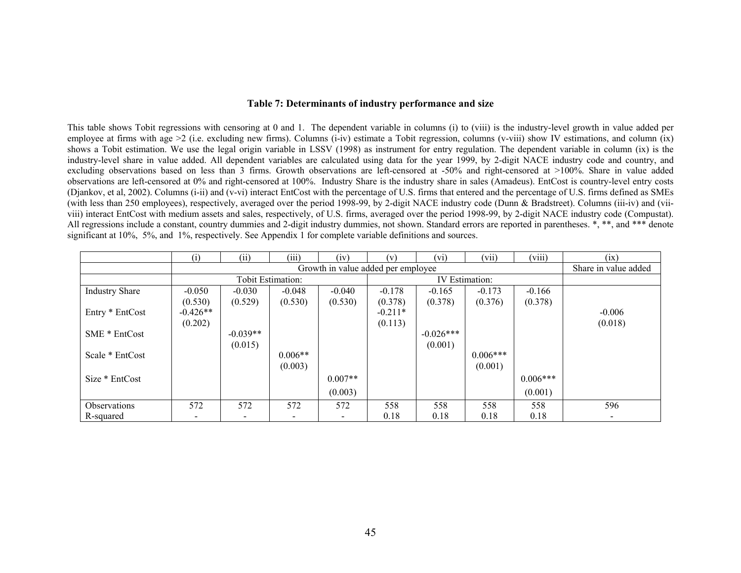## **Table 7: Determinants of industry performance and size**

This table shows Tobit regressions with censoring at 0 and 1. The dependent variable in columns (i) to (viii) is the industry-level growth in value added per employee at firms with age  $\geq$  (i.e. excluding new firms). Columns (i-iv) estimate a Tobit regression, columns (v-viii) show IV estimations, and column (ix) shows a Tobit estimation. We use the legal origin variable in LSSV (1998) as instrument for entry regulation. The dependent variable in column (ix) is the industry-level share in value added. All dependent variables are calculated using data for the year 1999, by 2-digit NACE industry code and country, and excluding observations based on less than 3 firms. Growth observations are left-censored at -50% and right-censored at >100%. Share in value added observations are left-censored at 0% and right-censored at 100%. Industry Share is the industry share in sales (Amadeus). EntCost is country-level entry costs (Djankov, et al, 2002). Columns (i-ii) and (v-vi) interact EntCost with the percentage of U.S. firms that entered and the percentage of U.S. firms defined as SMEs (with less than 250 employees), respectively, averaged over the period 1998-99, by 2-digit NACE industry code (Dunn & Bradstreet). Columns (iii-iv) and (viiviii) interact EntCost with medium assets and sales, respectively, of U.S. firms, averaged over the period 1998-99, by 2-digit NACE industry code (Compustat). All regressions include a constant, country dummies and 2-digit industry dummies, not shown. Standard errors are reported in parentheses. \*, \*\*, and \*\*\* denote significant at 10%, 5%, and 1%, respectively. See Appendix 1 for complete variable definitions and sources.

|                       | $\left( 1 \right)$ | (ii)                     | (iii)             | (iv)                               | (v)       | (vi)           | (vii)      | (viii)     | (ix)                 |
|-----------------------|--------------------|--------------------------|-------------------|------------------------------------|-----------|----------------|------------|------------|----------------------|
|                       |                    |                          |                   | Growth in value added per employee |           |                |            |            | Share in value added |
|                       |                    |                          | Tobit Estimation: |                                    |           | IV Estimation: |            |            |                      |
| <b>Industry Share</b> | $-0.050$           | $-0.030$                 | $-0.048$          | $-0.040$                           | $-0.178$  | $-0.165$       | $-0.173$   | $-0.166$   |                      |
|                       | (0.530)            | (0.529)                  | (0.530)           | (0.530)                            | (0.378)   | (0.378)        | (0.376)    | (0.378)    |                      |
| Entry * EntCost       | $-0.426**$         |                          |                   |                                    | $-0.211*$ |                |            |            | $-0.006$             |
|                       | (0.202)            |                          |                   |                                    | (0.113)   |                |            |            | (0.018)              |
| SME * EntCost         |                    | $-0.039**$               |                   |                                    |           | $-0.026***$    |            |            |                      |
|                       |                    | (0.015)                  |                   |                                    |           | (0.001)        |            |            |                      |
| Scale * EntCost       |                    |                          | $0.006**$         |                                    |           |                | $0.006***$ |            |                      |
|                       |                    |                          | (0.003)           |                                    |           |                | (0.001)    |            |                      |
| Size * EntCost        |                    |                          |                   | $0.007**$                          |           |                |            | $0.006***$ |                      |
|                       |                    |                          |                   | (0.003)                            |           |                |            | (0.001)    |                      |
| Observations          | 572                | 572                      | 572               | 572                                | 558       | 558            | 558        | 558        | 596                  |
| R-squared             |                    | $\overline{\phantom{0}}$ |                   |                                    | 0.18      | 0.18           | 0.18       | 0.18       |                      |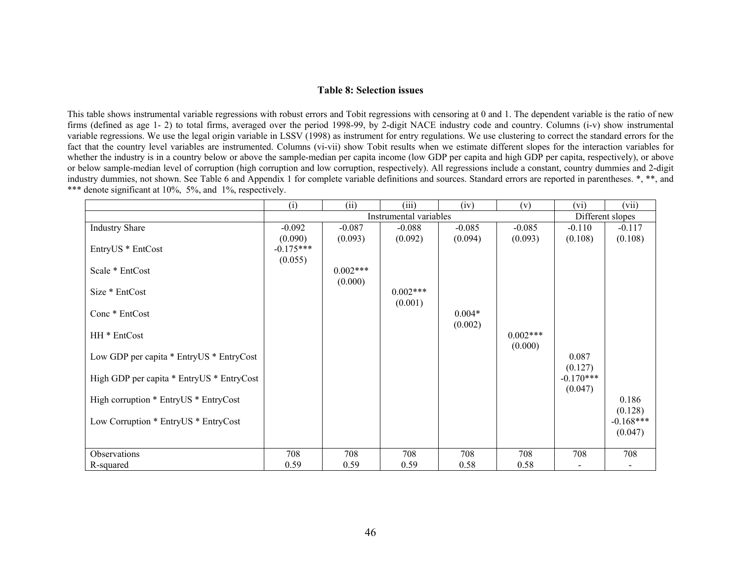### **Table 8: Selection issues**

This table shows instrumental variable regressions with robust errors and Tobit regressions with censoring at 0 and 1. The dependent variable is the ratio of new firms (defined as age 1- 2) to total firms, averaged over the period 1998-99, by 2-digit NACE industry code and country. Columns (i-v) show instrumental variable regressions. We use the legal origin variable in LSSV (1998) as instrument for entry regulations. We use clustering to correct the standard errors for the fact that the country level variables are instrumented. Columns (vi-vii) show Tobit results when we estimate different slopes for the interaction variables for whether the industry is in a country below or above the sample-median per capita income (low GDP per capita and high GDP per capita, respectively), or above or below sample-median level of corruption (high corruption and low corruption, respectively). All regressions include a constant, country dummies and 2-digit industry dummies, not shown. See Table 6 and Appendix 1 for complete variable definitions and sources. Standard errors are reported in parentheses. \*, \*\*, and \*\*\* denote significant at 10%, 5%, and 1%, respectively.

|                                           | (i)         | (ii)       | (iii)                  | (iv)     | (v)        | (vi)        | (vii)            |
|-------------------------------------------|-------------|------------|------------------------|----------|------------|-------------|------------------|
|                                           |             |            | Instrumental variables |          |            |             | Different slopes |
| <b>Industry Share</b>                     | $-0.092$    | $-0.087$   | $-0.088$               | $-0.085$ | $-0.085$   | $-0.110$    | $-0.117$         |
|                                           | (0.090)     | (0.093)    | (0.092)                | (0.094)  | (0.093)    | (0.108)     | (0.108)          |
| EntryUS * EntCost                         | $-0.175***$ |            |                        |          |            |             |                  |
|                                           | (0.055)     |            |                        |          |            |             |                  |
| Scale * EntCost                           |             | $0.002***$ |                        |          |            |             |                  |
|                                           |             | (0.000)    |                        |          |            |             |                  |
| Size * EntCost                            |             |            | $0.002***$             |          |            |             |                  |
|                                           |             |            | (0.001)                |          |            |             |                  |
| Conc * EntCost                            |             |            |                        | $0.004*$ |            |             |                  |
|                                           |             |            |                        | (0.002)  |            |             |                  |
| HH * EntCost                              |             |            |                        |          | $0.002***$ |             |                  |
|                                           |             |            |                        |          | (0.000)    |             |                  |
| Low GDP per capita * EntryUS * EntryCost  |             |            |                        |          |            | 0.087       |                  |
|                                           |             |            |                        |          |            | (0.127)     |                  |
| High GDP per capita * EntryUS * EntryCost |             |            |                        |          |            | $-0.170***$ |                  |
|                                           |             |            |                        |          |            | (0.047)     |                  |
| High corruption * EntryUS * EntryCost     |             |            |                        |          |            |             | 0.186            |
|                                           |             |            |                        |          |            |             | (0.128)          |
| Low Corruption * EntryUS * EntryCost      |             |            |                        |          |            |             | $-0.168***$      |
|                                           |             |            |                        |          |            |             | (0.047)          |
|                                           |             |            |                        |          |            |             |                  |
| Observations                              | 708         | 708        | 708                    | 708      | 708        | 708         | 708              |
| R-squared                                 | 0.59        | 0.59       | 0.59                   | 0.58     | 0.58       |             |                  |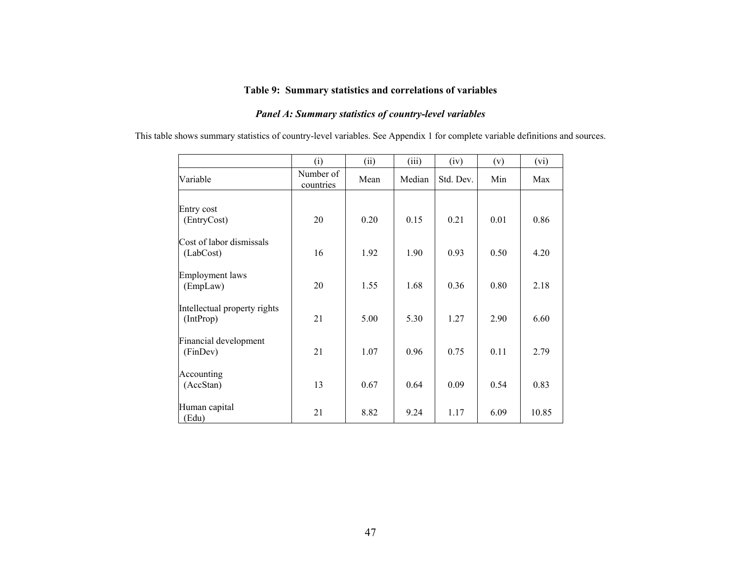# **Table 9: Summary statistics and correlations of variables**

# *Panel A: Summary statistics of country-level variables*

This table shows summary statistics of country-level variables. See Appendix 1 for complete variable definitions and sources.

|                                           | (i)                    | (ii) | (iii)  | (iv)      | (v)  | (vi)  |
|-------------------------------------------|------------------------|------|--------|-----------|------|-------|
| Variable                                  | Number of<br>countries | Mean | Median | Std. Dev. | Min  | Max   |
| Entry cost<br>(EntryCost)                 | 20                     | 0.20 | 0.15   | 0.21      | 0.01 | 0.86  |
| Cost of labor dismissals<br>(LabCost)     | 16                     | 1.92 | 1.90   | 0.93      | 0.50 | 4.20  |
| Employment laws<br>(EmpLaw)               | 20                     | 1.55 | 1.68   | 0.36      | 0.80 | 2.18  |
| Intellectual property rights<br>(IntProp) | 21                     | 5.00 | 5.30   | 1.27      | 2.90 | 6.60  |
| Financial development<br>(FinDev)         | 21                     | 1.07 | 0.96   | 0.75      | 0.11 | 2.79  |
| Accounting<br>(AccStan)                   | 13                     | 0.67 | 0.64   | 0.09      | 0.54 | 0.83  |
| Human capital<br>(Edu)                    | 21                     | 8.82 | 9.24   | 1.17      | 6.09 | 10.85 |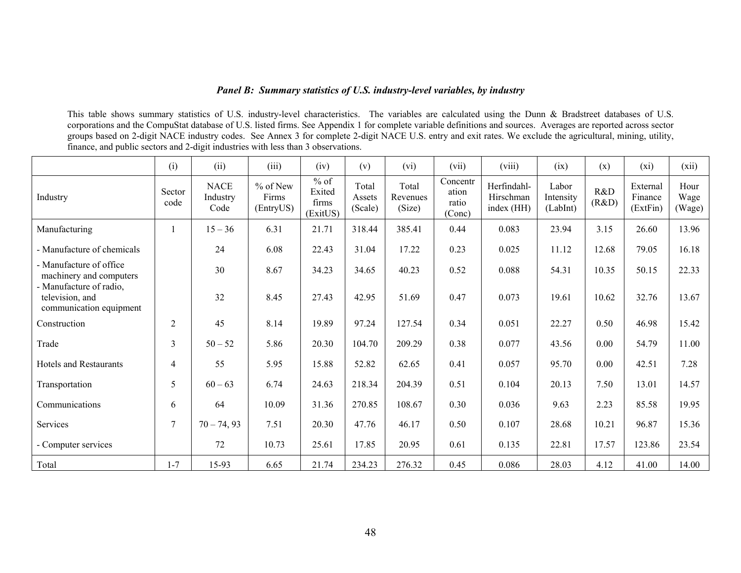# *Panel B: Summary statistics of U.S. industry-level variables, by industry*

This table shows summary statistics of U.S. industry-level characteristics. The variables are calculated using the Dunn & Bradstreet databases of U.S. corporations and the CompuStat database of U.S. listed firms. See Appendix 1 for complete variable definitions and sources. Averages are reported across sector groups based on 2-digit NACE industry codes. See Annex 3 for complete 2-digit NACE U.S. entry and exit rates. We exclude the agricultural, mining, utility, finance, and public sectors and 2-digit industries with less than 3 observations.

|                                                                       | (i)            | (ii)                            | (iii)                            | (iv)                                  | (v)                        | (vi)                        | (vii)                                | (viii)                                 | (ix)                           | (x)          | (xi)                            | (xii)                  |
|-----------------------------------------------------------------------|----------------|---------------------------------|----------------------------------|---------------------------------------|----------------------------|-----------------------------|--------------------------------------|----------------------------------------|--------------------------------|--------------|---------------------------------|------------------------|
| Industry                                                              | Sector<br>code | <b>NACE</b><br>Industry<br>Code | $%$ of New<br>Firms<br>(EntryUS) | $%$ of<br>Exited<br>firms<br>(ExitUS) | Total<br>Assets<br>(Scale) | Total<br>Revenues<br>(Size) | Concentr<br>ation<br>ratio<br>(Conc) | Herfindahl-<br>Hirschman<br>index (HH) | Labor<br>Intensity<br>(LabInt) | R&D<br>(R&D) | External<br>Finance<br>(ExtFin) | Hour<br>Wage<br>(Wage) |
| Manufacturing                                                         |                | $15 - 36$                       | 6.31                             | 21.71                                 | 318.44                     | 385.41                      | 0.44                                 | 0.083                                  | 23.94                          | 3.15         | 26.60                           | 13.96                  |
| - Manufacture of chemicals                                            |                | 24                              | 6.08                             | 22.43                                 | 31.04                      | 17.22                       | 0.23                                 | 0.025                                  | 11.12                          | 12.68        | 79.05                           | 16.18                  |
| - Manufacture of office<br>machinery and computers                    |                | 30                              | 8.67                             | 34.23                                 | 34.65                      | 40.23                       | 0.52                                 | 0.088                                  | 54.31                          | 10.35        | 50.15                           | 22.33                  |
| - Manufacture of radio,<br>television, and<br>communication equipment |                | 32                              | 8.45                             | 27.43                                 | 42.95                      | 51.69                       | 0.47                                 | 0.073                                  | 19.61                          | 10.62        | 32.76                           | 13.67                  |
| Construction                                                          | $\overline{2}$ | 45                              | 8.14                             | 19.89                                 | 97.24                      | 127.54                      | 0.34                                 | 0.051                                  | 22.27                          | 0.50         | 46.98                           | 15.42                  |
| Trade                                                                 | $\mathcal{E}$  | $50 - 52$                       | 5.86                             | 20.30                                 | 104.70                     | 209.29                      | 0.38                                 | 0.077                                  | 43.56                          | 0.00         | 54.79                           | 11.00                  |
| <b>Hotels and Restaurants</b>                                         | $\overline{4}$ | 55                              | 5.95                             | 15.88                                 | 52.82                      | 62.65                       | 0.41                                 | 0.057                                  | 95.70                          | 0.00         | 42.51                           | 7.28                   |
| Transportation                                                        | 5              | $60 - 63$                       | 6.74                             | 24.63                                 | 218.34                     | 204.39                      | 0.51                                 | 0.104                                  | 20.13                          | 7.50         | 13.01                           | 14.57                  |
| Communications                                                        | 6              | 64                              | 10.09                            | 31.36                                 | 270.85                     | 108.67                      | 0.30                                 | 0.036                                  | 9.63                           | 2.23         | 85.58                           | 19.95                  |
| Services                                                              | $\overline{7}$ | $70 - 74, 93$                   | 7.51                             | 20.30                                 | 47.76                      | 46.17                       | 0.50                                 | 0.107                                  | 28.68                          | 10.21        | 96.87                           | 15.36                  |
| - Computer services                                                   |                | 72                              | 10.73                            | 25.61                                 | 17.85                      | 20.95                       | 0.61                                 | 0.135                                  | 22.81                          | 17.57        | 123.86                          | 23.54                  |
| Total                                                                 | $1 - 7$        | 15-93                           | 6.65                             | 21.74                                 | 234.23                     | 276.32                      | 0.45                                 | 0.086                                  | 28.03                          | 4.12         | 41.00                           | 14.00                  |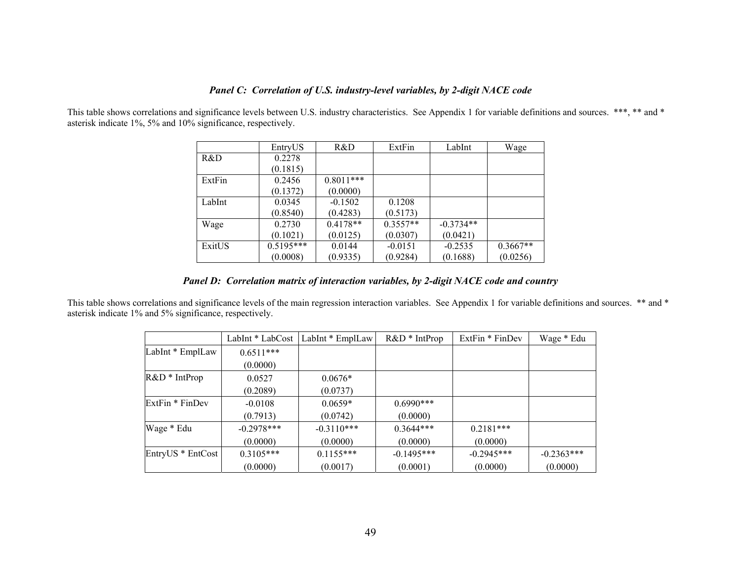# *Panel C: Correlation of U.S. industry-level variables, by 2-digit NACE code*

This table shows correlations and significance levels between U.S. industry characteristics. See Appendix 1 for variable definitions and sources. \*\*\*, \*\* and \* asterisk indicate 1%, 5% and 10% significance, respectively.

|        | EntryUS     | R&D         | ExtFin     | LabInt      | Wage       |
|--------|-------------|-------------|------------|-------------|------------|
| R&D    | 0.2278      |             |            |             |            |
|        | (0.1815)    |             |            |             |            |
| ExtFin | 0.2456      | $0.8011***$ |            |             |            |
|        | (0.1372)    | (0.0000)    |            |             |            |
| LabInt | 0.0345      | $-0.1502$   | 0.1208     |             |            |
|        | (0.8540)    | (0.4283)    | (0.5173)   |             |            |
| Wage   | 0.2730      | $0.4178**$  | $0.3557**$ | $-0.3734**$ |            |
|        | (0.1021)    | (0.0125)    | (0.0307)   | (0.0421)    |            |
| ExitUS | $0.5195***$ | 0.0144      | $-0.0151$  | $-0.2535$   | $0.3667**$ |
|        | (0.0008)    | (0.9335)    | (0.9284)   | (0.1688)    | (0.0256)   |

*Panel D: Correlation matrix of interaction variables, by 2-digit NACE code and country* 

This table shows correlations and significance levels of the main regression interaction variables. See Appendix 1 for variable definitions and sources. \*\* and \* asterisk indicate 1% and 5% significance, respectively.

|                   | LabInt * LabCost | LabInt * EmplLaw | $R&D*IntProp$ | ExtFin * FinDev | Wage * Edu   |
|-------------------|------------------|------------------|---------------|-----------------|--------------|
| LabInt * EmplLaw  | $0.6511***$      |                  |               |                 |              |
|                   | (0.0000)         |                  |               |                 |              |
| $R&D*IntProp$     | 0.0527           | $0.0676*$        |               |                 |              |
|                   | (0.2089)         | (0.0737)         |               |                 |              |
| ExtFin * FinDev   | $-0.0108$        | $0.0659*$        | $0.6990***$   |                 |              |
|                   | (0.7913)         | (0.0742)         | (0.0000)      |                 |              |
| Wage * Edu        | $-0.2978***$     | $-0.3110***$     | $0.3644***$   | $0.2181***$     |              |
|                   | (0.0000)         | (0.0000)         | (0.0000)      | (0.0000)        |              |
| EntryUS * EntCost | $0.3105***$      | $0.1155***$      | $-0.1495***$  | $-0.2945***$    | $-0.2363***$ |
|                   | (0.0000)         | (0.0017)         | (0.0001)      | (0.0000)        | (0.0000)     |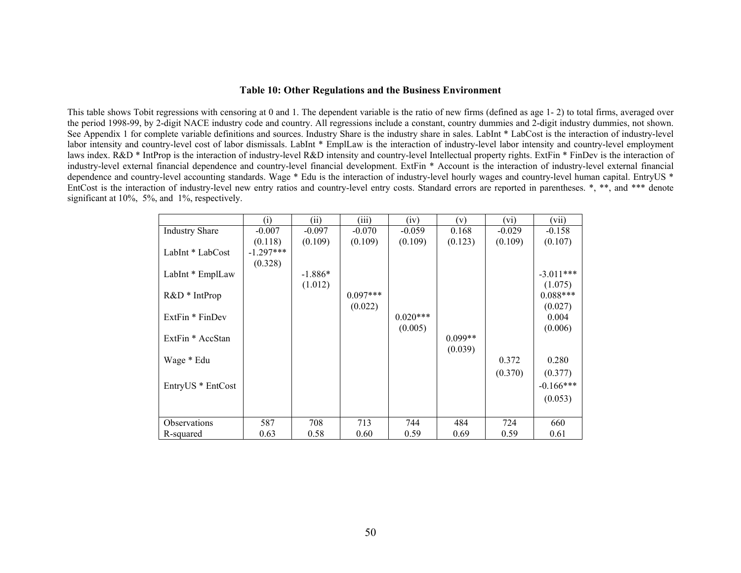#### **Table 10: Other Regulations and the Business Environment**

This table shows Tobit regressions with censoring at 0 and 1. The dependent variable is the ratio of new firms (defined as age 1- 2) to total firms, averaged over the period 1998-99, by 2-digit NACE industry code and country. All regressions include a constant, country dummies and 2-digit industry dummies, not shown. See Appendix 1 for complete variable definitions and sources. Industry Share is the industry share in sales. LabInt \* LabCost is the interaction of industry-level labor intensity and country-level cost of labor dismissals. LabInt \* EmplLaw is the interaction of industry-level labor intensity and country-level employment laws index. R&D \* IntProp is the interaction of industry-level R&D intensity and country-level Intellectual property rights. ExtFin \* FinDev is the interaction of industry-level external financial dependence and country-level financial development. ExtFin \* Account is the interaction of industry-level external financial dependence and country-level accounting standards. Wage \* Edu is the interaction of industry-level hourly wages and country-level human capital. EntryUS \* EntCost is the interaction of industry-level new entry ratios and country-level entry costs. Standard errors are reported in parentheses. \*, \*\*, and \*\*\* denote significant at 10%, 5%, and 1%, respectively.

|                       | (i)         | (ii)      | (iii)      | (iv)       | (v)       | (vi)     | (vii)       |
|-----------------------|-------------|-----------|------------|------------|-----------|----------|-------------|
| <b>Industry Share</b> | $-0.007$    | $-0.097$  | $-0.070$   | $-0.059$   | 0.168     | $-0.029$ | $-0.158$    |
|                       | (0.118)     | (0.109)   | (0.109)    | (0.109)    | (0.123)   | (0.109)  | (0.107)     |
| LabInt * LabCost      | $-1.297***$ |           |            |            |           |          |             |
|                       | (0.328)     |           |            |            |           |          |             |
| LabInt * EmplLaw      |             | $-1.886*$ |            |            |           |          | $-3.011***$ |
|                       |             | (1.012)   |            |            |           |          | (1.075)     |
| $R&D*IntProp$         |             |           | $0.097***$ |            |           |          | $0.088***$  |
|                       |             |           | (0.022)    |            |           |          | (0.027)     |
| $ExtFin * FinDev$     |             |           |            | $0.020***$ |           |          | 0.004       |
|                       |             |           |            | (0.005)    |           |          | (0.006)     |
| ExtFin * AccStan      |             |           |            |            | $0.099**$ |          |             |
|                       |             |           |            |            | (0.039)   |          |             |
| Wage * Edu            |             |           |            |            |           | 0.372    | 0.280       |
|                       |             |           |            |            |           | (0.370)  | (0.377)     |
| EntryUS * EntCost     |             |           |            |            |           |          | $-0.166***$ |
|                       |             |           |            |            |           |          | (0.053)     |
|                       |             |           |            |            |           |          |             |
|                       |             |           |            |            |           |          |             |
| Observations          | 587         | 708       | 713        | 744        | 484       | 724      | 660         |
| R-squared             | 0.63        | 0.58      | 0.60       | 0.59       | 0.69      | 0.59     | 0.61        |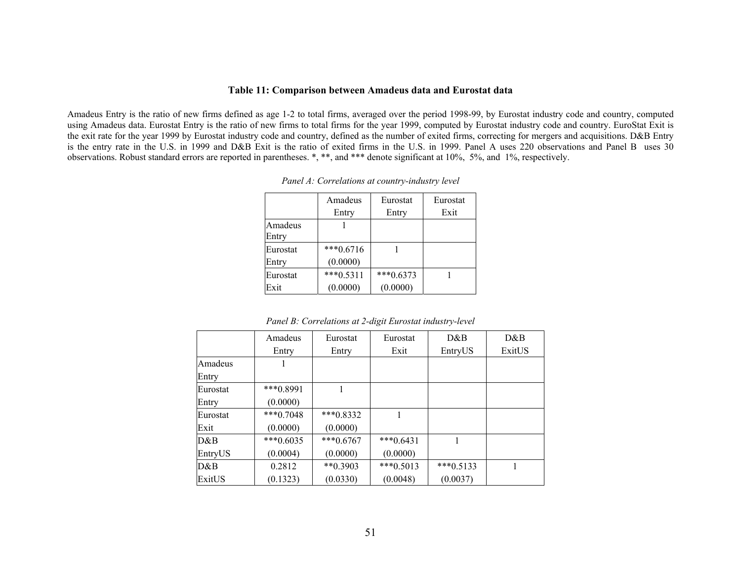### **Table 11: Comparison between Amadeus data and Eurostat data**

Amadeus Entry is the ratio of new firms defined as age 1-2 to total firms, averaged over the period 1998-99, by Eurostat industry code and country, computed using Amadeus data. Eurostat Entry is the ratio of new firms to total firms for the year 1999, computed by Eurostat industry code and country. EuroStat Exit is the exit rate for the year 1999 by Eurostat industry code and country, defined as the number of exited firms, correcting for mergers and acquisitions. D&B Entry is the entry rate in the U.S. in 1999 and D&B Exit is the ratio of exited firms in the U.S. in 1999. Panel A uses 220 observations and Panel B uses 30 observations. Robust standard errors are reported in parentheses. \*, \*\*, and \*\*\* denote significant at 10%, 5%, and 1%, respectively.

|          | Amadeus     | Eurostat    | Eurostat |
|----------|-------------|-------------|----------|
|          | Entry       | Entry       | Exit     |
| Amadeus  |             |             |          |
| Entry    |             |             |          |
| Eurostat | $***0.6716$ |             |          |
| Entry    | (0.0000)    |             |          |
| Eurostat | $***0.5311$ | $***0.6373$ |          |
| Exit     | (0.0000)    | (0.0000)    |          |

*Panel A: Correlations at country-industry level* 

|  |  |  | Panel B: Correlations at 2-digit Eurostat industry-level |  |  |
|--|--|--|----------------------------------------------------------|--|--|
|  |  |  |                                                          |  |  |

|          | Amadeus     | Eurostat    | Eurostat     | D&B         | D&B    |
|----------|-------------|-------------|--------------|-------------|--------|
|          | Entry       | Entry       | Exit         | EntryUS     | ExitUS |
| Amadeus  |             |             |              |             |        |
| Entry    |             |             |              |             |        |
| Eurostat | $***0.8991$ |             |              |             |        |
| Entry    | (0.0000)    |             |              |             |        |
| Eurostat | $***0.7048$ | $***0.8332$ |              |             |        |
| Exit     | (0.0000)    | (0.0000)    |              |             |        |
| D&B      | $***0.6035$ | $***0.6767$ | *** $0.6431$ |             |        |
| EntryUS  | (0.0004)    | (0.0000)    | (0.0000)     |             |        |
| D&B      | 0.2812      | $**0.3903$  | $***0.5013$  | $***0.5133$ |        |
| ExitUS   | (0.1323)    | (0.0330)    | (0.0048)     | (0.0037)    |        |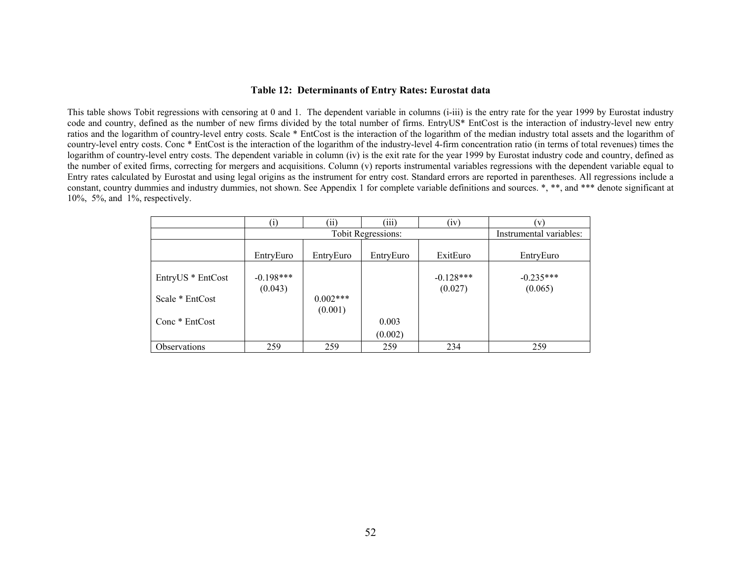### **Table 12: Determinants of Entry Rates: Eurostat data**

This table shows Tobit regressions with censoring at 0 and 1. The dependent variable in columns (i-iii) is the entry rate for the year 1999 by Eurostat industry code and country, defined as the number of new firms divided by the total number of firms. EntryUS\* EntCost is the interaction of industry-level new entry ratios and the logarithm of country-level entry costs. Scale \* EntCost is the interaction of the logarithm of the median industry total assets and the logarithm of country-level entry costs. Conc \* EntCost is the interaction of the logarithm of the industry-level 4-firm concentration ratio (in terms of total revenues) times the logarithm of country-level entry costs. The dependent variable in column (iv) is the exit rate for the year 1999 by Eurostat industry code and country, defined as the number of exited firms, correcting for mergers and acquisitions. Column (v) reports instrumental variables regressions with the dependent variable equal to Entry rates calculated by Eurostat and using legal origins as the instrument for entry cost. Standard errors are reported in parentheses. All regressions include a constant, country dummies and industry dummies, not shown. See Appendix 1 for complete variable definitions and sources. \*, \*\*, and \*\*\* denote significant at 10%, 5%, and 1%, respectively.

|                   |                        | $\overline{11}$       | (iii)              | (iv)                   | $\mathbf{v}$            |
|-------------------|------------------------|-----------------------|--------------------|------------------------|-------------------------|
|                   |                        |                       | Tobit Regressions: |                        | Instrumental variables: |
|                   | EntryEuro              | EntryEuro             | EntryEuro          | ExitEuro               | EntryEuro               |
| EntryUS * EntCost | $-0.198***$<br>(0.043) |                       |                    | $-0.128***$<br>(0.027) | $-0.235***$<br>(0.065)  |
| Scale * EntCost   |                        | $0.002***$<br>(0.001) |                    |                        |                         |
| Conc * EntCost    |                        |                       | 0.003              |                        |                         |
|                   |                        |                       | (0.002)            |                        |                         |
| Observations      | 259                    | 259                   | 259                | 234                    | 259                     |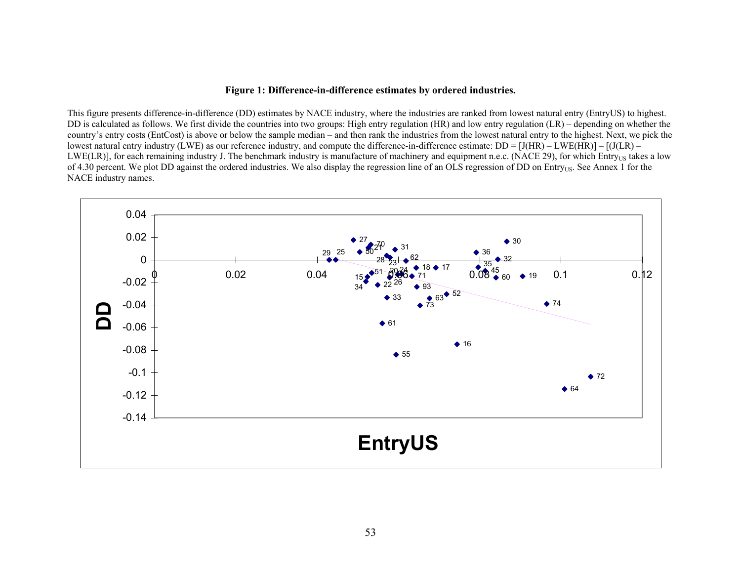### **Figure 1: Difference-in-difference estimates by ordered industries.**

This figure presents difference-in-difference (DD) estimates by NACE industry, where the industries are ranked from lowest natural entry (EntryUS) to highest. DD is calculated as follows. We first divide the countries into two groups: High entry regulation (HR) and low entry regulation (LR) – depending on whether the country's entry costs (EntCost) is above or below the sample median – and then rank the industries from the lowest natural entry to the highest. Next, we pick the lowest natural entry industry (LWE) as our reference industry, and compute the difference-in-difference estimate:  $DD = [J(HR) - LWE(HR)] - [J(LR) - LE]$ LWE(LR)], for each remaining industry J. The benchmark industry is manufacture of machinery and equipment n.e.c. (NACE 29), for which Entry<sub>US</sub> takes a low of 4.30 percent. We plot DD against the ordered industries. We also display the regression line of an OLS regression of DD on Entry<sub>US</sub>. See Annex 1 for the NACE industry names.

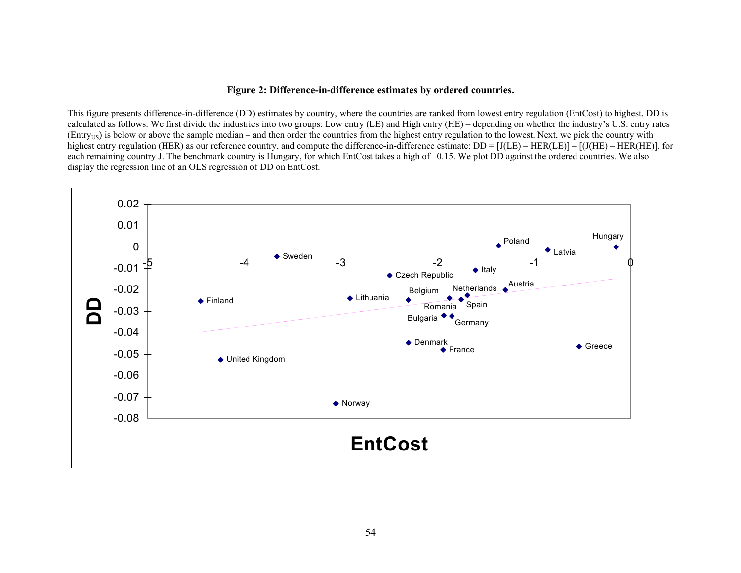### **Figure 2: Difference-in-difference estimates by ordered countries.**

This figure presents difference-in-difference (DD) estimates by country, where the countries are ranked from lowest entry regulation (EntCost) to highest. DD is calculated as follows. We first divide the industries into two groups: Low entry (LE) and High entry (HE) – depending on whether the industry's U.S. entry rates (Entry<sub>US</sub>) is below or above the sample median – and then order the countries from the highest entry regulation to the lowest. Next, we pick the country with highest entry regulation (HER) as our reference country, and compute the difference-in-difference estimate:  $DD = [J(LE) - HER(LE)] - [J(HE) - HER(HE)]$ , for each remaining country J. The benchmark country is Hungary, for which EntCost takes a high of –0.15. We plot DD against the ordered countries. We also display the regression line of an OLS regression of DD on EntCost.

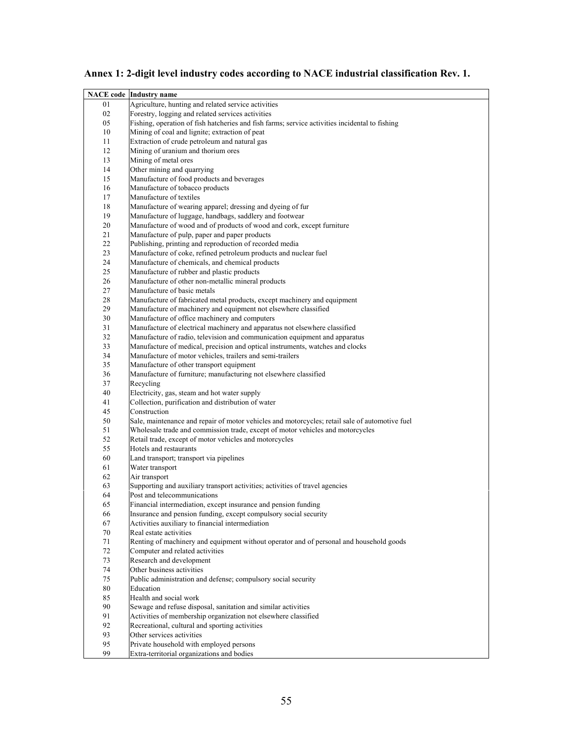|        | <b>NACE</b> code   Industry name                                                               |
|--------|------------------------------------------------------------------------------------------------|
| 01     | Agriculture, hunting and related service activities                                            |
| 02     | Forestry, logging and related services activities                                              |
| 05     | Fishing, operation of fish hatcheries and fish farms; service activities incidental to fishing |
| 10     | Mining of coal and lignite; extraction of peat                                                 |
| 11     | Extraction of crude petroleum and natural gas                                                  |
| 12     | Mining of uranium and thorium ores                                                             |
| 13     | Mining of metal ores                                                                           |
| 14     | Other mining and quarrying                                                                     |
| 15     | Manufacture of food products and beverages                                                     |
| 16     | Manufacture of tobacco products                                                                |
| 17     | Manufacture of textiles                                                                        |
| 18     | Manufacture of wearing apparel; dressing and dyeing of fur                                     |
| 19     | Manufacture of luggage, handbags, saddlery and footwear                                        |
| 20     | Manufacture of wood and of products of wood and cork, except furniture                         |
| 21     | Manufacture of pulp, paper and paper products                                                  |
| 22     | Publishing, printing and reproduction of recorded media                                        |
| 23     |                                                                                                |
| 24     | Manufacture of coke, refined petroleum products and nuclear fuel                               |
|        | Manufacture of chemicals, and chemical products                                                |
| 25     | Manufacture of rubber and plastic products                                                     |
| 26     | Manufacture of other non-metallic mineral products                                             |
| 27     | Manufacture of basic metals                                                                    |
| 28     | Manufacture of fabricated metal products, except machinery and equipment                       |
| 29     | Manufacture of machinery and equipment not elsewhere classified                                |
| 30     | Manufacture of office machinery and computers                                                  |
| 31     | Manufacture of electrical machinery and apparatus not elsewhere classified                     |
| 32     | Manufacture of radio, television and communication equipment and apparatus                     |
| 33     | Manufacture of medical, precision and optical instruments, watches and clocks                  |
| 34     | Manufacture of motor vehicles, trailers and semi-trailers                                      |
| 35     | Manufacture of other transport equipment                                                       |
| 36     | Manufacture of furniture; manufacturing not elsewhere classified                               |
| 37     | Recycling                                                                                      |
| 40     | Electricity, gas, steam and hot water supply                                                   |
| 41     | Collection, purification and distribution of water                                             |
| 45     | Construction                                                                                   |
| 50     | Sale, maintenance and repair of motor vehicles and motorcycles; retail sale of automotive fuel |
| 51     | Wholesale trade and commission trade, except of motor vehicles and motorcycles                 |
| 52     | Retail trade, except of motor vehicles and motorcycles                                         |
| 55     | Hotels and restaurants                                                                         |
| 60     | Land transport; transport via pipelines                                                        |
| 61     | Water transport                                                                                |
| 62     | Air transport                                                                                  |
| 63     | Supporting and auxiliary transport activities; activities of travel agencies                   |
| 64     | Post and telecommunications                                                                    |
| 65     | Financial intermediation, except insurance and pension funding                                 |
| 66     | Insurance and pension funding, except compulsory social security                               |
| 67     | Activities auxiliary to financial intermediation                                               |
| 70     | Real estate activities                                                                         |
| $71\,$ | Renting of machinery and equipment without operator and of personal and household goods        |
| $72\,$ | Computer and related activities                                                                |
| 73     | Research and development                                                                       |
| 74     | Other business activities                                                                      |
| $75\,$ | Public administration and defense; compulsory social security                                  |
| $80\,$ | Education                                                                                      |
| 85     | Health and social work                                                                         |
| 90     | Sewage and refuse disposal, sanitation and similar activities                                  |
| 91     | Activities of membership organization not elsewhere classified                                 |
| 92     | Recreational, cultural and sporting activities                                                 |
| 93     | Other services activities                                                                      |
| 95     | Private household with employed persons                                                        |
| 99     | Extra-territorial organizations and bodies                                                     |
|        |                                                                                                |

**Annex 1: 2-digit level industry codes according to NACE industrial classification Rev. 1.**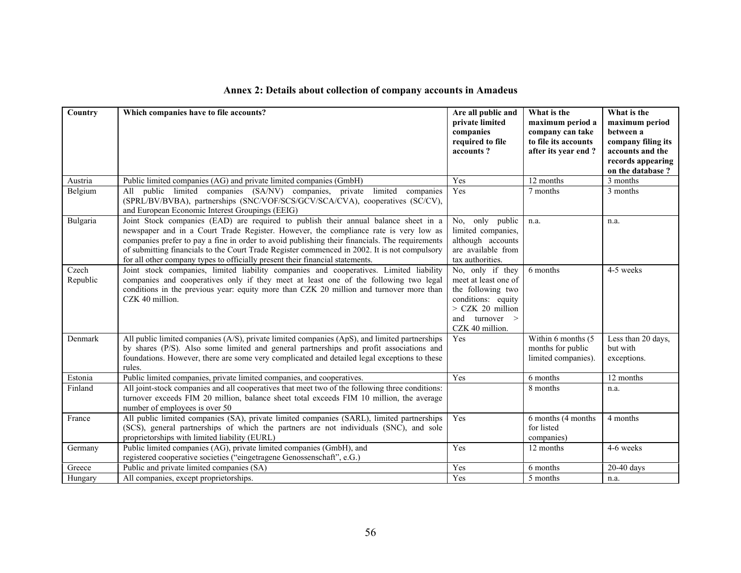| Country           | Which companies have to file accounts?                                                                                                                                                                                                                                                                                                                                                                                                                         | Are all public and<br>private limited<br>companies<br>required to file<br>accounts?                                                             | What is the<br>maximum period a<br>company can take<br>to file its accounts<br>after its year end? | What is the<br>maximum period<br>between a<br>company filing its<br>accounts and the<br>records appearing<br>on the database? |
|-------------------|----------------------------------------------------------------------------------------------------------------------------------------------------------------------------------------------------------------------------------------------------------------------------------------------------------------------------------------------------------------------------------------------------------------------------------------------------------------|-------------------------------------------------------------------------------------------------------------------------------------------------|----------------------------------------------------------------------------------------------------|-------------------------------------------------------------------------------------------------------------------------------|
| Austria           | Public limited companies (AG) and private limited companies (GmbH)                                                                                                                                                                                                                                                                                                                                                                                             | Yes                                                                                                                                             | 12 months                                                                                          | 3 months                                                                                                                      |
| Belgium           | All public limited companies (SA/NV) companies, private<br>limited<br>companies<br>(SPRL/BV/BVBA), partnerships (SNC/VOF/SCS/GCV/SCA/CVA), cooperatives (SC/CV),<br>and European Economic Interest Groupings (EEIG)                                                                                                                                                                                                                                            | Yes                                                                                                                                             | 7 months                                                                                           | 3 months                                                                                                                      |
| Bulgaria          | Joint Stock companies (EAD) are required to publish their annual balance sheet in a<br>newspaper and in a Court Trade Register. However, the compliance rate is very low as<br>companies prefer to pay a fine in order to avoid publishing their financials. The requirements<br>of submitting financials to the Court Trade Register commenced in 2002. It is not compulsory<br>for all other company types to officially present their financial statements. | No, only public<br>limited companies,<br>although accounts<br>are available from<br>tax authorities.                                            | n.a.                                                                                               | n.a.                                                                                                                          |
| Czech<br>Republic | Joint stock companies, limited liability companies and cooperatives. Limited liability<br>companies and cooperatives only if they meet at least one of the following two legal<br>conditions in the previous year: equity more than CZK 20 million and turnover more than<br>CZK 40 million.                                                                                                                                                                   | No, only if they<br>meet at least one of<br>the following two<br>conditions: equity<br>> CZK 20 million<br>turnover ><br>and<br>CZK 40 million. | 6 months                                                                                           | 4-5 weeks                                                                                                                     |
| Denmark           | All public limited companies (A/S), private limited companies (ApS), and limited partnerships<br>by shares (P/S). Also some limited and general partnerships and profit associations and<br>foundations. However, there are some very complicated and detailed legal exceptions to these<br>rules.                                                                                                                                                             | Yes                                                                                                                                             | Within 6 months (5<br>months for public<br>limited companies).                                     | Less than 20 days,<br>but with<br>exceptions.                                                                                 |
| Estonia           | Public limited companies, private limited companies, and cooperatives.                                                                                                                                                                                                                                                                                                                                                                                         | Yes                                                                                                                                             | 6 months                                                                                           | 12 months                                                                                                                     |
| Finland           | All joint-stock companies and all cooperatives that meet two of the following three conditions:<br>turnover exceeds FIM 20 million, balance sheet total exceeds FIM 10 million, the average<br>number of employees is over 50                                                                                                                                                                                                                                  |                                                                                                                                                 | 8 months                                                                                           | n.a.                                                                                                                          |
| France            | All public limited companies (SA), private limited companies (SARL), limited partnerships<br>(SCS), general partnerships of which the partners are not individuals (SNC), and sole<br>proprietorships with limited liability (EURL)                                                                                                                                                                                                                            | Yes                                                                                                                                             | 6 months (4 months<br>for listed<br>companies)                                                     | 4 months                                                                                                                      |
| Germany           | Public limited companies (AG), private limited companies (GmbH), and<br>registered cooperative societies ("eingetragene Genossenschaft", e.G.)                                                                                                                                                                                                                                                                                                                 | Yes                                                                                                                                             | 12 months                                                                                          | 4-6 weeks                                                                                                                     |
| Greece            | Public and private limited companies (SA)                                                                                                                                                                                                                                                                                                                                                                                                                      | Yes                                                                                                                                             | 6 months                                                                                           | $20-40$ days                                                                                                                  |
| Hungary           | All companies, except proprietorships.                                                                                                                                                                                                                                                                                                                                                                                                                         | Yes                                                                                                                                             | 5 months                                                                                           | n.a.                                                                                                                          |

# **Annex 2: Details about collection of company accounts in Amadeus**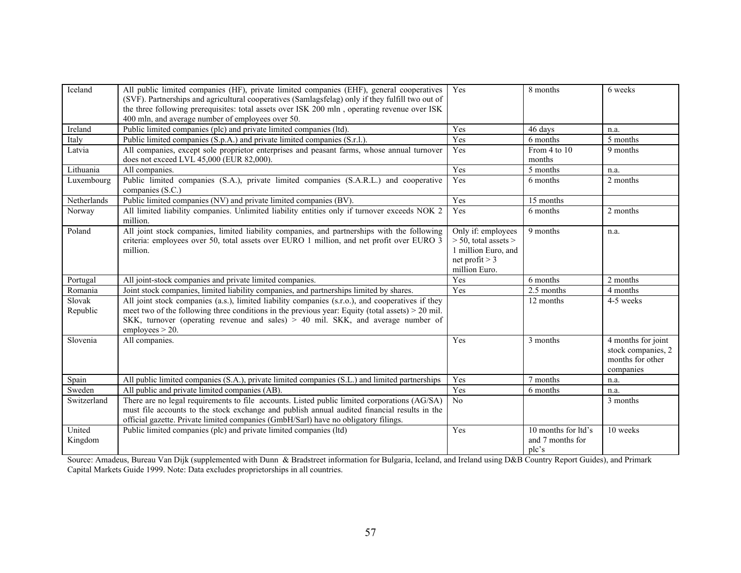| Iceland            | All public limited companies (HF), private limited companies (EHF), general cooperatives<br>(SVF). Partnerships and agricultural cooperatives (Samlagsfelag) only if they fulfill two out of<br>the three following prerequisites: total assets over ISK 200 mln, operating revenue over ISK<br>400 mln, and average number of employees over 50. | Yes                                                                                                        | 8 months                                         | 6 weeks                                                                   |
|--------------------|---------------------------------------------------------------------------------------------------------------------------------------------------------------------------------------------------------------------------------------------------------------------------------------------------------------------------------------------------|------------------------------------------------------------------------------------------------------------|--------------------------------------------------|---------------------------------------------------------------------------|
| Ireland            | Public limited companies (plc) and private limited companies (ltd).                                                                                                                                                                                                                                                                               | Yes                                                                                                        | 46 days                                          | n.a.                                                                      |
| Italy              | Public limited companies (S.p.A.) and private limited companies (S.r.l.).                                                                                                                                                                                                                                                                         | Yes                                                                                                        | 6 months                                         | 5 months                                                                  |
| Latvia             | All companies, except sole proprietor enterprises and peasant farms, whose annual turnover<br>does not exceed LVL 45,000 (EUR 82,000).                                                                                                                                                                                                            | Yes                                                                                                        | From 4 to 10<br>months                           | 9 months                                                                  |
| Lithuania          | All companies.                                                                                                                                                                                                                                                                                                                                    | Yes                                                                                                        | 5 months                                         | n.a.                                                                      |
| Luxembourg         | Public limited companies (S.A.), private limited companies (S.A.R.L.) and cooperative<br>companies (S.C.)                                                                                                                                                                                                                                         | Yes                                                                                                        | 6 months                                         | 2 months                                                                  |
| Netherlands        | Public limited companies (NV) and private limited companies (BV).                                                                                                                                                                                                                                                                                 | Yes                                                                                                        | 15 months                                        |                                                                           |
| Norway             | All limited liability companies. Unlimited liability entities only if turnover exceeds NOK 2<br>million.                                                                                                                                                                                                                                          | Yes                                                                                                        | 6 months                                         | 2 months                                                                  |
| Poland             | All joint stock companies, limited liability companies, and partnerships with the following<br>criteria: employees over 50, total assets over EURO 1 million, and net profit over EURO 3<br>million.                                                                                                                                              | Only if: employees<br>$>$ 50, total assets $>$<br>1 million Euro, and<br>net profit $> 3$<br>million Euro. | 9 months                                         | n.a.                                                                      |
| Portugal           | All joint-stock companies and private limited companies.                                                                                                                                                                                                                                                                                          | Yes                                                                                                        | 6 months                                         | 2 months                                                                  |
| Romania            | Joint stock companies, limited liability companies, and partnerships limited by shares.                                                                                                                                                                                                                                                           | Yes                                                                                                        | 2.5 months                                       | 4 months                                                                  |
| Slovak<br>Republic | All joint stock companies (a.s.), limited liability companies (s.r.o.), and cooperatives if they<br>meet two of the following three conditions in the previous year: Equity (total assets) $>$ 20 mil.<br>SKK, turnover (operating revenue and sales) $> 40$ mil. SKK, and average number of<br>employees $>$ 20.                                 |                                                                                                            | 12 months                                        | 4-5 weeks                                                                 |
| Slovenia           | All companies.                                                                                                                                                                                                                                                                                                                                    | Yes                                                                                                        | 3 months                                         | 4 months for joint<br>stock companies, 2<br>months for other<br>companies |
| Spain              | All public limited companies (S.A.), private limited companies (S.L.) and limited partnerships                                                                                                                                                                                                                                                    | Yes                                                                                                        | 7 months                                         | n.a.                                                                      |
| Sweden             | All public and private limited companies (AB).                                                                                                                                                                                                                                                                                                    | Yes                                                                                                        | 6 months                                         | n.a.                                                                      |
| Switzerland        | There are no legal requirements to file accounts. Listed public limited corporations (AG/SA)<br>must file accounts to the stock exchange and publish annual audited financial results in the<br>official gazette. Private limited companies (GmbH/Sarl) have no obligatory filings.                                                               | No                                                                                                         |                                                  | 3 months                                                                  |
| United<br>Kingdom  | Public limited companies (plc) and private limited companies (ltd)                                                                                                                                                                                                                                                                                | Yes                                                                                                        | 10 months for ltd's<br>and 7 months for<br>plc's | 10 weeks                                                                  |

Source: Amadeus, Bureau Van Dijk (supplemented with Dunn & Bradstreet information for Bulgaria, Iceland, and Ireland using D&B Country Report Guides), and Primark Capital Markets Guide 1999. Note: Data excludes proprietorships in all countries.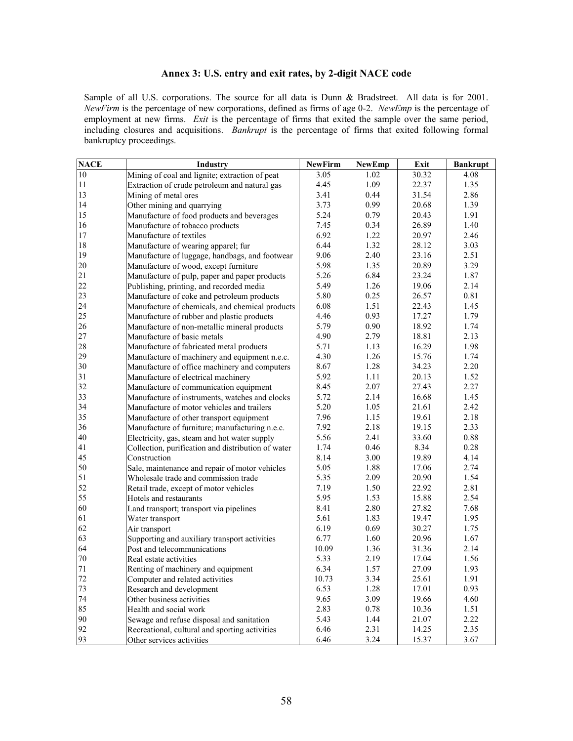# **Annex 3: U.S. entry and exit rates, by 2-digit NACE code**

Sample of all U.S. corporations. The source for all data is Dunn & Bradstreet. All data is for 2001. *NewFirm* is the percentage of new corporations, defined as firms of age 0-2. *NewEmp* is the percentage of employment at new firms. *Exit* is the percentage of firms that exited the sample over the same period, including closures and acquisitions. *Bankrupt* is the percentage of firms that exited following formal bankruptcy proceedings.

| <b>NACE</b> | Industry                                           | <b>NewFirm</b> | <b>NewEmp</b> | Exit  | <b>Bankrupt</b> |
|-------------|----------------------------------------------------|----------------|---------------|-------|-----------------|
| 10          | Mining of coal and lignite; extraction of peat     | 3.05           | 1.02          | 30.32 | 4.08            |
| 11          | Extraction of crude petroleum and natural gas      | 4.45           | 1.09          | 22.37 | 1.35            |
| 13          | Mining of metal ores                               | 3.41           | 0.44          | 31.54 | 2.86            |
| 14          | Other mining and quarrying                         | 3.73           | 0.99          | 20.68 | 1.39            |
| 15          | Manufacture of food products and beverages         | 5.24           | 0.79          | 20.43 | 1.91            |
| 16          | Manufacture of tobacco products                    | 7.45           | 0.34          | 26.89 | 1.40            |
| $17$        | Manufacture of textiles                            | 6.92           | 1.22          | 20.97 | 2.46            |
| 18          | Manufacture of wearing apparel; fur                | 6.44           | 1.32          | 28.12 | 3.03            |
| 19          | Manufacture of luggage, handbags, and footwear     | 9.06           | 2.40          | 23.16 | 2.51            |
| 20          | Manufacture of wood, except furniture              | 5.98           | 1.35          | 20.89 | 3.29            |
| $21\,$      | Manufacture of pulp, paper and paper products      | 5.26           | 6.84          | 23.24 | 1.87            |
| 22          | Publishing, printing, and recorded media           | 5.49           | 1.26          | 19.06 | 2.14            |
| 23          | Manufacture of coke and petroleum products         | 5.80           | 0.25          | 26.57 | 0.81            |
| 24          | Manufacture of chemicals, and chemical products    | 6.08           | 1.51          | 22.43 | 1.45            |
| 25          | Manufacture of rubber and plastic products         | 4.46           | 0.93          | 17.27 | 1.79            |
| 26          | Manufacture of non-metallic mineral products       | 5.79           | 0.90          | 18.92 | 1.74            |
| 27          | Manufacture of basic metals                        | 4.90           | 2.79          | 18.81 | 2.13            |
| 28          | Manufacture of fabricated metal products           | 5.71           | 1.13          | 16.29 | 1.98            |
| 29          | Manufacture of machinery and equipment n.e.c.      | 4.30           | 1.26          | 15.76 | 1.74            |
| $30\,$      | Manufacture of office machinery and computers      | 8.67           | 1.28          | 34.23 | 2.20            |
| 31          | Manufacture of electrical machinery                | 5.92           | 1.11          | 20.13 | 1.52            |
| 32          | Manufacture of communication equipment             | 8.45           | 2.07          | 27.43 | 2.27            |
| 33          | Manufacture of instruments, watches and clocks     | 5.72           | 2.14          | 16.68 | 1.45            |
| 34          | Manufacture of motor vehicles and trailers         | 5.20           | 1.05          | 21.61 | 2.42            |
| 35          | Manufacture of other transport equipment           | 7.96           | 1.15          | 19.61 | 2.18            |
| 36          | Manufacture of furniture; manufacturing n.e.c.     | 7.92           | 2.18          | 19.15 | 2.33            |
| 40          | Electricity, gas, steam and hot water supply       | 5.56           | 2.41          | 33.60 | 0.88            |
| 41          | Collection, purification and distribution of water | 1.74           | 0.46          | 8.34  | 0.28            |
| 45          | Construction                                       | 8.14           | 3.00          | 19.89 | 4.14            |
| 50          | Sale, maintenance and repair of motor vehicles     | 5.05           | 1.88          | 17.06 | 2.74            |
| 51          | Wholesale trade and commission trade               | 5.35           | 2.09          | 20.90 | 1.54            |
| 52          | Retail trade, except of motor vehicles             | 7.19           | 1.50          | 22.92 | 2.81            |
| 55          | Hotels and restaurants                             | 5.95           | 1.53          | 15.88 | 2.54            |
| 60          | Land transport; transport via pipelines            | 8.41           | 2.80          | 27.82 | 7.68            |
| 61          | Water transport                                    | 5.61           | 1.83          | 19.47 | 1.95            |
| 62          | Air transport                                      | 6.19           | 0.69          | 30.27 | 1.75            |
| 63          | Supporting and auxiliary transport activities      | 6.77           | 1.60          | 20.96 | 1.67            |
| 64          | Post and telecommunications                        | 10.09          | 1.36          | 31.36 | 2.14            |
| $70\,$      | Real estate activities                             | 5.33           | 2.19          | 17.04 | 1.56            |
| $71\,$      | Renting of machinery and equipment                 | 6.34           | 1.57          | 27.09 | 1.93            |
| 72          | Computer and related activities                    | 10.73          | 3.34          | 25.61 | 1.91            |
| 73          | Research and development                           | 6.53           | 1.28          | 17.01 | 0.93            |
| 74          | Other business activities                          | 9.65           | 3.09          | 19.66 | 4.60            |
| 85          | Health and social work                             | 2.83           | 0.78          | 10.36 | 1.51            |
| 90          | Sewage and refuse disposal and sanitation          | 5.43           | 1.44          | 21.07 | 2.22            |
| 92          | Recreational, cultural and sporting activities     | 6.46           | 2.31          | 14.25 | 2.35            |
| 93          | Other services activities                          | 6.46           | 3.24          | 15.37 | 3.67            |